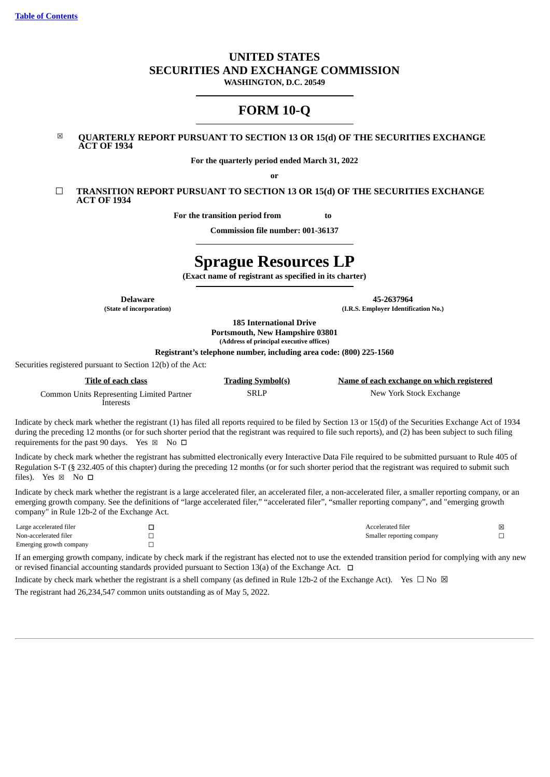# **UNITED STATES SECURITIES AND EXCHANGE COMMISSION**

**WASHINGTON, D.C. 20549**

# **FORM 10-Q**

### ☒ **QUARTERLY REPORT PURSUANT TO SECTION 13 OR 15(d) OF THE SECURITIES EXCHANGE ACT OF 1934**

**For the quarterly period ended March 31, 2022**

**or**

☐ **TRANSITION REPORT PURSUANT TO SECTION 13 OR 15(d) OF THE SECURITIES EXCHANGE ACT OF 1934**

**For the transition period from to**

**Commission file number: 001-36137**

# **Sprague Resources LP**

**(Exact name of registrant as specified in its charter)**

**Delaware 45-2637964 (State of incorporation) (I.R.S. Employer Identification No.)**

> **185 International Drive Portsmouth, New Hampshire 03801 (Address of principal executive offices)**

**Registrant's telephone number, including area code: (800) 225-1560**

Securities registered pursuant to Section 12(b) of the Act:

| Title of each class                       | <b>Trading Symbol(s)</b> | Name of each exchange on which registered |
|-------------------------------------------|--------------------------|-------------------------------------------|
| Common Units Representing Limited Partner | <b>SRLP</b>              | New York Stock Exchange                   |
| Interests                                 |                          |                                           |

Indicate by check mark whether the registrant (1) has filed all reports required to be filed by Section 13 or 15(d) of the Securities Exchange Act of 1934 during the preceding 12 months (or for such shorter period that the registrant was required to file such reports), and (2) has been subject to such filing requirements for the past 90 days. Yes  $\boxtimes$  No  $\Box$ 

Indicate by check mark whether the registrant has submitted electronically every Interactive Data File required to be submitted pursuant to Rule 405 of Regulation S-T (§ 232.405 of this chapter) during the preceding 12 months (or for such shorter period that the registrant was required to submit such files). Yes ⊠ No □

Indicate by check mark whether the registrant is a large accelerated filer, an accelerated filer, a non-accelerated filer, a smaller reporting company, or an emerging growth company. See the definitions of "large accelerated filer," "accelerated filer", "smaller reporting company", and "emerging growth company" in Rule 12b-2 of the Exchange Act.

| Large accelerated filer | Accelerated filer         | × |
|-------------------------|---------------------------|---|
| Non-accelerated filer   | Smaller reporting company |   |
| Emerging growth company |                           |   |

If an emerging growth company, indicate by check mark if the registrant has elected not to use the extended transition period for complying with any new or revised financial accounting standards provided pursuant to Section 13(a) of the Exchange Act.  $\Box$ 

<span id="page-0-0"></span>Indicate by check mark whether the registrant is a shell company (as defined in Rule 12b-2 of the Exchange Act). Yes  $\Box$  No  $\boxtimes$ The registrant had 26,234,547 common units outstanding as of May 5, 2022.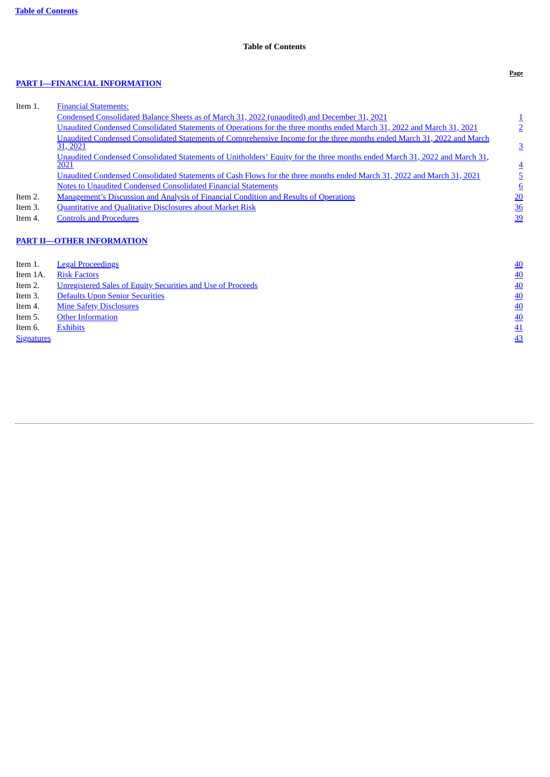# **Table of Contents**

# **PART I—FINANCIAL [INFORMATION](#page-1-0)**

| Item 1. | <b>Financial Statements:</b>                                                                                                        |                 |
|---------|-------------------------------------------------------------------------------------------------------------------------------------|-----------------|
|         | Condensed Consolidated Balance Sheets as of March 31, 2022 (unaudited) and December 31, 2021                                        |                 |
|         | Unaudited Condensed Consolidated Statements of Operations for the three months ended March 31, 2022 and March 31, 2021              |                 |
|         | Unaudited Condensed Consolidated Statements of Comprehensive Income for the three months ended March 31, 2022 and March<br>31, 2021 | 3               |
|         | Unaudited Condensed Consolidated Statements of Unitholders' Equity for the three months ended March 31, 2022 and March 31,<br>2021  | $\overline{4}$  |
|         | Unaudited Condensed Consolidated Statements of Cash Flows for the three months ended March 31, 2022 and March 31, 2021              |                 |
|         | Notes to Unaudited Condensed Consolidated Financial Statements                                                                      | $6\overline{6}$ |
| Item 2. | <b>Management's Discussion and Analysis of Financial Condition and Results of Operations</b>                                        | 20              |
| Item 3. | <b>Quantitative and Qualitative Disclosures about Market Risk</b>                                                                   | <u>36</u>       |
| Item 4. | <b>Controls and Procedures</b>                                                                                                      | 39              |
|         | <b>PART II-OTHER INFORMATION</b>                                                                                                    |                 |
| Item 1. | <b>Legal Proceedings</b>                                                                                                            | <u>40</u>       |

<span id="page-1-0"></span>

| Item 1A.          | <b>Risk Factors</b>                                                | 40        |
|-------------------|--------------------------------------------------------------------|-----------|
| Item 2.           | <u>Unregistered Sales of Equity Securities and Use of Proceeds</u> | 40        |
| Item 3.           | <b>Defaults Upon Senior Securities</b>                             | 40        |
| Item 4.           | <b>Mine Safety Disclosures</b>                                     | 40        |
| Item 5.           | <b>Other Information</b>                                           | 40        |
| Item 6.           | <b>Exhibits</b>                                                    | 41        |
| <b>Signatures</b> |                                                                    | <u>43</u> |
|                   |                                                                    |           |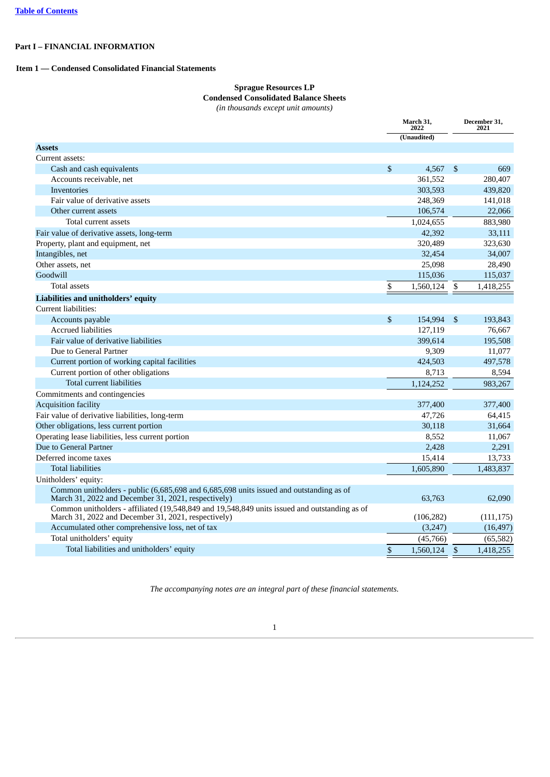# <span id="page-2-0"></span>**Part I – FINANCIAL INFORMATION**

# <span id="page-2-1"></span>**Item 1 — Condensed Consolidated Financial Statements**

# **Sprague Resources LP Condensed Consolidated Balance Sheets**

*(in thousands except unit amounts)*

<span id="page-2-2"></span>

|                                                                                                                                                      | March 31,<br>2022 |             | December 31,<br>2021 |            |  |
|------------------------------------------------------------------------------------------------------------------------------------------------------|-------------------|-------------|----------------------|------------|--|
|                                                                                                                                                      |                   | (Unaudited) |                      |            |  |
| <b>Assets</b>                                                                                                                                        |                   |             |                      |            |  |
| Current assets:                                                                                                                                      |                   |             |                      |            |  |
| Cash and cash equivalents                                                                                                                            | \$                | 4,567       | -\$                  | 669        |  |
| Accounts receivable, net                                                                                                                             |                   | 361,552     |                      | 280,407    |  |
| <b>Inventories</b>                                                                                                                                   |                   | 303,593     |                      | 439,820    |  |
| Fair value of derivative assets                                                                                                                      |                   | 248,369     |                      | 141,018    |  |
| Other current assets                                                                                                                                 |                   | 106,574     |                      | 22,066     |  |
| Total current assets                                                                                                                                 |                   | 1,024,655   |                      | 883,980    |  |
| Fair value of derivative assets, long-term                                                                                                           |                   | 42,392      |                      | 33,111     |  |
| Property, plant and equipment, net                                                                                                                   |                   | 320,489     |                      | 323,630    |  |
| Intangibles, net                                                                                                                                     |                   | 32,454      |                      | 34,007     |  |
| Other assets, net                                                                                                                                    |                   | 25,098      |                      | 28,490     |  |
| Goodwill                                                                                                                                             |                   | 115,036     |                      | 115,037    |  |
| <b>Total assets</b>                                                                                                                                  | \$                | 1,560,124   | $\mathbb S$          | 1,418,255  |  |
| Liabilities and unitholders' equity                                                                                                                  |                   |             |                      |            |  |
| Current liabilities:                                                                                                                                 |                   |             |                      |            |  |
| Accounts payable                                                                                                                                     | \$                | 154,994     | -\$                  | 193,843    |  |
| <b>Accrued liabilities</b>                                                                                                                           |                   | 127,119     |                      | 76,667     |  |
| Fair value of derivative liabilities                                                                                                                 |                   | 399.614     |                      | 195,508    |  |
| Due to General Partner                                                                                                                               |                   | 9,309       |                      | 11,077     |  |
| Current portion of working capital facilities                                                                                                        |                   | 424,503     |                      | 497,578    |  |
| Current portion of other obligations                                                                                                                 |                   | 8,713       |                      | 8,594      |  |
| <b>Total current liabilities</b>                                                                                                                     |                   | 1,124,252   |                      | 983,267    |  |
| Commitments and contingencies                                                                                                                        |                   |             |                      |            |  |
| <b>Acquisition facility</b>                                                                                                                          |                   | 377,400     |                      | 377,400    |  |
| Fair value of derivative liabilities, long-term                                                                                                      |                   | 47,726      |                      | 64,415     |  |
| Other obligations, less current portion                                                                                                              |                   | 30,118      |                      | 31,664     |  |
| Operating lease liabilities, less current portion                                                                                                    |                   | 8,552       |                      | 11,067     |  |
| Due to General Partner                                                                                                                               |                   | 2,428       |                      | 2,291      |  |
| Deferred income taxes                                                                                                                                |                   | 15,414      |                      | 13,733     |  |
| <b>Total liabilities</b>                                                                                                                             |                   | 1,605,890   |                      | 1,483,837  |  |
| Unitholders' equity:                                                                                                                                 |                   |             |                      |            |  |
| Common unitholders - public (6,685,698 and 6,685,698 units issued and outstanding as of<br>March 31, 2022 and December 31, 2021, respectively)       |                   | 63,763      |                      | 62,090     |  |
| Common unitholders - affiliated (19,548,849 and 19,548,849 units issued and outstanding as of<br>March 31, 2022 and December 31, 2021, respectively) |                   | (106, 282)  |                      | (111, 175) |  |
| Accumulated other comprehensive loss, net of tax                                                                                                     |                   | (3,247)     |                      | (16, 497)  |  |
| Total unitholders' equity                                                                                                                            |                   | (45, 766)   |                      | (65, 582)  |  |
| Total liabilities and unitholders' equity                                                                                                            | $\mathbf{s}$      | 1,560,124   | \$                   | 1,418,255  |  |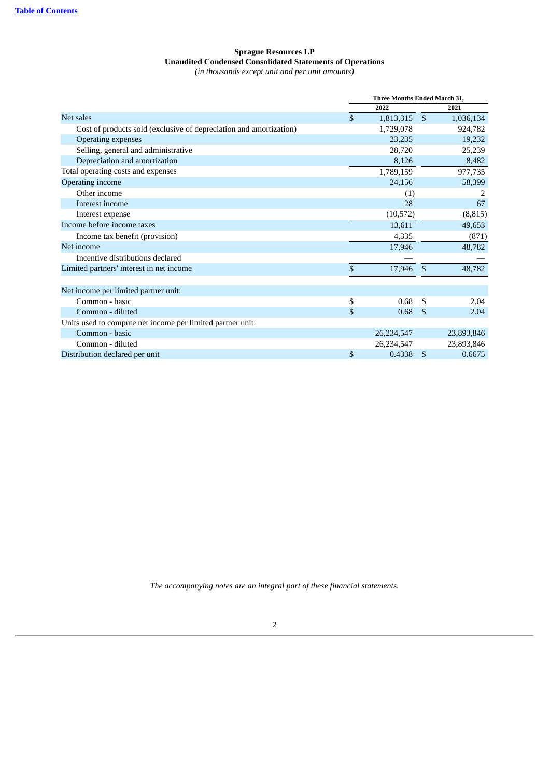### **Sprague Resources LP Unaudited Condensed Consolidated Statements of Operations** *(in thousands except unit and per unit amounts)*

<span id="page-3-0"></span>

|                                                                    | <b>Three Months Ended March 31,</b> |     |            |  |
|--------------------------------------------------------------------|-------------------------------------|-----|------------|--|
|                                                                    | 2022                                |     | 2021       |  |
| Net sales                                                          | \$<br>1,813,315                     | \$  | 1,036,134  |  |
| Cost of products sold (exclusive of depreciation and amortization) | 1,729,078                           |     | 924,782    |  |
| Operating expenses                                                 | 23,235                              |     | 19,232     |  |
| Selling, general and administrative                                | 28,720                              |     | 25,239     |  |
| Depreciation and amortization                                      | 8,126                               |     | 8,482      |  |
| Total operating costs and expenses                                 | 1,789,159                           |     | 977,735    |  |
| Operating income                                                   | 24,156                              |     | 58,399     |  |
| Other income                                                       | (1)                                 |     | 2          |  |
| Interest income                                                    | 28                                  |     | 67         |  |
| Interest expense                                                   | (10, 572)                           |     | (8, 815)   |  |
| Income before income taxes                                         | 13,611                              |     | 49,653     |  |
| Income tax benefit (provision)                                     | 4,335                               |     | (871)      |  |
| Net income                                                         | 17,946                              |     | 48,782     |  |
| Incentive distributions declared                                   |                                     |     |            |  |
| Limited partners' interest in net income                           | \$<br>17,946                        | S   | 48,782     |  |
|                                                                    |                                     |     |            |  |
| Net income per limited partner unit:                               |                                     |     |            |  |
| Common - basic                                                     | \$<br>0.68                          | \$. | 2.04       |  |
| Common - diluted                                                   | \$<br>0.68                          | -S  | 2.04       |  |
| Units used to compute net income per limited partner unit:         |                                     |     |            |  |
| Common - basic                                                     | 26,234,547                          |     | 23,893,846 |  |
| Common - diluted                                                   | 26,234,547                          |     | 23,893,846 |  |
| Distribution declared per unit                                     | \$<br>0.4338                        | \$  | 0.6675     |  |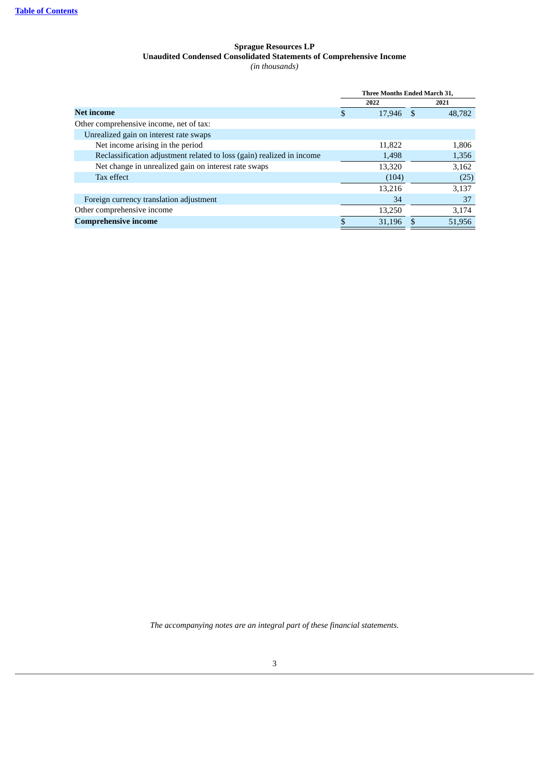### **Sprague Resources LP Unaudited Condensed Consolidated Statements of Comprehensive Income** *(in thousands)*

<span id="page-4-0"></span>

|                                                                       | Three Months Ended March 31, |           |  |        |  |
|-----------------------------------------------------------------------|------------------------------|-----------|--|--------|--|
|                                                                       |                              | 2022      |  | 2021   |  |
| <b>Net income</b>                                                     | \$                           | 17,946 \$ |  | 48,782 |  |
| Other comprehensive income, net of tax:                               |                              |           |  |        |  |
| Unrealized gain on interest rate swaps                                |                              |           |  |        |  |
| Net income arising in the period                                      |                              | 11,822    |  | 1,806  |  |
| Reclassification adjustment related to loss (gain) realized in income |                              | 1,498     |  | 1,356  |  |
| Net change in unrealized gain on interest rate swaps                  |                              | 13,320    |  | 3,162  |  |
| Tax effect                                                            |                              | (104)     |  | (25)   |  |
|                                                                       |                              | 13.216    |  | 3,137  |  |
| Foreign currency translation adjustment                               |                              | 34        |  | 37     |  |
| Other comprehensive income                                            |                              | 13,250    |  | 3,174  |  |
| <b>Comprehensive income</b>                                           | \$                           | 31.196    |  | 51.956 |  |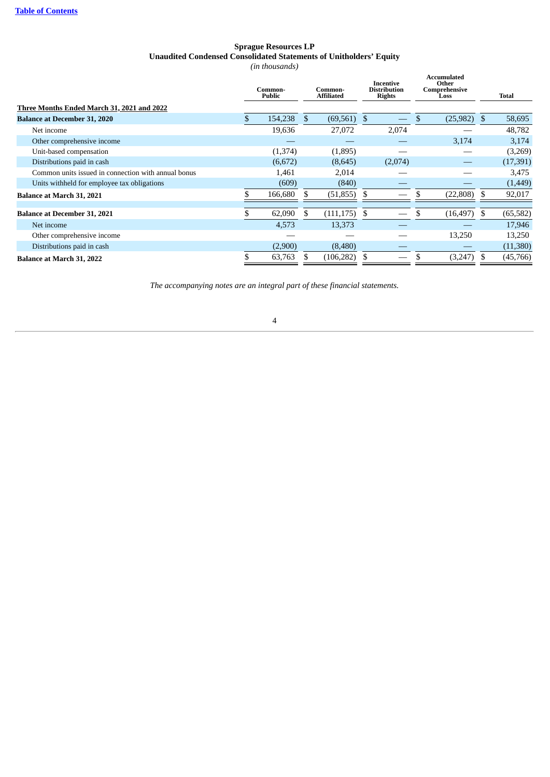### **Sprague Resources LP Unaudited Condensed Consolidated Statements of Unitholders' Equity** *(in thousands)*

|                                                     | Common-<br><b>Public</b> |          |    |                 | Common-<br><b>Affiliated</b> |         | Incentive<br><b>Distribution</b><br><b>Rights</b> |     |           |  | <b>Accumulated</b><br>Other<br>Comprehensive<br>Loss |  | <b>Total</b> |
|-----------------------------------------------------|--------------------------|----------|----|-----------------|------------------------------|---------|---------------------------------------------------|-----|-----------|--|------------------------------------------------------|--|--------------|
| Three Months Ended March 31, 2021 and 2022          |                          |          |    |                 |                              |         |                                                   |     |           |  |                                                      |  |              |
| <b>Balance at December 31, 2020</b>                 |                          | 154,238  | \$ | $(69,561)$ \$   |                              |         | $(25,982)$ \$                                     |     | 58,695    |  |                                                      |  |              |
| Net income                                          |                          | 19,636   |    | 27,072          |                              | 2,074   |                                                   |     | 48,782    |  |                                                      |  |              |
| Other comprehensive income                          |                          |          |    |                 |                              |         | 3,174                                             |     | 3,174     |  |                                                      |  |              |
| Unit-based compensation                             |                          | (1, 374) |    | (1,895)         |                              |         |                                                   |     | (3,269)   |  |                                                      |  |              |
| Distributions paid in cash                          |                          | (6,672)  |    | (8,645)         |                              | (2,074) |                                                   |     | (17, 391) |  |                                                      |  |              |
| Common units issued in connection with annual bonus |                          | 1,461    |    | 2,014           |                              |         |                                                   |     | 3,475     |  |                                                      |  |              |
| Units withheld for employee tax obligations         |                          | (609)    |    | (840)           |                              |         |                                                   |     | (1,449)   |  |                                                      |  |              |
| Balance at March 31, 2021                           |                          | 166,680  |    | (51, 855)       |                              |         | (22, 808)                                         |     | 92,017    |  |                                                      |  |              |
| <b>Balance at December 31, 2021</b>                 |                          | 62,090   | £. | $(111, 175)$ \$ |                              |         | (16, 497)                                         | -SS | (65, 582) |  |                                                      |  |              |
| Net income                                          |                          | 4,573    |    | 13,373          |                              |         |                                                   |     | 17,946    |  |                                                      |  |              |
| Other comprehensive income                          |                          |          |    |                 |                              |         | 13,250                                            |     | 13,250    |  |                                                      |  |              |
| Distributions paid in cash                          |                          | (2,900)  |    | (8,480)         |                              |         |                                                   |     | (11,380)  |  |                                                      |  |              |
| Balance at March 31, 2022                           |                          | 63,763   |    | (106, 282)      |                              |         | (3,247)                                           |     | (45,766)  |  |                                                      |  |              |

<span id="page-5-0"></span>*The accompanying notes are an integral part of these financial statements.*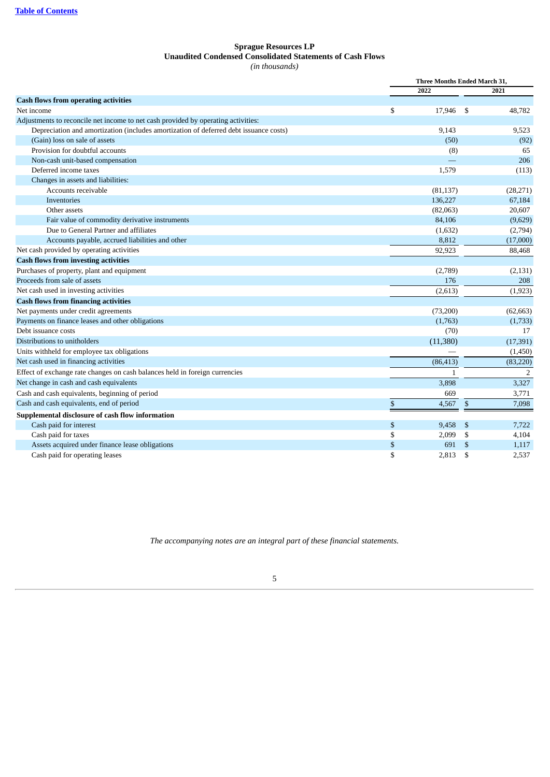### **Sprague Resources LP Unaudited Condensed Consolidated Statements of Cash Flows** *(in thousands)*

<span id="page-6-0"></span>

|                                                                                       | Three Months Ended March 31, |           |    |           |
|---------------------------------------------------------------------------------------|------------------------------|-----------|----|-----------|
|                                                                                       |                              | 2022      |    | 2021      |
| <b>Cash flows from operating activities</b>                                           |                              |           |    |           |
| Net income                                                                            | \$                           | 17,946    | \$ | 48,782    |
| Adjustments to reconcile net income to net cash provided by operating activities:     |                              |           |    |           |
| Depreciation and amortization (includes amortization of deferred debt issuance costs) |                              | 9,143     |    | 9,523     |
| (Gain) loss on sale of assets                                                         |                              | (50)      |    | (92)      |
| Provision for doubtful accounts                                                       |                              | (8)       |    | 65        |
| Non-cash unit-based compensation                                                      |                              |           |    | 206       |
| Deferred income taxes                                                                 |                              | 1,579     |    | (113)     |
| Changes in assets and liabilities:                                                    |                              |           |    |           |
| Accounts receivable                                                                   |                              | (81, 137) |    | (28, 271) |
| Inventories                                                                           |                              | 136,227   |    | 67,184    |
| Other assets                                                                          |                              | (82,063)  |    | 20,607    |
| Fair value of commodity derivative instruments                                        |                              | 84,106    |    | (9,629)   |
| Due to General Partner and affiliates                                                 |                              | (1,632)   |    | (2,794)   |
| Accounts payable, accrued liabilities and other                                       |                              | 8,812     |    | (17,000)  |
| Net cash provided by operating activities                                             |                              | 92,923    |    | 88,468    |
| <b>Cash flows from investing activities</b>                                           |                              |           |    |           |
| Purchases of property, plant and equipment                                            |                              | (2,789)   |    | (2, 131)  |
| Proceeds from sale of assets                                                          |                              | 176       |    | 208       |
| Net cash used in investing activities                                                 |                              | (2,613)   |    | (1,923)   |
| <b>Cash flows from financing activities</b>                                           |                              |           |    |           |
| Net payments under credit agreements                                                  |                              | (73,200)  |    | (62, 663) |
| Payments on finance leases and other obligations                                      |                              | (1,763)   |    | (1,733)   |
| Debt issuance costs                                                                   |                              | (70)      |    | 17        |
| Distributions to unitholders                                                          |                              | (11, 380) |    | (17, 391) |
| Units withheld for employee tax obligations                                           |                              |           |    | (1,450)   |
| Net cash used in financing activities                                                 |                              | (86, 413) |    | (83, 220) |
| Effect of exchange rate changes on cash balances held in foreign currencies           |                              | 1         |    | 2         |
| Net change in cash and cash equivalents                                               |                              | 3,898     |    | 3,327     |
| Cash and cash equivalents, beginning of period                                        |                              | 669       |    | 3,771     |
| Cash and cash equivalents, end of period                                              | \$                           | 4,567     | \$ | 7,098     |
| Supplemental disclosure of cash flow information                                      |                              |           |    |           |
| Cash paid for interest                                                                | \$                           | 9,458     | \$ | 7,722     |
| Cash paid for taxes                                                                   | \$                           | 2,099     | \$ | 4,104     |
| Assets acquired under finance lease obligations                                       | \$                           | 691       | \$ | 1,117     |
| Cash paid for operating leases                                                        | \$                           | 2,813     | \$ | 2,537     |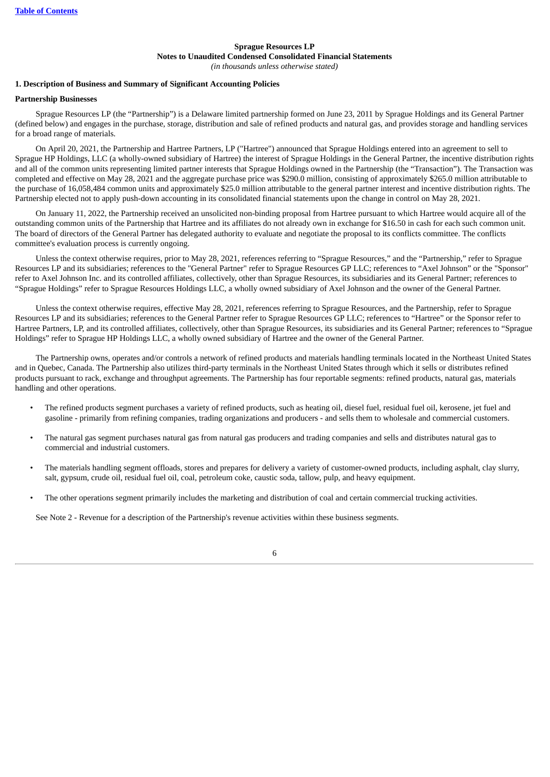### **Sprague Resources LP Notes to Unaudited Condensed Consolidated Financial Statements** *(in thousands unless otherwise stated)*

### **1. Description of Business and Summary of Significant Accounting Policies**

#### **Partnership Businesses**

Sprague Resources LP (the "Partnership") is a Delaware limited partnership formed on June 23, 2011 by Sprague Holdings and its General Partner (defined below) and engages in the purchase, storage, distribution and sale of refined products and natural gas, and provides storage and handling services for a broad range of materials.

On April 20, 2021, the Partnership and Hartree Partners, LP ("Hartree") announced that Sprague Holdings entered into an agreement to sell to Sprague HP Holdings, LLC (a wholly-owned subsidiary of Hartree) the interest of Sprague Holdings in the General Partner, the incentive distribution rights and all of the common units representing limited partner interests that Sprague Holdings owned in the Partnership (the "Transaction"). The Transaction was completed and effective on May 28, 2021 and the aggregate purchase price was \$290.0 million, consisting of approximately \$265.0 million attributable to the purchase of 16,058,484 common units and approximately \$25.0 million attributable to the general partner interest and incentive distribution rights. The Partnership elected not to apply push-down accounting in its consolidated financial statements upon the change in control on May 28, 2021.

On January 11, 2022, the Partnership received an unsolicited non-binding proposal from Hartree pursuant to which Hartree would acquire all of the outstanding common units of the Partnership that Hartree and its affiliates do not already own in exchange for \$16.50 in cash for each such common unit. The board of directors of the General Partner has delegated authority to evaluate and negotiate the proposal to its conflicts committee. The conflicts committee's evaluation process is currently ongoing.

Unless the context otherwise requires, prior to May 28, 2021, references referring to "Sprague Resources," and the "Partnership," refer to Sprague Resources LP and its subsidiaries; references to the "General Partner" refer to Sprague Resources GP LLC; references to "Axel Johnson" or the "Sponsor" refer to Axel Johnson Inc. and its controlled affiliates, collectively, other than Sprague Resources, its subsidiaries and its General Partner; references to "Sprague Holdings" refer to Sprague Resources Holdings LLC, a wholly owned subsidiary of Axel Johnson and the owner of the General Partner.

Unless the context otherwise requires, effective May 28, 2021, references referring to Sprague Resources, and the Partnership, refer to Sprague Resources LP and its subsidiaries; references to the General Partner refer to Sprague Resources GP LLC; references to "Hartree" or the Sponsor refer to Hartree Partners, LP, and its controlled affiliates, collectively, other than Sprague Resources, its subsidiaries and its General Partner; references to "Sprague Holdings" refer to Sprague HP Holdings LLC, a wholly owned subsidiary of Hartree and the owner of the General Partner.

The Partnership owns, operates and/or controls a network of refined products and materials handling terminals located in the Northeast United States and in Quebec, Canada. The Partnership also utilizes third-party terminals in the Northeast United States through which it sells or distributes refined products pursuant to rack, exchange and throughput agreements. The Partnership has four reportable segments: refined products, natural gas, materials handling and other operations.

- The refined products segment purchases a variety of refined products, such as heating oil, diesel fuel, residual fuel oil, kerosene, jet fuel and gasoline - primarily from refining companies, trading organizations and producers - and sells them to wholesale and commercial customers.
- The natural gas segment purchases natural gas from natural gas producers and trading companies and sells and distributes natural gas to commercial and industrial customers.
- The materials handling segment offloads, stores and prepares for delivery a variety of customer-owned products, including asphalt, clay slurry, salt, gypsum, crude oil, residual fuel oil, coal, petroleum coke, caustic soda, tallow, pulp, and heavy equipment.
- The other operations segment primarily includes the marketing and distribution of coal and certain commercial trucking activities.

See Note 2 - Revenue for a description of the Partnership's revenue activities within these business segments.

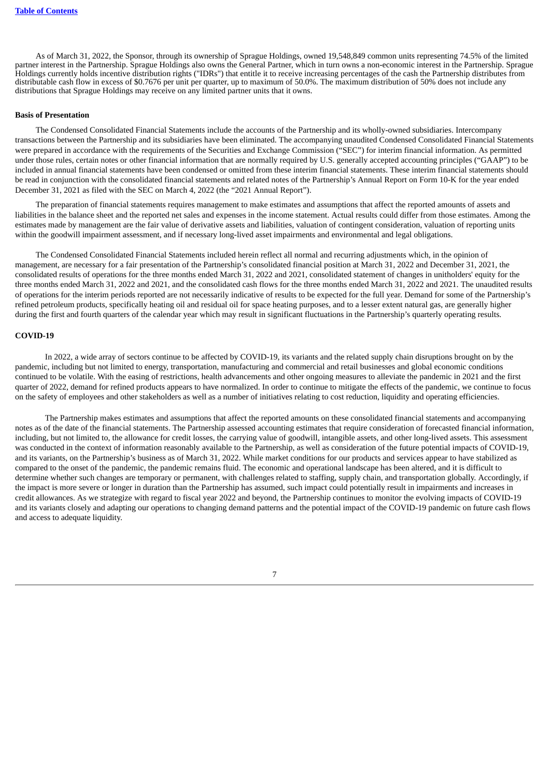As of March 31, 2022, the Sponsor, through its ownership of Sprague Holdings, owned 19,548,849 common units representing 74.5% of the limited partner interest in the Partnership. Sprague Holdings also owns the General Partner, which in turn owns a non-economic interest in the Partnership. Sprague Holdings currently holds incentive distribution rights ("IDRs") that entitle it to receive increasing percentages of the cash the Partnership distributes from distributable cash flow in excess of \$0.7676 per unit per quarter, up to maximum of 50.0%. The maximum distribution of 50% does not include any distributions that Sprague Holdings may receive on any limited partner units that it owns.

#### **Basis of Presentation**

The Condensed Consolidated Financial Statements include the accounts of the Partnership and its wholly-owned subsidiaries. Intercompany transactions between the Partnership and its subsidiaries have been eliminated. The accompanying unaudited Condensed Consolidated Financial Statements were prepared in accordance with the requirements of the Securities and Exchange Commission ("SEC") for interim financial information. As permitted under those rules, certain notes or other financial information that are normally required by U.S. generally accepted accounting principles ("GAAP") to be included in annual financial statements have been condensed or omitted from these interim financial statements. These interim financial statements should be read in conjunction with the consolidated financial statements and related notes of the Partnership's Annual Report on Form 10-K for the year ended December 31, 2021 as filed with the SEC on March 4, 2022 (the "2021 Annual Report").

The preparation of financial statements requires management to make estimates and assumptions that affect the reported amounts of assets and liabilities in the balance sheet and the reported net sales and expenses in the income statement. Actual results could differ from those estimates. Among the estimates made by management are the fair value of derivative assets and liabilities, valuation of contingent consideration, valuation of reporting units within the goodwill impairment assessment, and if necessary long-lived asset impairments and environmental and legal obligations.

The Condensed Consolidated Financial Statements included herein reflect all normal and recurring adjustments which, in the opinion of management, are necessary for a fair presentation of the Partnership's consolidated financial position at March 31, 2022 and December 31, 2021, the consolidated results of operations for the three months ended March 31, 2022 and 2021, consolidated statement of changes in unitholders' equity for the three months ended March 31, 2022 and 2021, and the consolidated cash flows for the three months ended March 31, 2022 and 2021. The unaudited results of operations for the interim periods reported are not necessarily indicative of results to be expected for the full year. Demand for some of the Partnership's refined petroleum products, specifically heating oil and residual oil for space heating purposes, and to a lesser extent natural gas, are generally higher during the first and fourth quarters of the calendar year which may result in significant fluctuations in the Partnership's quarterly operating results.

#### **COVID-19**

In 2022, a wide array of sectors continue to be affected by COVID-19, its variants and the related supply chain disruptions brought on by the pandemic, including but not limited to energy, transportation, manufacturing and commercial and retail businesses and global economic conditions continued to be volatile. With the easing of restrictions, health advancements and other ongoing measures to alleviate the pandemic in 2021 and the first quarter of 2022, demand for refined products appears to have normalized. In order to continue to mitigate the effects of the pandemic, we continue to focus on the safety of employees and other stakeholders as well as a number of initiatives relating to cost reduction, liquidity and operating efficiencies.

The Partnership makes estimates and assumptions that affect the reported amounts on these consolidated financial statements and accompanying notes as of the date of the financial statements. The Partnership assessed accounting estimates that require consideration of forecasted financial information, including, but not limited to, the allowance for credit losses, the carrying value of goodwill, intangible assets, and other long-lived assets. This assessment was conducted in the context of information reasonably available to the Partnership, as well as consideration of the future potential impacts of COVID-19, and its variants, on the Partnership's business as of March 31, 2022. While market conditions for our products and services appear to have stabilized as compared to the onset of the pandemic, the pandemic remains fluid. The economic and operational landscape has been altered, and it is difficult to determine whether such changes are temporary or permanent, with challenges related to staffing, supply chain, and transportation globally. Accordingly, if the impact is more severe or longer in duration than the Partnership has assumed, such impact could potentially result in impairments and increases in credit allowances. As we strategize with regard to fiscal year 2022 and beyond, the Partnership continues to monitor the evolving impacts of COVID-19 and its variants closely and adapting our operations to changing demand patterns and the potential impact of the COVID-19 pandemic on future cash flows and access to adequate liquidity.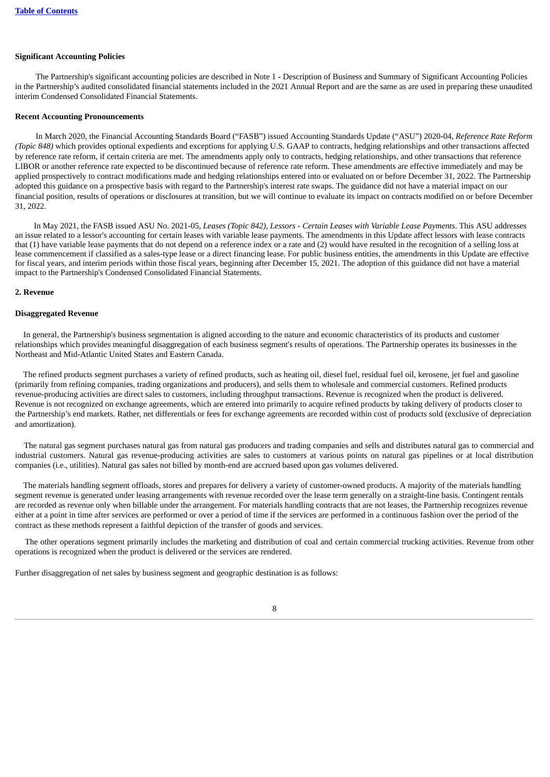### **Significant Accounting Policies**

The Partnership's significant accounting policies are described in Note 1 - Description of Business and Summary of Significant Accounting Policies in the Partnership's audited consolidated financial statements included in the 2021 Annual Report and are the same as are used in preparing these unaudited interim Condensed Consolidated Financial Statements.

### **Recent Accounting Pronouncements**

In March 2020, the Financial Accounting Standards Board ("FASB") issued Accounting Standards Update ("ASU") 2020-04, *Reference Rate Reform (Topic 848)* which provides optional expedients and exceptions for applying U.S. GAAP to contracts, hedging relationships and other transactions affected by reference rate reform, if certain criteria are met. The amendments apply only to contracts, hedging relationships, and other transactions that reference LIBOR or another reference rate expected to be discontinued because of reference rate reform. These amendments are effective immediately and may be applied prospectively to contract modifications made and hedging relationships entered into or evaluated on or before December 31, 2022. The Partnership adopted this guidance on a prospective basis with regard to the Partnership's interest rate swaps. The guidance did not have a material impact on our financial position, results of operations or disclosures at transition, but we will continue to evaluate its impact on contracts modified on or before December 31, 2022.

In May 2021, the FASB issued ASU No. 2021-05, *Leases (Topic 842), Lessors - Certain Leases with Variable Lease Payments*. This ASU addresses an issue related to a lessor's accounting for certain leases with variable lease payments. The amendments in this Update affect lessors with lease contracts that (1) have variable lease payments that do not depend on a reference index or a rate and (2) would have resulted in the recognition of a selling loss at lease commencement if classified as a sales-type lease or a direct financing lease. For public business entities, the amendments in this Update are effective for fiscal years, and interim periods within those fiscal years, beginning after December 15, 2021. The adoption of this guidance did not have a material impact to the Partnership's Condensed Consolidated Financial Statements.

#### **2. Revenue**

#### **Disaggregated Revenue**

In general, the Partnership's business segmentation is aligned according to the nature and economic characteristics of its products and customer relationships which provides meaningful disaggregation of each business segment's results of operations. The Partnership operates its businesses in the Northeast and Mid-Atlantic United States and Eastern Canada.

The refined products segment purchases a variety of refined products, such as heating oil, diesel fuel, residual fuel oil, kerosene, jet fuel and gasoline (primarily from refining companies, trading organizations and producers), and sells them to wholesale and commercial customers. Refined products revenue-producing activities are direct sales to customers, including throughput transactions. Revenue is recognized when the product is delivered. Revenue is not recognized on exchange agreements, which are entered into primarily to acquire refined products by taking delivery of products closer to the Partnership's end markets. Rather, net differentials or fees for exchange agreements are recorded within cost of products sold (exclusive of depreciation and amortization).

The natural gas segment purchases natural gas from natural gas producers and trading companies and sells and distributes natural gas to commercial and industrial customers. Natural gas revenue-producing activities are sales to customers at various points on natural gas pipelines or at local distribution companies (i.e., utilities). Natural gas sales not billed by month-end are accrued based upon gas volumes delivered.

The materials handling segment offloads, stores and prepares for delivery a variety of customer-owned products. A majority of the materials handling segment revenue is generated under leasing arrangements with revenue recorded over the lease term generally on a straight-line basis. Contingent rentals are recorded as revenue only when billable under the arrangement. For materials handling contracts that are not leases, the Partnership recognizes revenue either at a point in time after services are performed or over a period of time if the services are performed in a continuous fashion over the period of the contract as these methods represent a faithful depiction of the transfer of goods and services.

The other operations segment primarily includes the marketing and distribution of coal and certain commercial trucking activities. Revenue from other operations is recognized when the product is delivered or the services are rendered.

Further disaggregation of net sales by business segment and geographic destination is as follows: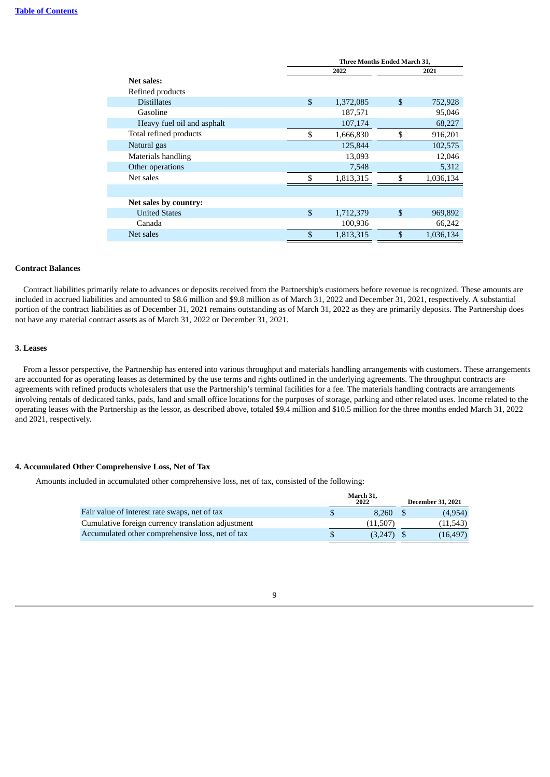|                            | <b>Three Months Ended March 31,</b> |           |                |           |  |  |
|----------------------------|-------------------------------------|-----------|----------------|-----------|--|--|
|                            |                                     | 2022      |                | 2021      |  |  |
| Net sales:                 |                                     |           |                |           |  |  |
| Refined products           |                                     |           |                |           |  |  |
| <b>Distillates</b>         | \$                                  | 1,372,085 | \$             | 752,928   |  |  |
| Gasoline                   |                                     | 187,571   |                | 95,046    |  |  |
| Heavy fuel oil and asphalt |                                     | 107,174   |                | 68,227    |  |  |
| Total refined products     | \$                                  | 1,666,830 | \$             | 916,201   |  |  |
| Natural gas                |                                     | 125,844   |                | 102,575   |  |  |
| Materials handling         |                                     | 13,093    |                | 12,046    |  |  |
| Other operations           |                                     | 7,548     |                | 5,312     |  |  |
| Net sales                  | \$                                  | 1.813.315 | \$             | 1,036,134 |  |  |
|                            |                                     |           |                |           |  |  |
| Net sales by country:      |                                     |           |                |           |  |  |
| <b>United States</b>       | \$                                  | 1,712,379 | \$             | 969,892   |  |  |
| Canada                     |                                     | 100,936   |                | 66,242    |  |  |
| Net sales                  | \$                                  | 1,813,315 | $\mathfrak{S}$ | 1,036,134 |  |  |

### **Contract Balances**

Contract liabilities primarily relate to advances or deposits received from the Partnership's customers before revenue is recognized. These amounts are included in accrued liabilities and amounted to \$8.6 million and \$9.8 million as of March 31, 2022 and December 31, 2021, respectively. A substantial portion of the contract liabilities as of December 31, 2021 remains outstanding as of March 31, 2022 as they are primarily deposits. The Partnership does not have any material contract assets as of March 31, 2022 or December 31, 2021.

### **3. Leases**

From a lessor perspective, the Partnership has entered into various throughput and materials handling arrangements with customers. These arrangements are accounted for as operating leases as determined by the use terms and rights outlined in the underlying agreements. The throughput contracts are agreements with refined products wholesalers that use the Partnership's terminal facilities for a fee. The materials handling contracts are arrangements involving rentals of dedicated tanks, pads, land and small office locations for the purposes of storage, parking and other related uses. Income related to the operating leases with the Partnership as the lessor, as described above, totaled \$9.4 million and \$10.5 million for the three months ended March 31, 2022 and 2021, respectively.

### **4. Accumulated Other Comprehensive Loss, Net of Tax**

Amounts included in accumulated other comprehensive loss, net of tax, consisted of the following:

|                                                    | March 31,<br>2022 | <b>December 31, 2021</b> |
|----------------------------------------------------|-------------------|--------------------------|
| Fair value of interest rate swaps, net of tax      | 8.260             | (4,954)                  |
| Cumulative foreign currency translation adjustment | (11,507)          | (11,543)                 |
| Accumulated other comprehensive loss, net of tax   | (3.247            | (16.497)                 |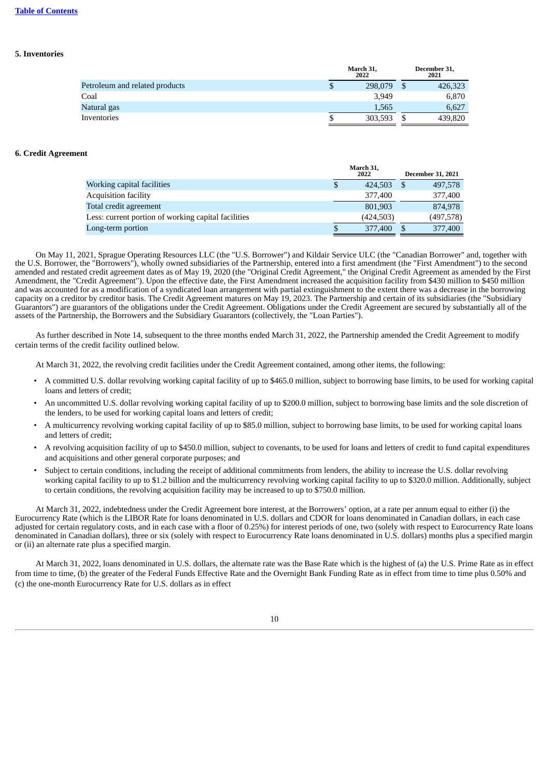### **Table of [Contents](#page-0-0)**

### **5. Inventories**

|                                |    | March 31,<br>2022 | December 31,<br>2021 |  |  |
|--------------------------------|----|-------------------|----------------------|--|--|
| Petroleum and related products | \$ | 298,079           | 426,323              |  |  |
| Coal                           |    | 3,949             | 6,870                |  |  |
| Natural gas                    |    | 1,565             | 6.627                |  |  |
| Inventories                    | Œ  | 303.593           | 439,820              |  |  |

### **6. Credit Agreement**

|                                                     | March 31.<br>2022 | <b>December 31, 2021</b> |
|-----------------------------------------------------|-------------------|--------------------------|
| Working capital facilities                          | \$<br>424,503     | 497,578                  |
| <b>Acquisition facility</b>                         | 377,400           | 377,400                  |
| Total credit agreement                              | 801,903           | 874,978                  |
| Less: current portion of working capital facilities | (424,503)         | (497, 578)               |
| Long-term portion                                   | 377,400           | 377,400                  |
|                                                     |                   |                          |

On May 11, 2021, Sprague Operating Resources LLC (the "U.S. Borrower") and Kildair Service ULC (the "Canadian Borrower" and, together with the U.S. Borrower, the "Borrowers"), wholly owned subsidiaries of the Partnership, entered into a first amendment (the "First Amendment") to the second amended and restated credit agreement dates as of May 19, 2020 (the "Original Credit Agreement," the Original Credit Agreement as amended by the First Amendment, the "Credit Agreement"). Upon the effective date, the First Amendment increased the acquisition facility from \$430 million to \$450 million and was accounted for as a modification of a syndicated loan arrangement with partial extinguishment to the extent there was a decrease in the borrowing capacity on a creditor by creditor basis. The Credit Agreement matures on May 19, 2023. The Partnership and certain of its subsidiaries (the "Subsidiary Guarantors") are guarantors of the obligations under the Credit Agreement. Obligations under the Credit Agreement are secured by substantially all of the assets of the Partnership, the Borrowers and the Subsidiary Guarantors (collectively, the "Loan Parties").

As further described in Note 14, subsequent to the three months ended March 31, 2022, the Partnership amended the Credit Agreement to modify certain terms of the credit facility outlined below.

At March 31, 2022, the revolving credit facilities under the Credit Agreement contained, among other items, the following:

- A committed U.S. dollar revolving working capital facility of up to \$465.0 million, subject to borrowing base limits, to be used for working capital loans and letters of credit;
- An uncommitted U.S. dollar revolving working capital facility of up to \$200.0 million, subject to borrowing base limits and the sole discretion of the lenders, to be used for working capital loans and letters of credit;
- A multicurrency revolving working capital facility of up to \$85.0 million, subject to borrowing base limits, to be used for working capital loans and letters of credit;
- A revolving acquisition facility of up to \$450.0 million, subject to covenants, to be used for loans and letters of credit to fund capital expenditures and acquisitions and other general corporate purposes; and
- Subject to certain conditions, including the receipt of additional commitments from lenders, the ability to increase the U.S. dollar revolving working capital facility to up to \$1.2 billion and the multicurrency revolving working capital facility to up to \$320.0 million. Additionally, subject to certain conditions, the revolving acquisition facility may be increased to up to \$750.0 million.

At March 31, 2022, indebtedness under the Credit Agreement bore interest, at the Borrowers' option, at a rate per annum equal to either (i) the Eurocurrency Rate (which is the LIBOR Rate for loans denominated in U.S. dollars and CDOR for loans denominated in Canadian dollars, in each case adjusted for certain regulatory costs, and in each case with a floor of 0.25%) for interest periods of one, two (solely with respect to Eurocurrency Rate loans denominated in Canadian dollars), three or six (solely with respect to Eurocurrency Rate loans denominated in U.S. dollars) months plus a specified margin or (ii) an alternate rate plus a specified margin.

At March 31, 2022, loans denominated in U.S. dollars, the alternate rate was the Base Rate which is the highest of (a) the U.S. Prime Rate as in effect from time to time, (b) the greater of the Federal Funds Effective Rate and the Overnight Bank Funding Rate as in effect from time to time plus 0.50% and (c) the one-month Eurocurrency Rate for U.S. dollars as in effect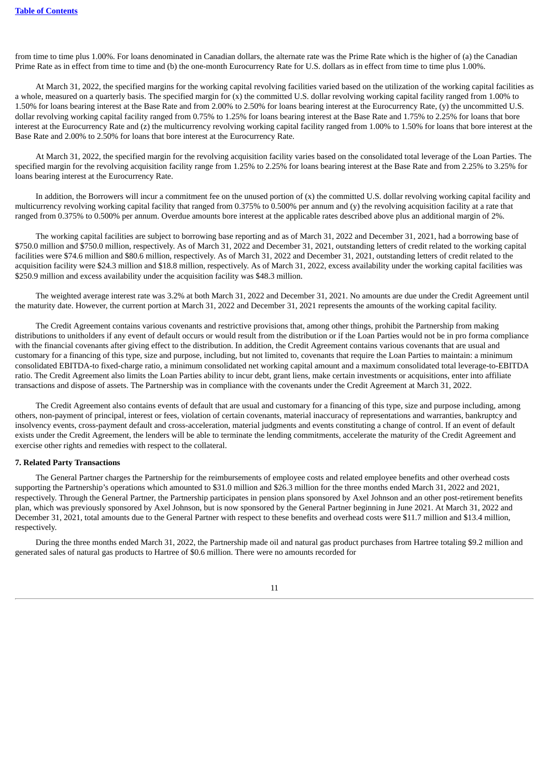from time to time plus 1.00%. For loans denominated in Canadian dollars, the alternate rate was the Prime Rate which is the higher of (a) the Canadian Prime Rate as in effect from time to time and (b) the one-month Eurocurrency Rate for U.S. dollars as in effect from time to time plus 1.00%.

At March 31, 2022, the specified margins for the working capital revolving facilities varied based on the utilization of the working capital facilities as a whole, measured on a quarterly basis. The specified margin for (x) the committed U.S. dollar revolving working capital facility ranged from 1.00% to 1.50% for loans bearing interest at the Base Rate and from 2.00% to 2.50% for loans bearing interest at the Eurocurrency Rate, (y) the uncommitted U.S. dollar revolving working capital facility ranged from 0.75% to 1.25% for loans bearing interest at the Base Rate and 1.75% to 2.25% for loans that bore interest at the Eurocurrency Rate and (z) the multicurrency revolving working capital facility ranged from 1.00% to 1.50% for loans that bore interest at the Base Rate and 2.00% to 2.50% for loans that bore interest at the Eurocurrency Rate.

At March 31, 2022, the specified margin for the revolving acquisition facility varies based on the consolidated total leverage of the Loan Parties. The specified margin for the revolving acquisition facility range from 1.25% to 2.25% for loans bearing interest at the Base Rate and from 2.25% to 3.25% for loans bearing interest at the Eurocurrency Rate.

In addition, the Borrowers will incur a commitment fee on the unused portion of (x) the committed U.S. dollar revolving working capital facility and multicurrency revolving working capital facility that ranged from 0.375% to 0.500% per annum and (y) the revolving acquisition facility at a rate that ranged from 0.375% to 0.500% per annum. Overdue amounts bore interest at the applicable rates described above plus an additional margin of 2%.

The working capital facilities are subject to borrowing base reporting and as of March 31, 2022 and December 31, 2021, had a borrowing base of \$750.0 million and \$750.0 million, respectively. As of March 31, 2022 and December 31, 2021, outstanding letters of credit related to the working capital facilities were \$74.6 million and \$80.6 million, respectively. As of March 31, 2022 and December 31, 2021, outstanding letters of credit related to the acquisition facility were \$24.3 million and \$18.8 million, respectively. As of March 31, 2022, excess availability under the working capital facilities was \$250.9 million and excess availability under the acquisition facility was \$48.3 million.

The weighted average interest rate was 3.2% at both March 31, 2022 and December 31, 2021. No amounts are due under the Credit Agreement until the maturity date. However, the current portion at March 31, 2022 and December 31, 2021 represents the amounts of the working capital facility.

The Credit Agreement contains various covenants and restrictive provisions that, among other things, prohibit the Partnership from making distributions to unitholders if any event of default occurs or would result from the distribution or if the Loan Parties would not be in pro forma compliance with the financial covenants after giving effect to the distribution. In addition, the Credit Agreement contains various covenants that are usual and customary for a financing of this type, size and purpose, including, but not limited to, covenants that require the Loan Parties to maintain: a minimum consolidated EBITDA-to fixed-charge ratio, a minimum consolidated net working capital amount and a maximum consolidated total leverage-to-EBITDA ratio. The Credit Agreement also limits the Loan Parties ability to incur debt, grant liens, make certain investments or acquisitions, enter into affiliate transactions and dispose of assets. The Partnership was in compliance with the covenants under the Credit Agreement at March 31, 2022.

The Credit Agreement also contains events of default that are usual and customary for a financing of this type, size and purpose including, among others, non-payment of principal, interest or fees, violation of certain covenants, material inaccuracy of representations and warranties, bankruptcy and insolvency events, cross-payment default and cross-acceleration, material judgments and events constituting a change of control. If an event of default exists under the Credit Agreement, the lenders will be able to terminate the lending commitments, accelerate the maturity of the Credit Agreement and exercise other rights and remedies with respect to the collateral.

#### **7. Related Party Transactions**

The General Partner charges the Partnership for the reimbursements of employee costs and related employee benefits and other overhead costs supporting the Partnership's operations which amounted to \$31.0 million and \$26.3 million for the three months ended March 31, 2022 and 2021, respectively. Through the General Partner, the Partnership participates in pension plans sponsored by Axel Johnson and an other post-retirement benefits plan, which was previously sponsored by Axel Johnson, but is now sponsored by the General Partner beginning in June 2021. At March 31, 2022 and December 31, 2021, total amounts due to the General Partner with respect to these benefits and overhead costs were \$11.7 million and \$13.4 million, respectively.

During the three months ended March 31, 2022, the Partnership made oil and natural gas product purchases from Hartree totaling \$9.2 million and generated sales of natural gas products to Hartree of \$0.6 million. There were no amounts recorded for

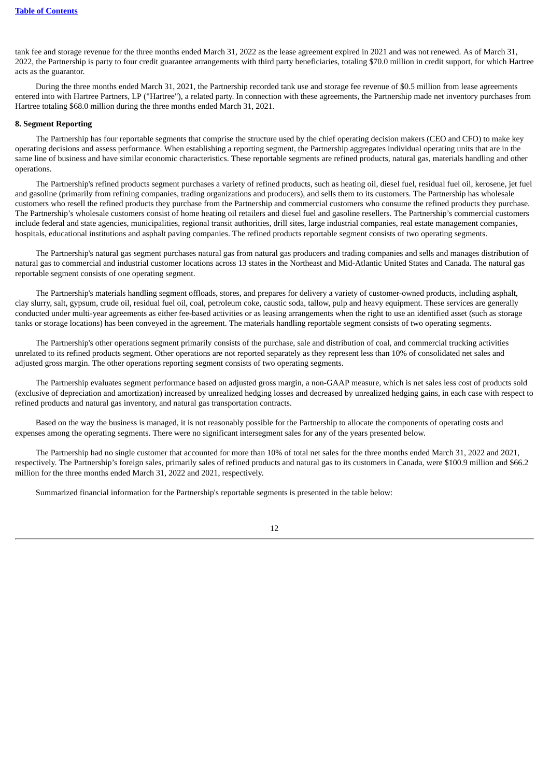tank fee and storage revenue for the three months ended March 31, 2022 as the lease agreement expired in 2021 and was not renewed. As of March 31, 2022, the Partnership is party to four credit guarantee arrangements with third party beneficiaries, totaling \$70.0 million in credit support, for which Hartree acts as the guarantor.

During the three months ended March 31, 2021, the Partnership recorded tank use and storage fee revenue of \$0.5 million from lease agreements entered into with Hartree Partners, LP ("Hartree"), a related party. In connection with these agreements, the Partnership made net inventory purchases from Hartree totaling \$68.0 million during the three months ended March 31, 2021.

#### **8. Segment Reporting**

The Partnership has four reportable segments that comprise the structure used by the chief operating decision makers (CEO and CFO) to make key operating decisions and assess performance. When establishing a reporting segment, the Partnership aggregates individual operating units that are in the same line of business and have similar economic characteristics. These reportable segments are refined products, natural gas, materials handling and other operations.

The Partnership's refined products segment purchases a variety of refined products, such as heating oil, diesel fuel, residual fuel oil, kerosene, jet fuel and gasoline (primarily from refining companies, trading organizations and producers), and sells them to its customers. The Partnership has wholesale customers who resell the refined products they purchase from the Partnership and commercial customers who consume the refined products they purchase. The Partnership's wholesale customers consist of home heating oil retailers and diesel fuel and gasoline resellers. The Partnership's commercial customers include federal and state agencies, municipalities, regional transit authorities, drill sites, large industrial companies, real estate management companies, hospitals, educational institutions and asphalt paving companies. The refined products reportable segment consists of two operating segments.

The Partnership's natural gas segment purchases natural gas from natural gas producers and trading companies and sells and manages distribution of natural gas to commercial and industrial customer locations across 13 states in the Northeast and Mid-Atlantic United States and Canada. The natural gas reportable segment consists of one operating segment.

The Partnership's materials handling segment offloads, stores, and prepares for delivery a variety of customer-owned products, including asphalt, clay slurry, salt, gypsum, crude oil, residual fuel oil, coal, petroleum coke, caustic soda, tallow, pulp and heavy equipment. These services are generally conducted under multi-year agreements as either fee-based activities or as leasing arrangements when the right to use an identified asset (such as storage tanks or storage locations) has been conveyed in the agreement. The materials handling reportable segment consists of two operating segments.

The Partnership's other operations segment primarily consists of the purchase, sale and distribution of coal, and commercial trucking activities unrelated to its refined products segment. Other operations are not reported separately as they represent less than 10% of consolidated net sales and adjusted gross margin. The other operations reporting segment consists of two operating segments.

The Partnership evaluates segment performance based on adjusted gross margin, a non-GAAP measure, which is net sales less cost of products sold (exclusive of depreciation and amortization) increased by unrealized hedging losses and decreased by unrealized hedging gains, in each case with respect to refined products and natural gas inventory, and natural gas transportation contracts.

Based on the way the business is managed, it is not reasonably possible for the Partnership to allocate the components of operating costs and expenses among the operating segments. There were no significant intersegment sales for any of the years presented below.

The Partnership had no single customer that accounted for more than 10% of total net sales for the three months ended March 31, 2022 and 2021, respectively. The Partnership's foreign sales, primarily sales of refined products and natural gas to its customers in Canada, were \$100.9 million and \$66.2 million for the three months ended March 31, 2022 and 2021, respectively.

Summarized financial information for the Partnership's reportable segments is presented in the table below: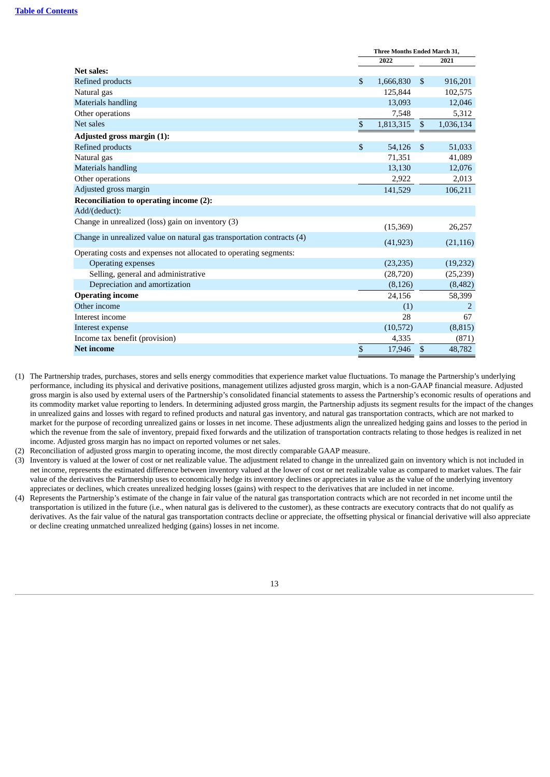|                                                                        | <b>Three Months Ended March 31,</b> |           |                |           |  |
|------------------------------------------------------------------------|-------------------------------------|-----------|----------------|-----------|--|
|                                                                        |                                     | 2022      |                | 2021      |  |
| <b>Net sales:</b>                                                      |                                     |           |                |           |  |
| <b>Refined products</b>                                                | \$                                  | 1,666,830 | $\mathfrak{S}$ | 916,201   |  |
| Natural gas                                                            |                                     | 125,844   |                | 102,575   |  |
| <b>Materials handling</b>                                              |                                     | 13,093    |                | 12,046    |  |
| Other operations                                                       |                                     | 7,548     |                | 5,312     |  |
| Net sales                                                              | \$                                  | 1,813,315 | $\mathfrak{S}$ | 1,036,134 |  |
| Adjusted gross margin (1):                                             |                                     |           |                |           |  |
| Refined products                                                       | \$                                  | 54,126    | $\mathbb{S}$   | 51,033    |  |
| Natural gas                                                            |                                     | 71,351    |                | 41,089    |  |
| <b>Materials handling</b>                                              |                                     | 13,130    |                | 12,076    |  |
| Other operations                                                       |                                     | 2,922     |                | 2,013     |  |
| Adjusted gross margin                                                  |                                     | 141,529   |                | 106,211   |  |
| Reconciliation to operating income (2):                                |                                     |           |                |           |  |
| Add/(deduct):                                                          |                                     |           |                |           |  |
| Change in unrealized (loss) gain on inventory (3)                      |                                     | (15,369)  |                | 26,257    |  |
| Change in unrealized value on natural gas transportation contracts (4) |                                     | (41, 923) |                | (21, 116) |  |
| Operating costs and expenses not allocated to operating segments:      |                                     |           |                |           |  |
| <b>Operating expenses</b>                                              |                                     | (23, 235) |                | (19, 232) |  |
| Selling, general and administrative                                    |                                     | (28, 720) |                | (25, 239) |  |
| Depreciation and amortization                                          |                                     | (8, 126)  |                | (8,482)   |  |
| <b>Operating income</b>                                                |                                     | 24,156    |                | 58,399    |  |
| Other income                                                           |                                     | (1)       |                | 2         |  |
| Interest income                                                        |                                     | 28        |                | 67        |  |
| Interest expense                                                       |                                     | (10,572)  |                | (8, 815)  |  |
| Income tax benefit (provision)                                         |                                     | 4,335     |                | (871)     |  |
| <b>Net income</b>                                                      | \$                                  | 17,946    | $\mathbb{S}$   | 48,782    |  |

- (1) The Partnership trades, purchases, stores and sells energy commodities that experience market value fluctuations. To manage the Partnership's underlying performance, including its physical and derivative positions, management utilizes adjusted gross margin, which is a non-GAAP financial measure. Adjusted gross margin is also used by external users of the Partnership's consolidated financial statements to assess the Partnership's economic results of operations and its commodity market value reporting to lenders. In determining adjusted gross margin, the Partnership adjusts its segment results for the impact of the changes in unrealized gains and losses with regard to refined products and natural gas inventory, and natural gas transportation contracts, which are not marked to market for the purpose of recording unrealized gains or losses in net income. These adjustments align the unrealized hedging gains and losses to the period in which the revenue from the sale of inventory, prepaid fixed forwards and the utilization of transportation contracts relating to those hedges is realized in net income. Adjusted gross margin has no impact on reported volumes or net sales.
- (2) Reconciliation of adjusted gross margin to operating income, the most directly comparable GAAP measure.
- (3) Inventory is valued at the lower of cost or net realizable value. The adjustment related to change in the unrealized gain on inventory which is not included in net income, represents the estimated difference between inventory valued at the lower of cost or net realizable value as compared to market values. The fair value of the derivatives the Partnership uses to economically hedge its inventory declines or appreciates in value as the value of the underlying inventory appreciates or declines, which creates unrealized hedging losses (gains) with respect to the derivatives that are included in net income.
- (4) Represents the Partnership's estimate of the change in fair value of the natural gas transportation contracts which are not recorded in net income until the transportation is utilized in the future (i.e., when natural gas is delivered to the customer), as these contracts are executory contracts that do not qualify as derivatives. As the fair value of the natural gas transportation contracts decline or appreciate, the offsetting physical or financial derivative will also appreciate or decline creating unmatched unrealized hedging (gains) losses in net income.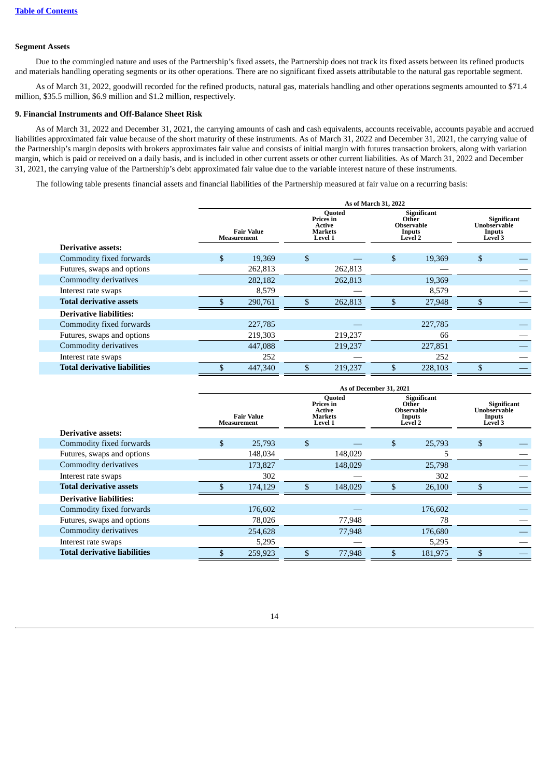### **Segment Assets**

Due to the commingled nature and uses of the Partnership's fixed assets, the Partnership does not track its fixed assets between its refined products and materials handling operating segments or its other operations. There are no significant fixed assets attributable to the natural gas reportable segment.

As of March 31, 2022, goodwill recorded for the refined products, natural gas, materials handling and other operations segments amounted to \$71.4 million, \$35.5 million, \$6.9 million and \$1.2 million, respectively.

### **9. Financial Instruments and Off-Balance Sheet Risk**

As of March 31, 2022 and December 31, 2021, the carrying amounts of cash and cash equivalents, accounts receivable, accounts payable and accrued liabilities approximated fair value because of the short maturity of these instruments. As of March 31, 2022 and December 31, 2021, the carrying value of the Partnership's margin deposits with brokers approximates fair value and consists of initial margin with futures transaction brokers, along with variation margin, which is paid or received on a daily basis, and is included in other current assets or other current liabilities. As of March 31, 2022 and December 31, 2021, the carrying value of the Partnership's debt approximated fair value due to the variable interest nature of these instruments.

The following table presents financial assets and financial liabilities of the Partnership measured at fair value on a recurring basis:

|                                     | As of March 31, 2022             |         |                                                                   |         |                                                                       |         |                                   |             |
|-------------------------------------|----------------------------------|---------|-------------------------------------------------------------------|---------|-----------------------------------------------------------------------|---------|-----------------------------------|-------------|
|                                     | <b>Fair Value</b><br>Measurement |         | <b>Quoted</b><br>Prices in<br><b>Active</b><br>Markets<br>Level 1 |         | <b>Significant</b><br>Other<br><b>Observable</b><br>Inputs<br>Level 2 |         | Unobservable<br>Inputs<br>Level 3 | Significant |
| <b>Derivative assets:</b>           |                                  |         |                                                                   |         |                                                                       |         |                                   |             |
| Commodity fixed forwards            | \$                               | 19,369  | $\mathbb{S}$                                                      |         | \$                                                                    | 19,369  | \$                                |             |
| Futures, swaps and options          |                                  | 262,813 |                                                                   | 262,813 |                                                                       |         |                                   |             |
| Commodity derivatives               |                                  | 282,182 |                                                                   | 262,813 |                                                                       | 19,369  |                                   |             |
| Interest rate swaps                 |                                  | 8,579   |                                                                   |         |                                                                       | 8,579   |                                   |             |
| <b>Total derivative assets</b>      |                                  | 290,761 |                                                                   | 262,813 | \$                                                                    | 27,948  | \$                                |             |
| <b>Derivative liabilities:</b>      |                                  |         |                                                                   |         |                                                                       |         |                                   |             |
| Commodity fixed forwards            |                                  | 227,785 |                                                                   |         |                                                                       | 227,785 |                                   |             |
| Futures, swaps and options          |                                  | 219,303 |                                                                   | 219,237 |                                                                       | 66      |                                   |             |
| Commodity derivatives               |                                  | 447,088 |                                                                   | 219,237 |                                                                       | 227,851 |                                   |             |
| Interest rate swaps                 |                                  | 252     |                                                                   |         |                                                                       | 252     |                                   |             |
| <b>Total derivative liabilities</b> |                                  | 447,340 | \$                                                                | 219,237 | \$                                                                    | 228,103 |                                   |             |

|                                     | As of December 31, 2021                 |         |                |                                                                   |    |                                                                |                                   |             |
|-------------------------------------|-----------------------------------------|---------|----------------|-------------------------------------------------------------------|----|----------------------------------------------------------------|-----------------------------------|-------------|
|                                     | <b>Fair Value</b><br><b>Measurement</b> |         |                | Quoted<br>Prices in<br><b>Active</b><br><b>Markets</b><br>Level 1 |    | Significant<br>Other<br><b>Observable</b><br>Inputs<br>Level 2 | Unobservable<br>Inputs<br>Level 3 | Significant |
| <b>Derivative assets:</b>           |                                         |         |                |                                                                   |    |                                                                |                                   |             |
| Commodity fixed forwards            | \$                                      | 25,793  | $\mathfrak{L}$ |                                                                   | \$ | 25,793                                                         | \$                                |             |
| Futures, swaps and options          |                                         | 148,034 |                | 148,029                                                           |    | כ                                                              |                                   |             |
| Commodity derivatives               |                                         | 173,827 |                | 148,029                                                           |    | 25,798                                                         |                                   |             |
| Interest rate swaps                 |                                         | 302     |                |                                                                   |    | 302                                                            |                                   |             |
| <b>Total derivative assets</b>      |                                         | 174,129 | \$             | 148,029                                                           |    | 26,100                                                         | \$                                |             |
| <b>Derivative liabilities:</b>      |                                         |         |                |                                                                   |    |                                                                |                                   |             |
| Commodity fixed forwards            |                                         | 176,602 |                |                                                                   |    | 176,602                                                        |                                   |             |
| Futures, swaps and options          |                                         | 78,026  |                | 77,948                                                            |    | 78                                                             |                                   |             |
| Commodity derivatives               |                                         | 254,628 |                | 77,948                                                            |    | 176,680                                                        |                                   |             |
| Interest rate swaps                 |                                         | 5,295   |                |                                                                   |    | 5,295                                                          |                                   |             |
| <b>Total derivative liabilities</b> |                                         | 259,923 |                | 77,948                                                            | \$ | 181,975                                                        |                                   |             |

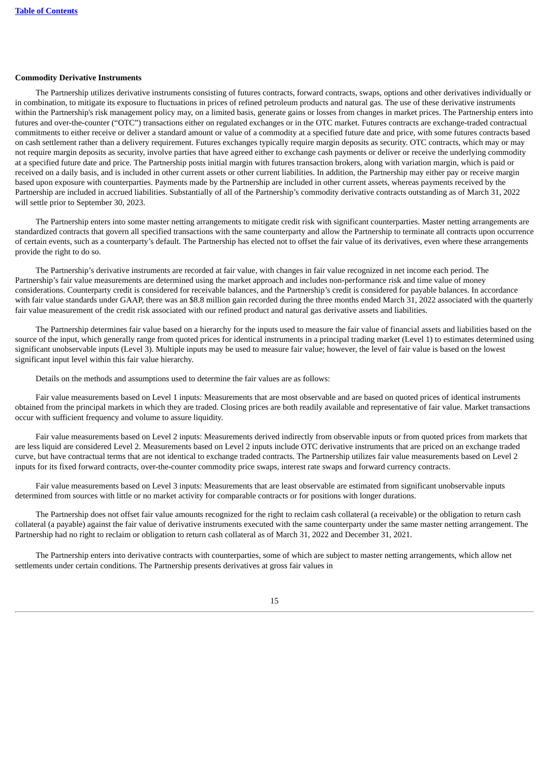#### **Commodity Derivative Instruments**

The Partnership utilizes derivative instruments consisting of futures contracts, forward contracts, swaps, options and other derivatives individually or in combination, to mitigate its exposure to fluctuations in prices of refined petroleum products and natural gas. The use of these derivative instruments within the Partnership's risk management policy may, on a limited basis, generate gains or losses from changes in market prices. The Partnership enters into futures and over-the-counter ("OTC") transactions either on regulated exchanges or in the OTC market. Futures contracts are exchange-traded contractual commitments to either receive or deliver a standard amount or value of a commodity at a specified future date and price, with some futures contracts based on cash settlement rather than a delivery requirement. Futures exchanges typically require margin deposits as security. OTC contracts, which may or may not require margin deposits as security, involve parties that have agreed either to exchange cash payments or deliver or receive the underlying commodity at a specified future date and price. The Partnership posts initial margin with futures transaction brokers, along with variation margin, which is paid or received on a daily basis, and is included in other current assets or other current liabilities. In addition, the Partnership may either pay or receive margin based upon exposure with counterparties. Payments made by the Partnership are included in other current assets, whereas payments received by the Partnership are included in accrued liabilities. Substantially of all of the Partnership's commodity derivative contracts outstanding as of March 31, 2022 will settle prior to September 30, 2023.

The Partnership enters into some master netting arrangements to mitigate credit risk with significant counterparties. Master netting arrangements are standardized contracts that govern all specified transactions with the same counterparty and allow the Partnership to terminate all contracts upon occurrence of certain events, such as a counterparty's default. The Partnership has elected not to offset the fair value of its derivatives, even where these arrangements provide the right to do so.

The Partnership's derivative instruments are recorded at fair value, with changes in fair value recognized in net income each period. The Partnership's fair value measurements are determined using the market approach and includes non-performance risk and time value of money considerations. Counterparty credit is considered for receivable balances, and the Partnership's credit is considered for payable balances. In accordance with fair value standards under GAAP, there was an \$8.8 million gain recorded during the three months ended March 31, 2022 associated with the quarterly fair value measurement of the credit risk associated with our refined product and natural gas derivative assets and liabilities.

The Partnership determines fair value based on a hierarchy for the inputs used to measure the fair value of financial assets and liabilities based on the source of the input, which generally range from quoted prices for identical instruments in a principal trading market (Level 1) to estimates determined using significant unobservable inputs (Level 3). Multiple inputs may be used to measure fair value; however, the level of fair value is based on the lowest significant input level within this fair value hierarchy.

Details on the methods and assumptions used to determine the fair values are as follows:

Fair value measurements based on Level 1 inputs: Measurements that are most observable and are based on quoted prices of identical instruments obtained from the principal markets in which they are traded. Closing prices are both readily available and representative of fair value. Market transactions occur with sufficient frequency and volume to assure liquidity.

Fair value measurements based on Level 2 inputs: Measurements derived indirectly from observable inputs or from quoted prices from markets that are less liquid are considered Level 2. Measurements based on Level 2 inputs include OTC derivative instruments that are priced on an exchange traded curve, but have contractual terms that are not identical to exchange traded contracts. The Partnership utilizes fair value measurements based on Level 2 inputs for its fixed forward contracts, over-the-counter commodity price swaps, interest rate swaps and forward currency contracts.

Fair value measurements based on Level 3 inputs: Measurements that are least observable are estimated from significant unobservable inputs determined from sources with little or no market activity for comparable contracts or for positions with longer durations.

The Partnership does not offset fair value amounts recognized for the right to reclaim cash collateral (a receivable) or the obligation to return cash collateral (a payable) against the fair value of derivative instruments executed with the same counterparty under the same master netting arrangement. The Partnership had no right to reclaim or obligation to return cash collateral as of March 31, 2022 and December 31, 2021.

The Partnership enters into derivative contracts with counterparties, some of which are subject to master netting arrangements, which allow net settlements under certain conditions. The Partnership presents derivatives at gross fair values in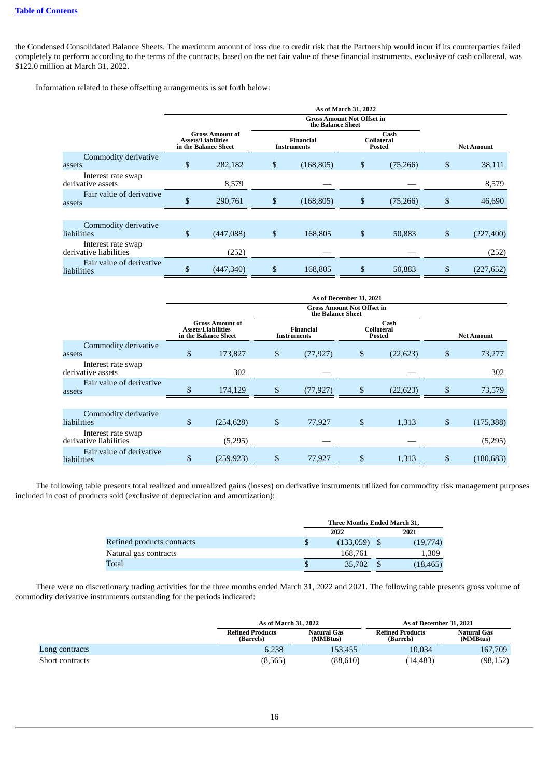the Condensed Consolidated Balance Sheets. The maximum amount of loss due to credit risk that the Partnership would incur if its counterparties failed completely to perform according to the terms of the contracts, based on the net fair value of these financial instruments, exclusive of cash collateral, was \$122.0 million at March 31, 2022.

Information related to these offsetting arrangements is set forth below:

|                                              |                                                                             |    |                                 | As of March 31, 2022              |                              |                   |
|----------------------------------------------|-----------------------------------------------------------------------------|----|---------------------------------|-----------------------------------|------------------------------|-------------------|
|                                              |                                                                             |    | the Balance Sheet               | <b>Gross Amount Not Offset in</b> |                              |                   |
|                                              | <b>Gross Amount of</b><br><b>Assets/Liabilities</b><br>in the Balance Sheet |    | Financial<br><b>Instruments</b> |                                   | Cash<br>Collateral<br>Posted | <b>Net Amount</b> |
| Commodity derivative<br>assets               | \$<br>282,182                                                               | \$ | (168, 805)                      | \$                                | (75,266)                     | \$<br>38,111      |
| Interest rate swap<br>derivative assets      | 8,579                                                                       |    |                                 |                                   |                              | 8,579             |
| Fair value of derivative<br>assets           | \$<br>290,761                                                               | \$ | (168, 805)                      | \$                                | (75,266)                     | \$<br>46,690      |
|                                              |                                                                             |    |                                 |                                   |                              |                   |
| Commodity derivative<br>liabilities          | \$<br>(447,088)                                                             | \$ | 168,805                         | \$                                | 50,883                       | \$<br>(227, 400)  |
| Interest rate swap<br>derivative liabilities | (252)                                                                       |    |                                 |                                   |                              | (252)             |
| Fair value of derivative<br>liabilities      | \$<br>(447, 340)                                                            | \$ | 168,805                         | \$                                | 50,883                       | \$<br>(227, 652)  |

|                                              | As of December 31, 2021                                                     |    |                                        |    |                              |    |                   |  |  |
|----------------------------------------------|-----------------------------------------------------------------------------|----|----------------------------------------|----|------------------------------|----|-------------------|--|--|
|                                              | <b>Gross Amount Not Offset in</b><br>the Balance Sheet                      |    |                                        |    |                              |    |                   |  |  |
|                                              | <b>Gross Amount of</b><br><b>Assets/Liabilities</b><br>in the Balance Sheet |    | <b>Financial</b><br><b>Instruments</b> |    | Cash<br>Collateral<br>Posted |    | <b>Net Amount</b> |  |  |
| Commodity derivative<br>assets               | \$<br>173,827                                                               | \$ | (77, 927)                              | \$ | (22, 623)                    | \$ | 73,277            |  |  |
| Interest rate swap<br>derivative assets      | 302                                                                         |    |                                        |    |                              |    | 302               |  |  |
| Fair value of derivative<br>assets           | 174,129                                                                     | \$ | (77, 927)                              | \$ | (22, 623)                    | \$ | 73,579            |  |  |
|                                              |                                                                             |    |                                        |    |                              |    |                   |  |  |
| Commodity derivative<br>liabilities          | \$<br>(254, 628)                                                            | \$ | 77,927                                 | \$ | 1,313                        | \$ | (175, 388)        |  |  |
| Interest rate swap<br>derivative liabilities | (5,295)                                                                     |    |                                        |    |                              |    | (5,295)           |  |  |
| Fair value of derivative<br>liabilities      | (259, 923)                                                                  | \$ | 77,927                                 | \$ | 1,313                        | \$ | (180, 683)        |  |  |

The following table presents total realized and unrealized gains (losses) on derivative instruments utilized for commodity risk management purposes included in cost of products sold (exclusive of depreciation and amortization):

|                            |   | Three Months Ended March 31, |  |           |  |  |  |
|----------------------------|---|------------------------------|--|-----------|--|--|--|
|                            |   | 2022                         |  | 2021      |  |  |  |
| Refined products contracts |   | (133,059)                    |  | (19,774)  |  |  |  |
| Natural gas contracts      |   | 168,761                      |  | 1,309     |  |  |  |
| Total                      | ь | 35,702                       |  | (18, 465) |  |  |  |

There were no discretionary trading activities for the three months ended March 31, 2022 and 2021. The following table presents gross volume of commodity derivative instruments outstanding for the periods indicated:

|                 | As of March 31, 2022                 |                                | As of December 31, 2021              |                                |  |
|-----------------|--------------------------------------|--------------------------------|--------------------------------------|--------------------------------|--|
|                 | <b>Refined Products</b><br>(Barrels) | <b>Natural Gas</b><br>(MMBtus) | <b>Refined Products</b><br>(Barrels) | <b>Natural Gas</b><br>(MMBtus) |  |
| Long contracts  | 6.238                                | 153.455                        | 10.034                               | 167,709                        |  |
| Short contracts | (8, 565)                             | (88,610)                       | (14, 483)                            | (98, 152)                      |  |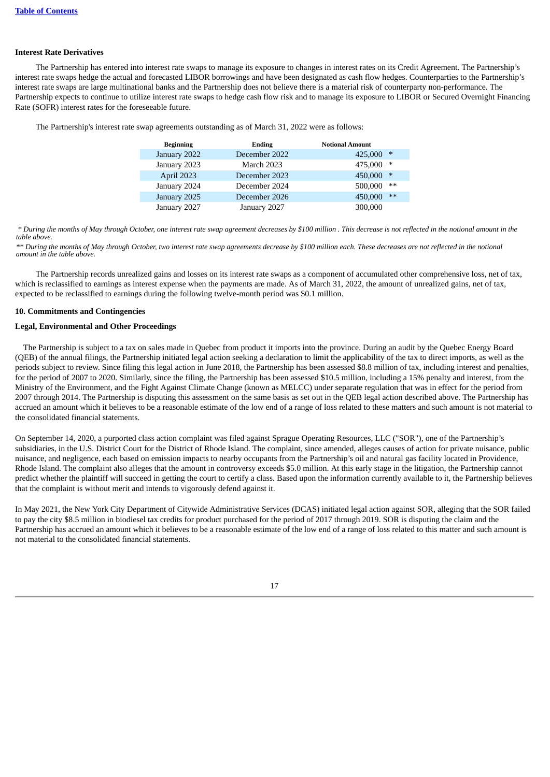### **Interest Rate Derivatives**

The Partnership has entered into interest rate swaps to manage its exposure to changes in interest rates on its Credit Agreement. The Partnership's interest rate swaps hedge the actual and forecasted LIBOR borrowings and have been designated as cash flow hedges. Counterparties to the Partnership's interest rate swaps are large multinational banks and the Partnership does not believe there is a material risk of counterparty non-performance. The Partnership expects to continue to utilize interest rate swaps to hedge cash flow risk and to manage its exposure to LIBOR or Secured Overnight Financing Rate (SOFR) interest rates for the foreseeable future.

The Partnership's interest rate swap agreements outstanding as of March 31, 2022 were as follows:

| <b>Beginning</b> | Ending        | <b>Notional Amount</b> |
|------------------|---------------|------------------------|
| January 2022     | December 2022 | ∗<br>425,000           |
| January 2023     | March 2023    | 475,000<br>∗           |
| April 2023       | December 2023 | 450,000<br>$*$         |
| January 2024     | December 2024 | 500,000<br>$**$        |
| January 2025     | December 2026 | $**$<br>450,000        |
| January 2027     | January 2027  | 300,000                |

 *\* During the months of May through October, one interest rate swap agreement decreases by \$100 million . This decrease is not reflected in the notional amount in the table above.*

*\*\* During the months of May through October, two interest rate swap agreements decrease by \$100 million each. These decreases are not reflected in the notional amount in the table above.*

The Partnership records unrealized gains and losses on its interest rate swaps as a component of accumulated other comprehensive loss, net of tax, which is reclassified to earnings as interest expense when the payments are made. As of March 31, 2022, the amount of unrealized gains, net of tax, expected to be reclassified to earnings during the following twelve-month period was \$0.1 million.

### **10. Commitments and Contingencies**

### **Legal, Environmental and Other Proceedings**

The Partnership is subject to a tax on sales made in Quebec from product it imports into the province. During an audit by the Quebec Energy Board (QEB) of the annual filings, the Partnership initiated legal action seeking a declaration to limit the applicability of the tax to direct imports, as well as the periods subject to review. Since filing this legal action in June 2018, the Partnership has been assessed \$8.8 million of tax, including interest and penalties, for the period of 2007 to 2020. Similarly, since the filing, the Partnership has been assessed \$10.5 million, including a 15% penalty and interest, from the Ministry of the Environment, and the Fight Against Climate Change (known as MELCC) under separate regulation that was in effect for the period from 2007 through 2014. The Partnership is disputing this assessment on the same basis as set out in the QEB legal action described above. The Partnership has accrued an amount which it believes to be a reasonable estimate of the low end of a range of loss related to these matters and such amount is not material to the consolidated financial statements.

On September 14, 2020, a purported class action complaint was filed against Sprague Operating Resources, LLC ("SOR"), one of the Partnership's subsidiaries, in the U.S. District Court for the District of Rhode Island. The complaint, since amended, alleges causes of action for private nuisance, public nuisance, and negligence, each based on emission impacts to nearby occupants from the Partnership's oil and natural gas facility located in Providence, Rhode Island. The complaint also alleges that the amount in controversy exceeds \$5.0 million. At this early stage in the litigation, the Partnership cannot predict whether the plaintiff will succeed in getting the court to certify a class. Based upon the information currently available to it, the Partnership believes that the complaint is without merit and intends to vigorously defend against it.

In May 2021, the New York City Department of Citywide Administrative Services (DCAS) initiated legal action against SOR, alleging that the SOR failed to pay the city \$8.5 million in biodiesel tax credits for product purchased for the period of 2017 through 2019. SOR is disputing the claim and the Partnership has accrued an amount which it believes to be a reasonable estimate of the low end of a range of loss related to this matter and such amount is not material to the consolidated financial statements.

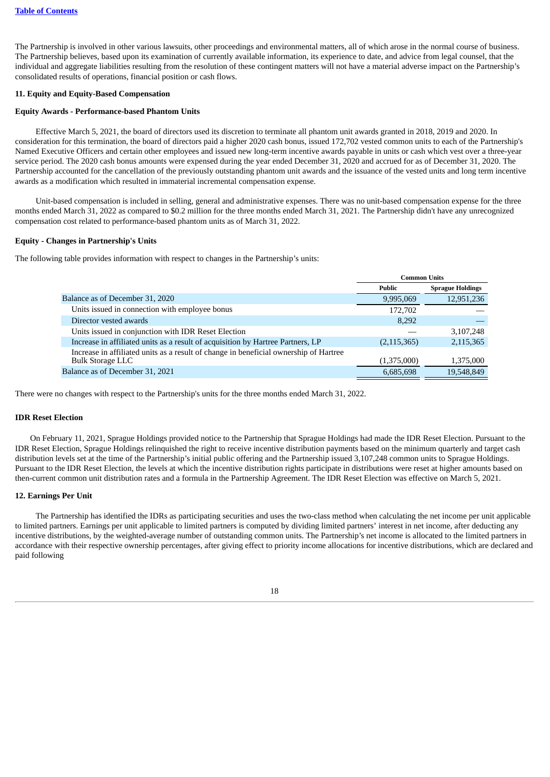The Partnership is involved in other various lawsuits, other proceedings and environmental matters, all of which arose in the normal course of business. The Partnership believes, based upon its examination of currently available information, its experience to date, and advice from legal counsel, that the individual and aggregate liabilities resulting from the resolution of these contingent matters will not have a material adverse impact on the Partnership's consolidated results of operations, financial position or cash flows.

#### **11. Equity and Equity-Based Compensation**

### **Equity Awards - Performance-based Phantom Units**

Effective March 5, 2021, the board of directors used its discretion to terminate all phantom unit awards granted in 2018, 2019 and 2020. In consideration for this termination, the board of directors paid a higher 2020 cash bonus, issued 172,702 vested common units to each of the Partnership's Named Executive Officers and certain other employees and issued new long-term incentive awards payable in units or cash which vest over a three-year service period. The 2020 cash bonus amounts were expensed during the year ended December 31, 2020 and accrued for as of December 31, 2020. The Partnership accounted for the cancellation of the previously outstanding phantom unit awards and the issuance of the vested units and long term incentive awards as a modification which resulted in immaterial incremental compensation expense.

Unit-based compensation is included in selling, general and administrative expenses. There was no unit-based compensation expense for the three months ended March 31, 2022 as compared to \$0.2 million for the three months ended March 31, 2021. The Partnership didn't have any unrecognized compensation cost related to performance-based phantom units as of March 31, 2022.

### **Equity - Changes in Partnership's Units**

The following table provides information with respect to changes in the Partnership's units:

|                                                                                       | <b>Common Units</b> |                         |
|---------------------------------------------------------------------------------------|---------------------|-------------------------|
|                                                                                       | Public              | <b>Sprague Holdings</b> |
| Balance as of December 31, 2020                                                       | 9,995,069           | 12,951,236              |
| Units issued in connection with employee bonus                                        | 172,702             |                         |
| Director vested awards                                                                | 8,292               |                         |
| Units issued in conjunction with IDR Reset Election                                   |                     | 3,107,248               |
| Increase in affiliated units as a result of acquisition by Hartree Partners, LP       | (2, 115, 365)       | 2,115,365               |
| Increase in affiliated units as a result of change in beneficial ownership of Hartree |                     |                         |
| <b>Bulk Storage LLC</b>                                                               | (1,375,000)         | 1,375,000               |
| Balance as of December 31, 2021                                                       | 6,685,698           | 19,548,849              |

There were no changes with respect to the Partnership's units for the three months ended March 31, 2022.

### **IDR Reset Election**

On February 11, 2021, Sprague Holdings provided notice to the Partnership that Sprague Holdings had made the IDR Reset Election. Pursuant to the IDR Reset Election, Sprague Holdings relinquished the right to receive incentive distribution payments based on the minimum quarterly and target cash distribution levels set at the time of the Partnership's initial public offering and the Partnership issued 3,107,248 common units to Sprague Holdings. Pursuant to the IDR Reset Election, the levels at which the incentive distribution rights participate in distributions were reset at higher amounts based on then-current common unit distribution rates and a formula in the Partnership Agreement. The IDR Reset Election was effective on March 5, 2021.

#### **12. Earnings Per Unit**

The Partnership has identified the IDRs as participating securities and uses the two-class method when calculating the net income per unit applicable to limited partners. Earnings per unit applicable to limited partners is computed by dividing limited partners' interest in net income, after deducting any incentive distributions, by the weighted-average number of outstanding common units. The Partnership's net income is allocated to the limited partners in accordance with their respective ownership percentages, after giving effect to priority income allocations for incentive distributions, which are declared and paid following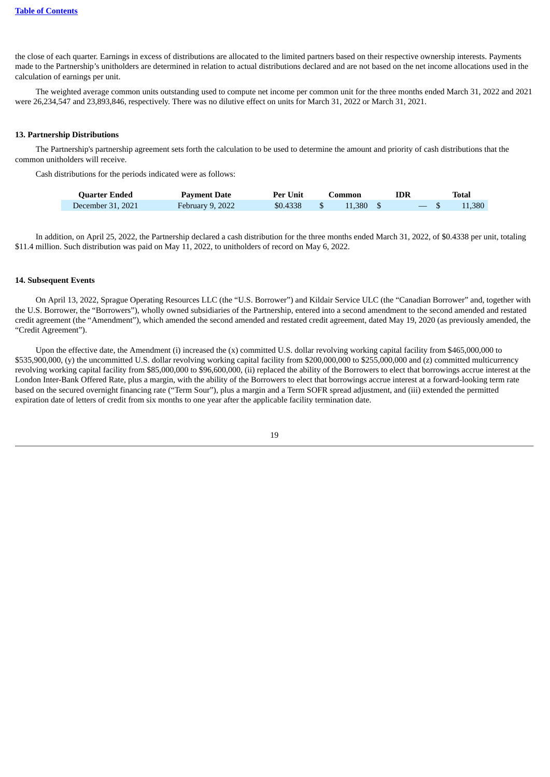the close of each quarter. Earnings in excess of distributions are allocated to the limited partners based on their respective ownership interests. Payments made to the Partnership's unitholders are determined in relation to actual distributions declared and are not based on the net income allocations used in the calculation of earnings per unit.

The weighted average common units outstanding used to compute net income per common unit for the three months ended March 31, 2022 and 2021 were 26,234,547 and 23,893,846, respectively. There was no dilutive effect on units for March 31, 2022 or March 31, 2021.

#### **13. Partnership Distributions**

The Partnership's partnership agreement sets forth the calculation to be used to determine the amount and priority of cash distributions that the common unitholders will receive.

Cash distributions for the periods indicated were as follows:

| <b>Quarter Ended</b> | <b>Payment Date</b>     | Per Unit | Common    | IDR   | Total  |
|----------------------|-------------------------|----------|-----------|-------|--------|
| December 31, 2021    | <b>February 9, 2022</b> |          | 11.380 \$ | $-$ S | 11.380 |

In addition, on April 25, 2022, the Partnership declared a cash distribution for the three months ended March 31, 2022, of \$0.4338 per unit, totaling \$11.4 million. Such distribution was paid on May 11, 2022, to unitholders of record on May 6, 2022.

### **14. Subsequent Events**

On April 13, 2022, Sprague Operating Resources LLC (the "U.S. Borrower") and Kildair Service ULC (the "Canadian Borrower" and, together with the U.S. Borrower, the "Borrowers"), wholly owned subsidiaries of the Partnership, entered into a second amendment to the second amended and restated credit agreement (the "Amendment"), which amended the second amended and restated credit agreement, dated May 19, 2020 (as previously amended, the "Credit Agreement").

<span id="page-20-0"></span>Upon the effective date, the Amendment (i) increased the (x) committed U.S. dollar revolving working capital facility from \$465,000,000 to \$535,900,000, (y) the uncommitted U.S. dollar revolving working capital facility from \$200,000,000 to \$255,000,000 and (z) committed multicurrency revolving working capital facility from \$85,000,000 to \$96,600,000, (ii) replaced the ability of the Borrowers to elect that borrowings accrue interest at the London Inter-Bank Offered Rate, plus a margin, with the ability of the Borrowers to elect that borrowings accrue interest at a forward-looking term rate based on the secured overnight financing rate ("Term Sour"), plus a margin and a Term SOFR spread adjustment, and (iii) extended the permitted expiration date of letters of credit from six months to one year after the applicable facility termination date.

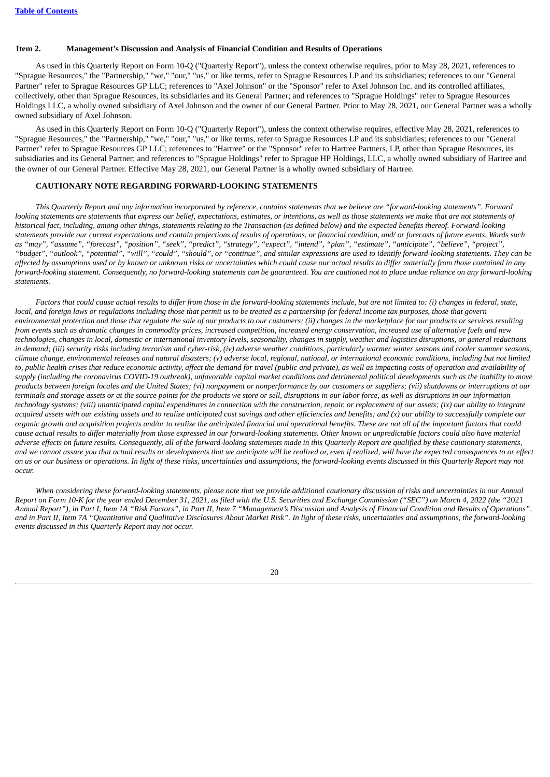#### **Item 2. Management's Discussion and Analysis of Financial Condition and Results of Operations**

As used in this Quarterly Report on Form 10-Q ("Quarterly Report"), unless the context otherwise requires, prior to May 28, 2021, references to "Sprague Resources," the "Partnership," "we," "our," "us," or like terms, refer to Sprague Resources LP and its subsidiaries; references to our "General Partner" refer to Sprague Resources GP LLC; references to "Axel Johnson" or the "Sponsor" refer to Axel Johnson Inc. and its controlled affiliates, collectively, other than Sprague Resources, its subsidiaries and its General Partner; and references to "Sprague Holdings" refer to Sprague Resources Holdings LLC, a wholly owned subsidiary of Axel Johnson and the owner of our General Partner. Prior to May 28, 2021, our General Partner was a wholly owned subsidiary of Axel Johnson.

As used in this Quarterly Report on Form 10-Q ("Quarterly Report"), unless the context otherwise requires, effective May 28, 2021, references to "Sprague Resources," the "Partnership," "we," "our," "us," or like terms, refer to Sprague Resources LP and its subsidiaries; references to our "General Partner" refer to Sprague Resources GP LLC; references to "Hartree" or the "Sponsor" refer to Hartree Partners, LP, other than Sprague Resources, its subsidiaries and its General Partner; and references to "Sprague Holdings" refer to Sprague HP Holdings, LLC, a wholly owned subsidiary of Hartree and the owner of our General Partner. Effective May 28, 2021, our General Partner is a wholly owned subsidiary of Hartree.

### **CAUTIONARY NOTE REGARDING FORWARD-LOOKING STATEMENTS**

This Quarterly Report and any information incorporated by reference, contains statements that we believe are "forward-looking statements". Forward looking statements are statements that express our belief, expectations, estimates, or intentions, as well as those statements we make that are not statements of historical fact, including, among other things, statements relating to the Transaction (as defined below) and the expected benefits thereof. Forward-looking statements provide our current expectations and contain projections of results of operations, or financial condition, and/ or forecasts of future events. Words such as "may", "assume", "forecast", "position", "seek", "predict", "strategy", "expect", "intend", "plan", "estimate", "anticipate", "believe", "project", "budget", "outlook", "potential", "will", "could", "should", or "continue", and similar expressions are used to identify forward-looking statements. They can be affected by assumptions used or by known or unknown risks or uncertainties which could cause our actual results to differ materially from those contained in any forward-looking statement. Consequently, no forward-looking statements can be quaranteed. You are cautioned not to place undue reliance on any forward-looking *statements.*

Factors that could cause actual results to differ from those in the forward-looking statements include, but are not limited to: (i) changes in federal, state, local, and foreign laws or regulations including those that permit us to be treated as a partnership for federal income tax purposes, those that govern environmental protection and those that regulate the sale of our products to our customers; (ii) changes in the marketplace for our products or services resulting from events such as dramatic changes in commodity prices, increased competition, increased energy conservation, increased use of alternative fuels and new technologies, changes in local, domestic or international inventory levels, seasonality, changes in supply, weather and logistics disruptions, or general reductions in demand; (iii) security risks including terrorism and cyber-risk, (iv) adverse weather conditions, particularly warmer winter seasons and cooler summer seasons, climate change, environmental releases and natural disasters; (v) adverse local, regional, national, or international economic conditions, including but not limited to, public health crises that reduce economic activity, affect the demand for travel (public and private), as well as impacting costs of operation and availability of supply (including the coronavirus COVID-19 outbreak), unfavorable capital market conditions and detrimental political developments such as the inability to move products between foreign locales and the United States; (vi) nonpayment or nonperformance by our customers or suppliers; (vii) shutdowns or interruptions at our terminals and storage assets or at the source points for the products we store or sell, disruptions in our labor force, as well as disruptions in our information technology systems; (viii) unanticipated capital expenditures in connection with the construction, repair, or replacement of our assets; (ix) our ability to integrate acquired assets with our existing assets and to realize anticipated cost savings and other efficiencies and benefits; and  $(x)$  our ability to successfully complete our organic growth and acquisition projects and/or to realize the anticipated financial and operational benefits. These are not all of the important factors that could cause actual results to differ materially from those expressed in our forward-looking statements. Other known or unpredictable factors could also have material adverse effects on future results. Consequently, all of the forward-looking statements made in this Quarterly Report are qualified by these cautionary statements, and we cannot assure you that actual results or developments that we anticipate will be realized or, even if realized, will have the expected consequences to or effect on us or our business or operations. In light of these risks, uncertainties and assumptions, the forward-looking events discussed in this Quarterly Report may not *occur.*

When considering these forward-looking statements, please note that we provide additional cautionary discussion of risks and uncertainties in our Annual Report on Form 10-K for the vear ended December 31, 2021, as filed with the U.S. Securities and Exchange Commission ("SEC") on March 4, 2022 (the "2021 Annual Report"), in Part I, Item 1A "Risk Factors", in Part II, Item 7 "Management's Discussion and Analysis of Financial Condition and Results of Operations", and in Part II, Item 7A "Quantitative and Qualitative Disclosures About Market Risk". In light of these risks, uncertainties and assumptions, the forward-looking *events discussed in this Quarterly Report may not occur.*

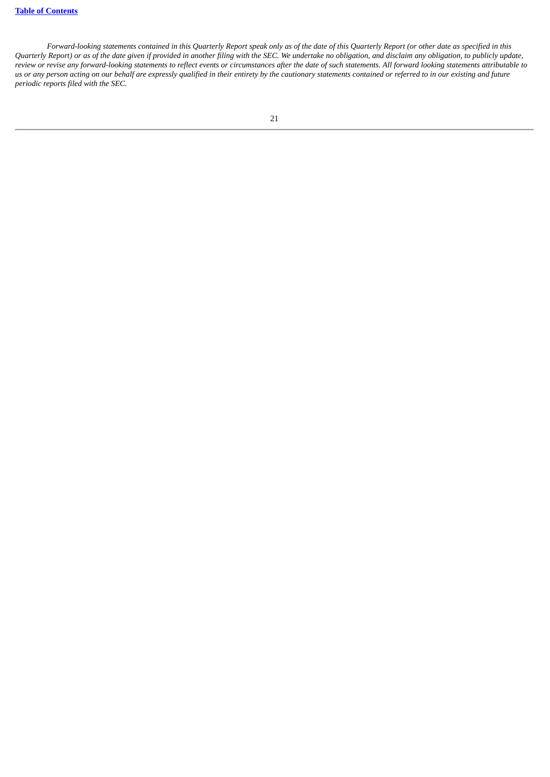Forward-looking statements contained in this Quarterly Report speak only as of the date of this Quarterly Report (or other date as specified in this Quarterly Report) or as of the date given if provided in another filing with the SEC. We undertake no obligation, and disclaim any obligation, to publicly update, review or revise any forward-looking statements to reflect events or circumstances after the date of such statements. All forward looking statements attributable to us or any person acting on our behalf are expressly qualified in their entirety by the cautionary statements contained or referred to in our existing and future *periodic reports filed with the SEC.*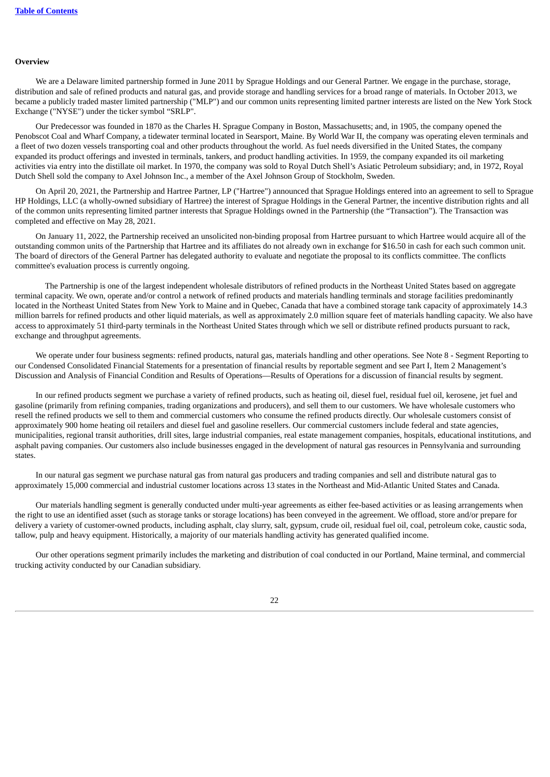#### **Overview**

We are a Delaware limited partnership formed in June 2011 by Sprague Holdings and our General Partner. We engage in the purchase, storage, distribution and sale of refined products and natural gas, and provide storage and handling services for a broad range of materials. In October 2013, we became a publicly traded master limited partnership ("MLP") and our common units representing limited partner interests are listed on the New York Stock Exchange ("NYSE") under the ticker symbol "SRLP".

Our Predecessor was founded in 1870 as the Charles H. Sprague Company in Boston, Massachusetts; and, in 1905, the company opened the Penobscot Coal and Wharf Company, a tidewater terminal located in Searsport, Maine. By World War II, the company was operating eleven terminals and a fleet of two dozen vessels transporting coal and other products throughout the world. As fuel needs diversified in the United States, the company expanded its product offerings and invested in terminals, tankers, and product handling activities. In 1959, the company expanded its oil marketing activities via entry into the distillate oil market. In 1970, the company was sold to Royal Dutch Shell's Asiatic Petroleum subsidiary; and, in 1972, Royal Dutch Shell sold the company to Axel Johnson Inc., a member of the Axel Johnson Group of Stockholm, Sweden.

On April 20, 2021, the Partnership and Hartree Partner, LP ("Hartree") announced that Sprague Holdings entered into an agreement to sell to Sprague HP Holdings, LLC (a wholly-owned subsidiary of Hartree) the interest of Sprague Holdings in the General Partner, the incentive distribution rights and all of the common units representing limited partner interests that Sprague Holdings owned in the Partnership (the "Transaction"). The Transaction was completed and effective on May 28, 2021.

On January 11, 2022, the Partnership received an unsolicited non-binding proposal from Hartree pursuant to which Hartree would acquire all of the outstanding common units of the Partnership that Hartree and its affiliates do not already own in exchange for \$16.50 in cash for each such common unit. The board of directors of the General Partner has delegated authority to evaluate and negotiate the proposal to its conflicts committee. The conflicts committee's evaluation process is currently ongoing.

The Partnership is one of the largest independent wholesale distributors of refined products in the Northeast United States based on aggregate terminal capacity. We own, operate and/or control a network of refined products and materials handling terminals and storage facilities predominantly located in the Northeast United States from New York to Maine and in Quebec, Canada that have a combined storage tank capacity of approximately 14.3 million barrels for refined products and other liquid materials, as well as approximately 2.0 million square feet of materials handling capacity. We also have access to approximately 51 third-party terminals in the Northeast United States through which we sell or distribute refined products pursuant to rack, exchange and throughput agreements.

We operate under four business segments: refined products, natural gas, materials handling and other operations. See Note 8 - Segment Reporting to our Condensed Consolidated Financial Statements for a presentation of financial results by reportable segment and see Part I, Item 2 Management's Discussion and Analysis of Financial Condition and Results of Operations—Results of Operations for a discussion of financial results by segment.

In our refined products segment we purchase a variety of refined products, such as heating oil, diesel fuel, residual fuel oil, kerosene, jet fuel and gasoline (primarily from refining companies, trading organizations and producers), and sell them to our customers. We have wholesale customers who resell the refined products we sell to them and commercial customers who consume the refined products directly. Our wholesale customers consist of approximately 900 home heating oil retailers and diesel fuel and gasoline resellers. Our commercial customers include federal and state agencies, municipalities, regional transit authorities, drill sites, large industrial companies, real estate management companies, hospitals, educational institutions, and asphalt paving companies. Our customers also include businesses engaged in the development of natural gas resources in Pennsylvania and surrounding states.

In our natural gas segment we purchase natural gas from natural gas producers and trading companies and sell and distribute natural gas to approximately 15,000 commercial and industrial customer locations across 13 states in the Northeast and Mid-Atlantic United States and Canada.

Our materials handling segment is generally conducted under multi-year agreements as either fee-based activities or as leasing arrangements when the right to use an identified asset (such as storage tanks or storage locations) has been conveyed in the agreement. We offload, store and/or prepare for delivery a variety of customer-owned products, including asphalt, clay slurry, salt, gypsum, crude oil, residual fuel oil, coal, petroleum coke, caustic soda, tallow, pulp and heavy equipment. Historically, a majority of our materials handling activity has generated qualified income.

Our other operations segment primarily includes the marketing and distribution of coal conducted in our Portland, Maine terminal, and commercial trucking activity conducted by our Canadian subsidiary.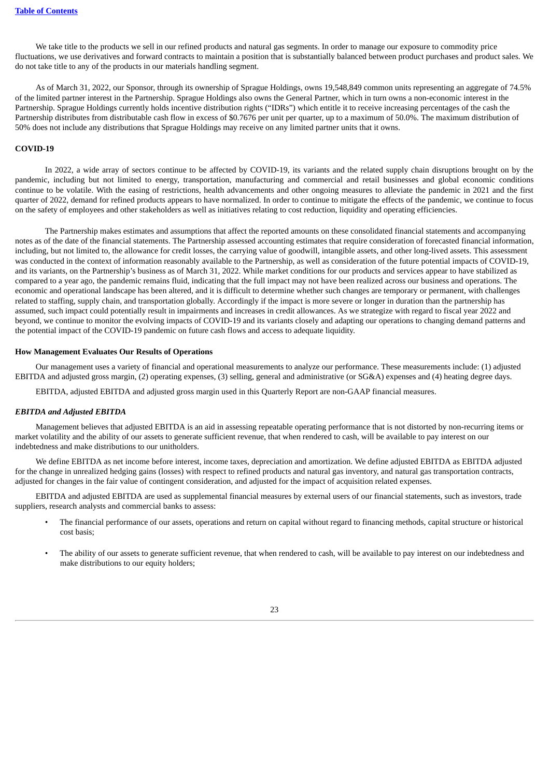We take title to the products we sell in our refined products and natural gas segments. In order to manage our exposure to commodity price fluctuations, we use derivatives and forward contracts to maintain a position that is substantially balanced between product purchases and product sales. We do not take title to any of the products in our materials handling segment.

As of March 31, 2022, our Sponsor, through its ownership of Sprague Holdings, owns 19,548,849 common units representing an aggregate of 74.5% of the limited partner interest in the Partnership. Sprague Holdings also owns the General Partner, which in turn owns a non-economic interest in the Partnership. Sprague Holdings currently holds incentive distribution rights ("IDRs") which entitle it to receive increasing percentages of the cash the Partnership distributes from distributable cash flow in excess of \$0.7676 per unit per quarter, up to a maximum of 50.0%. The maximum distribution of 50% does not include any distributions that Sprague Holdings may receive on any limited partner units that it owns.

### **COVID-19**

In 2022, a wide array of sectors continue to be affected by COVID-19, its variants and the related supply chain disruptions brought on by the pandemic, including but not limited to energy, transportation, manufacturing and commercial and retail businesses and global economic conditions continue to be volatile. With the easing of restrictions, health advancements and other ongoing measures to alleviate the pandemic in 2021 and the first quarter of 2022, demand for refined products appears to have normalized. In order to continue to mitigate the effects of the pandemic, we continue to focus on the safety of employees and other stakeholders as well as initiatives relating to cost reduction, liquidity and operating efficiencies.

The Partnership makes estimates and assumptions that affect the reported amounts on these consolidated financial statements and accompanying notes as of the date of the financial statements. The Partnership assessed accounting estimates that require consideration of forecasted financial information, including, but not limited to, the allowance for credit losses, the carrying value of goodwill, intangible assets, and other long-lived assets. This assessment was conducted in the context of information reasonably available to the Partnership, as well as consideration of the future potential impacts of COVID-19, and its variants, on the Partnership's business as of March 31, 2022. While market conditions for our products and services appear to have stabilized as compared to a year ago, the pandemic remains fluid, indicating that the full impact may not have been realized across our business and operations. The economic and operational landscape has been altered, and it is difficult to determine whether such changes are temporary or permanent, with challenges related to staffing, supply chain, and transportation globally. Accordingly if the impact is more severe or longer in duration than the partnership has assumed, such impact could potentially result in impairments and increases in credit allowances. As we strategize with regard to fiscal year 2022 and beyond, we continue to monitor the evolving impacts of COVID-19 and its variants closely and adapting our operations to changing demand patterns and the potential impact of the COVID-19 pandemic on future cash flows and access to adequate liquidity.

### **How Management Evaluates Our Results of Operations**

Our management uses a variety of financial and operational measurements to analyze our performance. These measurements include: (1) adjusted EBITDA and adjusted gross margin, (2) operating expenses, (3) selling, general and administrative (or SG&A) expenses and (4) heating degree days.

EBITDA, adjusted EBITDA and adjusted gross margin used in this Quarterly Report are non-GAAP financial measures.

### *EBITDA and Adjusted EBITDA*

Management believes that adjusted EBITDA is an aid in assessing repeatable operating performance that is not distorted by non-recurring items or market volatility and the ability of our assets to generate sufficient revenue, that when rendered to cash, will be available to pay interest on our indebtedness and make distributions to our unitholders.

We define EBITDA as net income before interest, income taxes, depreciation and amortization. We define adjusted EBITDA as EBITDA adjusted for the change in unrealized hedging gains (losses) with respect to refined products and natural gas inventory, and natural gas transportation contracts, adjusted for changes in the fair value of contingent consideration, and adjusted for the impact of acquisition related expenses.

EBITDA and adjusted EBITDA are used as supplemental financial measures by external users of our financial statements, such as investors, trade suppliers, research analysts and commercial banks to assess:

- The financial performance of our assets, operations and return on capital without regard to financing methods, capital structure or historical cost basis;
- The ability of our assets to generate sufficient revenue, that when rendered to cash, will be available to pay interest on our indebtedness and make distributions to our equity holders;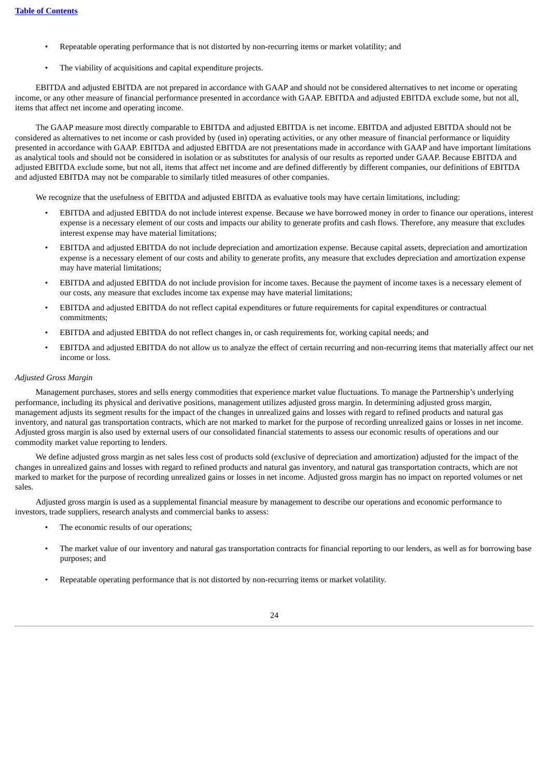- Repeatable operating performance that is not distorted by non-recurring items or market volatility; and
- The viability of acquisitions and capital expenditure projects.

EBITDA and adjusted EBITDA are not prepared in accordance with GAAP and should not be considered alternatives to net income or operating income, or any other measure of financial performance presented in accordance with GAAP. EBITDA and adjusted EBITDA exclude some, but not all, items that affect net income and operating income.

The GAAP measure most directly comparable to EBITDA and adjusted EBITDA is net income. EBITDA and adjusted EBITDA should not be considered as alternatives to net income or cash provided by (used in) operating activities, or any other measure of financial performance or liquidity presented in accordance with GAAP. EBITDA and adjusted EBITDA are not presentations made in accordance with GAAP and have important limitations as analytical tools and should not be considered in isolation or as substitutes for analysis of our results as reported under GAAP. Because EBITDA and adjusted EBITDA exclude some, but not all, items that affect net income and are defined differently by different companies, our definitions of EBITDA and adjusted EBITDA may not be comparable to similarly titled measures of other companies.

We recognize that the usefulness of EBITDA and adjusted EBITDA as evaluative tools may have certain limitations, including:

- EBITDA and adjusted EBITDA do not include interest expense. Because we have borrowed money in order to finance our operations, interest expense is a necessary element of our costs and impacts our ability to generate profits and cash flows. Therefore, any measure that excludes interest expense may have material limitations;
- EBITDA and adjusted EBITDA do not include depreciation and amortization expense. Because capital assets, depreciation and amortization expense is a necessary element of our costs and ability to generate profits, any measure that excludes depreciation and amortization expense may have material limitations;
- EBITDA and adjusted EBITDA do not include provision for income taxes. Because the payment of income taxes is a necessary element of our costs, any measure that excludes income tax expense may have material limitations;
- EBITDA and adjusted EBITDA do not reflect capital expenditures or future requirements for capital expenditures or contractual commitments;
- EBITDA and adjusted EBITDA do not reflect changes in, or cash requirements for, working capital needs; and
- EBITDA and adjusted EBITDA do not allow us to analyze the effect of certain recurring and non-recurring items that materially affect our net income or loss.

### *Adjusted Gross Margin*

Management purchases, stores and sells energy commodities that experience market value fluctuations. To manage the Partnership's underlying performance, including its physical and derivative positions, management utilizes adjusted gross margin. In determining adjusted gross margin, management adjusts its segment results for the impact of the changes in unrealized gains and losses with regard to refined products and natural gas inventory, and natural gas transportation contracts, which are not marked to market for the purpose of recording unrealized gains or losses in net income. Adjusted gross margin is also used by external users of our consolidated financial statements to assess our economic results of operations and our commodity market value reporting to lenders.

We define adjusted gross margin as net sales less cost of products sold (exclusive of depreciation and amortization) adjusted for the impact of the changes in unrealized gains and losses with regard to refined products and natural gas inventory, and natural gas transportation contracts, which are not marked to market for the purpose of recording unrealized gains or losses in net income. Adjusted gross margin has no impact on reported volumes or net sales.

Adjusted gross margin is used as a supplemental financial measure by management to describe our operations and economic performance to investors, trade suppliers, research analysts and commercial banks to assess:

- The economic results of our operations;
- The market value of our inventory and natural gas transportation contracts for financial reporting to our lenders, as well as for borrowing base purposes; and
- Repeatable operating performance that is not distorted by non-recurring items or market volatility.

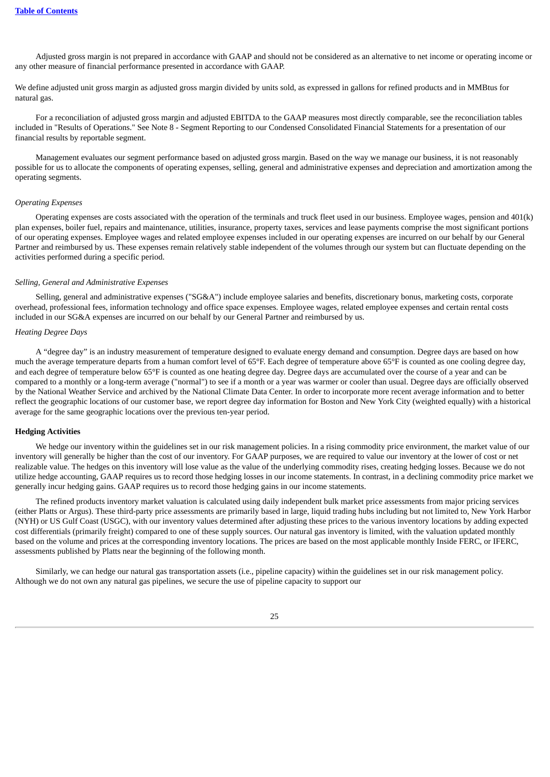Adjusted gross margin is not prepared in accordance with GAAP and should not be considered as an alternative to net income or operating income or any other measure of financial performance presented in accordance with GAAP.

We define adjusted unit gross margin as adjusted gross margin divided by units sold, as expressed in gallons for refined products and in MMBtus for natural gas.

For a reconciliation of adjusted gross margin and adjusted EBITDA to the GAAP measures most directly comparable, see the reconciliation tables included in "Results of Operations." See Note 8 - Segment Reporting to our Condensed Consolidated Financial Statements for a presentation of our financial results by reportable segment.

Management evaluates our segment performance based on adjusted gross margin. Based on the way we manage our business, it is not reasonably possible for us to allocate the components of operating expenses, selling, general and administrative expenses and depreciation and amortization among the operating segments.

### *Operating Expenses*

Operating expenses are costs associated with the operation of the terminals and truck fleet used in our business. Employee wages, pension and 401(k) plan expenses, boiler fuel, repairs and maintenance, utilities, insurance, property taxes, services and lease payments comprise the most significant portions of our operating expenses. Employee wages and related employee expenses included in our operating expenses are incurred on our behalf by our General Partner and reimbursed by us. These expenses remain relatively stable independent of the volumes through our system but can fluctuate depending on the activities performed during a specific period.

### *Selling, General and Administrative Expenses*

Selling, general and administrative expenses ("SG&A") include employee salaries and benefits, discretionary bonus, marketing costs, corporate overhead, professional fees, information technology and office space expenses. Employee wages, related employee expenses and certain rental costs included in our SG&A expenses are incurred on our behalf by our General Partner and reimbursed by us.

#### *Heating Degree Days*

A "degree day" is an industry measurement of temperature designed to evaluate energy demand and consumption. Degree days are based on how much the average temperature departs from a human comfort level of 65°F. Each degree of temperature above 65°F is counted as one cooling degree day, and each degree of temperature below 65°F is counted as one heating degree day. Degree days are accumulated over the course of a year and can be compared to a monthly or a long-term average ("normal") to see if a month or a year was warmer or cooler than usual. Degree days are officially observed by the National Weather Service and archived by the National Climate Data Center. In order to incorporate more recent average information and to better reflect the geographic locations of our customer base, we report degree day information for Boston and New York City (weighted equally) with a historical average for the same geographic locations over the previous ten-year period.

#### **Hedging Activities**

We hedge our inventory within the guidelines set in our risk management policies. In a rising commodity price environment, the market value of our inventory will generally be higher than the cost of our inventory. For GAAP purposes, we are required to value our inventory at the lower of cost or net realizable value. The hedges on this inventory will lose value as the value of the underlying commodity rises, creating hedging losses. Because we do not utilize hedge accounting, GAAP requires us to record those hedging losses in our income statements. In contrast, in a declining commodity price market we generally incur hedging gains. GAAP requires us to record those hedging gains in our income statements.

The refined products inventory market valuation is calculated using daily independent bulk market price assessments from major pricing services (either Platts or Argus). These third-party price assessments are primarily based in large, liquid trading hubs including but not limited to, New York Harbor (NYH) or US Gulf Coast (USGC), with our inventory values determined after adjusting these prices to the various inventory locations by adding expected cost differentials (primarily freight) compared to one of these supply sources. Our natural gas inventory is limited, with the valuation updated monthly based on the volume and prices at the corresponding inventory locations. The prices are based on the most applicable monthly Inside FERC, or IFERC, assessments published by Platts near the beginning of the following month.

Similarly, we can hedge our natural gas transportation assets (i.e., pipeline capacity) within the guidelines set in our risk management policy. Although we do not own any natural gas pipelines, we secure the use of pipeline capacity to support our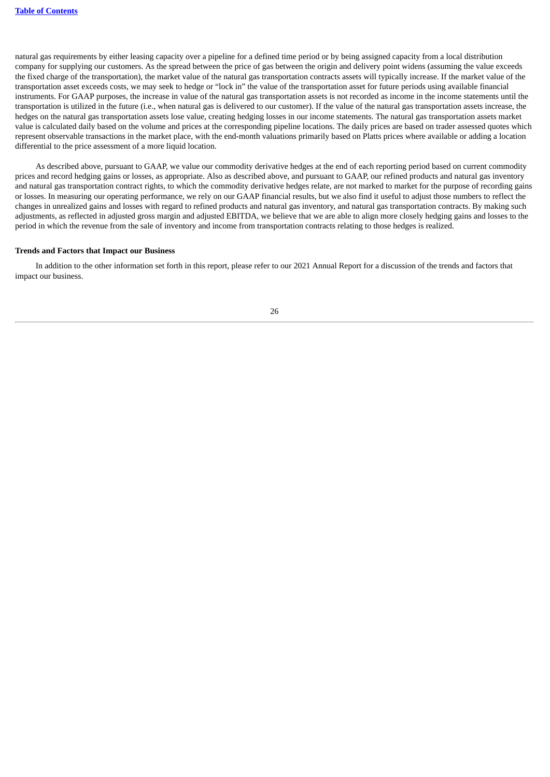natural gas requirements by either leasing capacity over a pipeline for a defined time period or by being assigned capacity from a local distribution company for supplying our customers. As the spread between the price of gas between the origin and delivery point widens (assuming the value exceeds the fixed charge of the transportation), the market value of the natural gas transportation contracts assets will typically increase. If the market value of the transportation asset exceeds costs, we may seek to hedge or "lock in" the value of the transportation asset for future periods using available financial instruments. For GAAP purposes, the increase in value of the natural gas transportation assets is not recorded as income in the income statements until the transportation is utilized in the future (i.e., when natural gas is delivered to our customer). If the value of the natural gas transportation assets increase, the hedges on the natural gas transportation assets lose value, creating hedging losses in our income statements. The natural gas transportation assets market value is calculated daily based on the volume and prices at the corresponding pipeline locations. The daily prices are based on trader assessed quotes which represent observable transactions in the market place, with the end-month valuations primarily based on Platts prices where available or adding a location differential to the price assessment of a more liquid location.

As described above, pursuant to GAAP, we value our commodity derivative hedges at the end of each reporting period based on current commodity prices and record hedging gains or losses, as appropriate. Also as described above, and pursuant to GAAP, our refined products and natural gas inventory and natural gas transportation contract rights, to which the commodity derivative hedges relate, are not marked to market for the purpose of recording gains or losses. In measuring our operating performance, we rely on our GAAP financial results, but we also find it useful to adjust those numbers to reflect the changes in unrealized gains and losses with regard to refined products and natural gas inventory, and natural gas transportation contracts. By making such adjustments, as reflected in adjusted gross margin and adjusted EBITDA, we believe that we are able to align more closely hedging gains and losses to the period in which the revenue from the sale of inventory and income from transportation contracts relating to those hedges is realized.

#### **Trends and Factors that Impact our Business**

In addition to the other information set forth in this report, please refer to our 2021 Annual Report for a discussion of the trends and factors that impact our business.

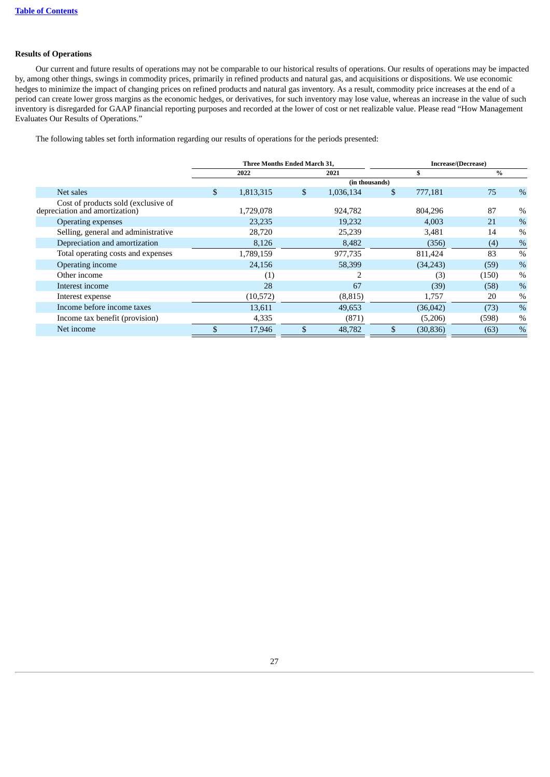### **Results of Operations**

Our current and future results of operations may not be comparable to our historical results of operations. Our results of operations may be impacted by, among other things, swings in commodity prices, primarily in refined products and natural gas, and acquisitions or dispositions. We use economic hedges to minimize the impact of changing prices on refined products and natural gas inventory. As a result, commodity price increases at the end of a period can create lower gross margins as the economic hedges, or derivatives, for such inventory may lose value, whereas an increase in the value of such inventory is disregarded for GAAP financial reporting purposes and recorded at the lower of cost or net realizable value. Please read "How Management Evaluates Our Results of Operations."

The following tables set forth information regarding our results of operations for the periods presented:

|                                                                       | <b>Three Months Ended March 31.</b> |           |    |                |    | Increase/(Decrease) |       |               |  |
|-----------------------------------------------------------------------|-------------------------------------|-----------|----|----------------|----|---------------------|-------|---------------|--|
|                                                                       |                                     | 2022      |    | 2021           |    | S                   | $\%$  |               |  |
|                                                                       |                                     |           |    | (in thousands) |    |                     |       |               |  |
| Net sales                                                             | \$                                  | 1,813,315 | \$ | 1,036,134      | \$ | 777,181             | 75    | %             |  |
| Cost of products sold (exclusive of<br>depreciation and amortization) |                                     | 1,729,078 |    | 924,782        |    | 804,296             | 87    | $\%$          |  |
| <b>Operating expenses</b>                                             |                                     | 23,235    |    | 19,232         |    | 4,003               | 21    | $\%$          |  |
| Selling, general and administrative                                   |                                     | 28,720    |    | 25,239         |    | 3,481               | 14    | $\%$          |  |
| Depreciation and amortization                                         |                                     | 8,126     |    | 8,482          |    | (356)               | (4)   | %             |  |
| Total operating costs and expenses                                    |                                     | 1,789,159 |    | 977,735        |    | 811,424             | 83    | $\frac{0}{0}$ |  |
| Operating income                                                      |                                     | 24,156    |    | 58,399         |    | (34,243)            | (59)  | $\%$          |  |
| Other income                                                          |                                     | (1)       |    | $\overline{2}$ |    | (3)                 | (150) | $\%$          |  |
| Interest income                                                       |                                     | 28        |    | 67             |    | (39)                | (58)  | %             |  |
| Interest expense                                                      |                                     | (10,572)  |    | (8, 815)       |    | 1,757               | 20    | $\%$          |  |
| Income before income taxes                                            |                                     | 13,611    |    | 49,653         |    | (36,042)            | (73)  | $\%$          |  |
| Income tax benefit (provision)                                        |                                     | 4,335     |    | (871)          |    | (5,206)             | (598) | $\%$          |  |
| Net income                                                            |                                     | 17,946    |    | 48,782         |    | (30, 836)           | (63)  | $\%$          |  |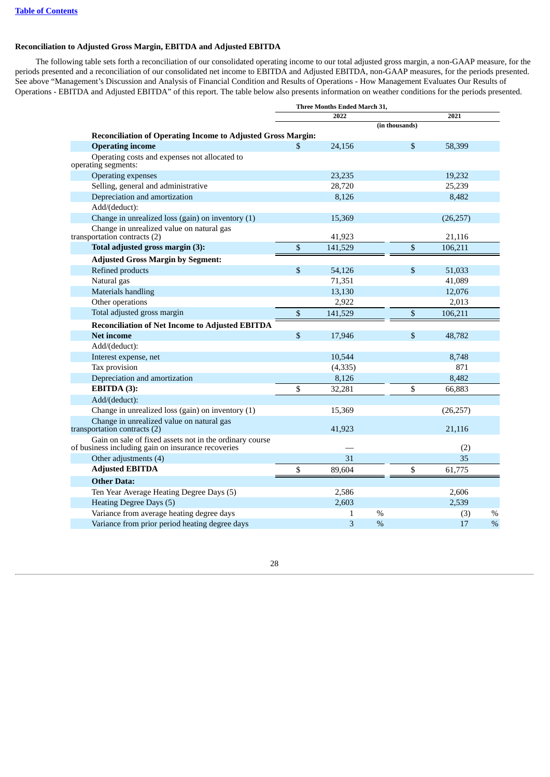### **Reconciliation to Adjusted Gross Margin, EBITDA and Adjusted EBITDA**

The following table sets forth a reconciliation of our consolidated operating income to our total adjusted gross margin, a non-GAAP measure, for the periods presented and a reconciliation of our consolidated net income to EBITDA and Adjusted EBITDA, non-GAAP measures, for the periods presented. See above "Management's Discussion and Analysis of Financial Condition and Results of Operations - How Management Evaluates Our Results of Operations - EBITDA and Adjusted EBITDA" of this report. The table below also presents information on weather conditions for the periods presented.

|                                                                                                               | Three Months Ended March 31, |               |                |           |      |
|---------------------------------------------------------------------------------------------------------------|------------------------------|---------------|----------------|-----------|------|
|                                                                                                               | 2022                         |               |                | 2021      |      |
|                                                                                                               |                              |               | (in thousands) |           |      |
| <b>Reconciliation of Operating Income to Adjusted Gross Margin:</b>                                           | \$                           |               | \$             | 58,399    |      |
| <b>Operating income</b><br>Operating costs and expenses not allocated to                                      | 24,156                       |               |                |           |      |
| operating segments:                                                                                           |                              |               |                |           |      |
| <b>Operating expenses</b>                                                                                     | 23,235                       |               |                | 19,232    |      |
| Selling, general and administrative                                                                           | 28,720                       |               |                | 25,239    |      |
| Depreciation and amortization                                                                                 | 8,126                        |               |                | 8,482     |      |
| Add/(deduct):                                                                                                 |                              |               |                |           |      |
| Change in unrealized loss (gain) on inventory (1)                                                             | 15,369                       |               |                | (26, 257) |      |
| Change in unrealized value on natural gas<br>transportation contracts (2)                                     | 41,923                       |               |                | 21,116    |      |
| Total adjusted gross margin (3):                                                                              | \$<br>141,529                |               | \$             | 106,211   |      |
| <b>Adjusted Gross Margin by Segment:</b>                                                                      |                              |               |                |           |      |
| Refined products                                                                                              | \$<br>54,126                 |               | \$             | 51,033    |      |
| Natural gas                                                                                                   | 71,351                       |               |                | 41,089    |      |
| <b>Materials handling</b>                                                                                     | 13,130                       |               |                | 12,076    |      |
| Other operations                                                                                              | 2,922                        |               |                | 2,013     |      |
| Total adjusted gross margin                                                                                   | \$<br>141,529                |               | \$             | 106,211   |      |
| <b>Reconciliation of Net Income to Adjusted EBITDA</b>                                                        |                              |               |                |           |      |
| <b>Net income</b>                                                                                             | \$<br>17,946                 |               | \$             | 48,782    |      |
| Add/(deduct):                                                                                                 |                              |               |                |           |      |
| Interest expense, net                                                                                         | 10,544                       |               |                | 8,748     |      |
| Tax provision                                                                                                 | (4, 335)                     |               |                | 871       |      |
| Depreciation and amortization                                                                                 | 8,126                        |               |                | 8,482     |      |
| EBITDA (3):                                                                                                   | \$<br>32,281                 |               | \$             | 66,883    |      |
| Add/(deduct):                                                                                                 |                              |               |                |           |      |
| Change in unrealized loss (gain) on inventory (1)                                                             | 15,369                       |               |                | (26, 257) |      |
| Change in unrealized value on natural gas<br>transportation contracts (2)                                     | 41,923                       |               |                | 21,116    |      |
| Gain on sale of fixed assets not in the ordinary course<br>of business including gain on insurance recoveries |                              |               |                | (2)       |      |
| Other adjustments (4)                                                                                         | 31                           |               |                | 35        |      |
| <b>Adjusted EBITDA</b>                                                                                        | \$<br>89,604                 |               | \$             | 61,775    |      |
| <b>Other Data:</b>                                                                                            |                              |               |                |           |      |
| Ten Year Average Heating Degree Days (5)                                                                      | 2,586                        |               |                | 2,606     |      |
| Heating Degree Days (5)                                                                                       | 2,603                        |               |                | 2,539     |      |
| Variance from average heating degree days                                                                     | 1                            | $\%$          |                | (3)       | $\%$ |
| Variance from prior period heating degree days                                                                | 3                            | $\frac{0}{0}$ |                | 17        | $\%$ |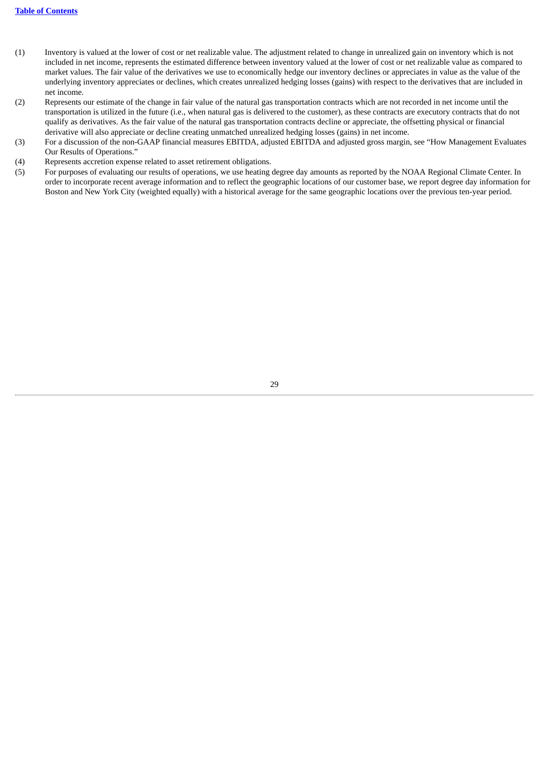- (1) Inventory is valued at the lower of cost or net realizable value. The adjustment related to change in unrealized gain on inventory which is not included in net income, represents the estimated difference between inventory valued at the lower of cost or net realizable value as compared to market values. The fair value of the derivatives we use to economically hedge our inventory declines or appreciates in value as the value of the underlying inventory appreciates or declines, which creates unrealized hedging losses (gains) with respect to the derivatives that are included in net income.
- (2) Represents our estimate of the change in fair value of the natural gas transportation contracts which are not recorded in net income until the transportation is utilized in the future (i.e., when natural gas is delivered to the customer), as these contracts are executory contracts that do not qualify as derivatives. As the fair value of the natural gas transportation contracts decline or appreciate, the offsetting physical or financial derivative will also appreciate or decline creating unmatched unrealized hedging losses (gains) in net income.
- (3) For a discussion of the non-GAAP financial measures EBITDA, adjusted EBITDA and adjusted gross margin, see "How Management Evaluates Our Results of Operations."
- (4) Represents accretion expense related to asset retirement obligations.
- (5) For purposes of evaluating our results of operations, we use heating degree day amounts as reported by the NOAA Regional Climate Center. In order to incorporate recent average information and to reflect the geographic locations of our customer base, we report degree day information for Boston and New York City (weighted equally) with a historical average for the same geographic locations over the previous ten-year period.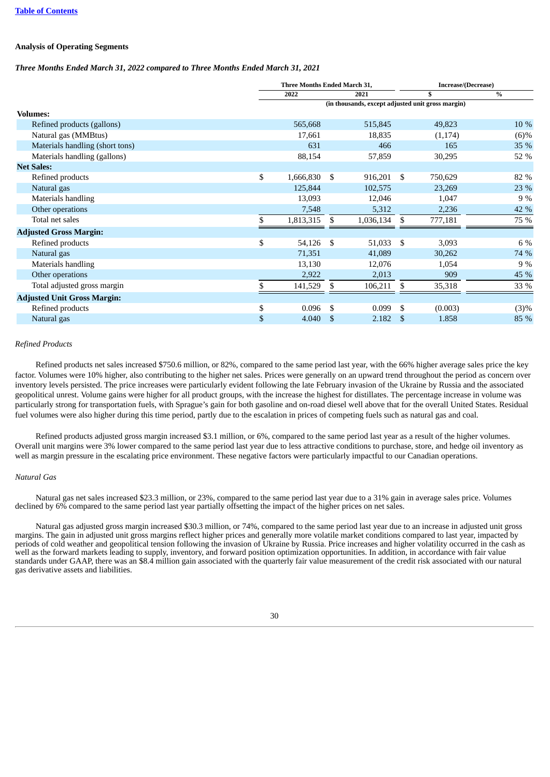### **Analysis of Operating Segments**

### *Three Months Ended March 31, 2022 compared to Three Months Ended March 31, 2021*

|                                    | <b>Three Months Ended March 31.</b> |     |           |      | Increase/(Decrease)                               |         |  |
|------------------------------------|-------------------------------------|-----|-----------|------|---------------------------------------------------|---------|--|
|                                    | 2022<br>2021                        |     |           | \$   | $\%$                                              |         |  |
|                                    |                                     |     |           |      | (in thousands, except adjusted unit gross margin) |         |  |
| <b>Volumes:</b>                    |                                     |     |           |      |                                                   |         |  |
| Refined products (gallons)         | 565,668                             |     | 515,845   |      | 49,823                                            | 10 %    |  |
| Natural gas (MMBtus)               | 17,661                              |     | 18,835    |      | (1, 174)                                          | $(6)\%$ |  |
| Materials handling (short tons)    | 631                                 |     | 466       |      | 165                                               | 35 %    |  |
| Materials handling (gallons)       | 88,154                              |     | 57,859    |      | 30,295                                            | 52 %    |  |
| <b>Net Sales:</b>                  |                                     |     |           |      |                                                   |         |  |
| Refined products                   | \$<br>1,666,830                     | \$  | 916,201   | - \$ | 750,629                                           | 82 %    |  |
| Natural gas                        | 125,844                             |     | 102,575   |      | 23,269                                            | 23 %    |  |
| Materials handling                 | 13,093                              |     | 12,046    |      | 1,047                                             | 9 %     |  |
| Other operations                   | 7,548                               |     | 5,312     |      | 2,236                                             | 42 %    |  |
| Total net sales                    | 1,813,315                           | S   | 1,036,134 | \$   | 777,181                                           | 75 %    |  |
| <b>Adjusted Gross Margin:</b>      |                                     |     |           |      |                                                   |         |  |
| Refined products                   | \$<br>54,126                        | -\$ | 51,033    | - \$ | 3,093                                             | 6 %     |  |
| Natural gas                        | 71,351                              |     | 41,089    |      | 30,262                                            | 74 %    |  |
| Materials handling                 | 13,130                              |     | 12,076    |      | 1,054                                             | 9%      |  |
| Other operations                   | 2,922                               |     | 2,013     |      | 909                                               | 45 %    |  |
| Total adjusted gross margin        | 141,529                             | \$  | 106,211   | \$   | 35,318                                            | 33 %    |  |
| <b>Adjusted Unit Gross Margin:</b> |                                     |     |           |      |                                                   |         |  |
| Refined products                   | \$<br>0.096                         | S.  | 0.099     | \$   | (0.003)                                           | (3)%    |  |
| Natural gas                        | \$<br>4.040                         | -S  | 2.182     | \$   | 1.858                                             | 85 %    |  |

### *Refined Products*

Refined products net sales increased \$750.6 million, or 82%, compared to the same period last year, with the 66% higher average sales price the key factor. Volumes were 10% higher, also contributing to the higher net sales. Prices were generally on an upward trend throughout the period as concern over inventory levels persisted. The price increases were particularly evident following the late February invasion of the Ukraine by Russia and the associated geopolitical unrest. Volume gains were higher for all product groups, with the increase the highest for distillates. The percentage increase in volume was particularly strong for transportation fuels, with Sprague's gain for both gasoline and on-road diesel well above that for the overall United States. Residual fuel volumes were also higher during this time period, partly due to the escalation in prices of competing fuels such as natural gas and coal.

Refined products adjusted gross margin increased \$3.1 million, or 6%, compared to the same period last year as a result of the higher volumes. Overall unit margins were 3% lower compared to the same period last year due to less attractive conditions to purchase, store, and hedge oil inventory as well as margin pressure in the escalating price environment. These negative factors were particularly impactful to our Canadian operations.

#### *Natural Gas*

Natural gas net sales increased \$23.3 million, or 23%, compared to the same period last year due to a 31% gain in average sales price. Volumes declined by 6% compared to the same period last year partially offsetting the impact of the higher prices on net sales.

Natural gas adjusted gross margin increased \$30.3 million, or 74%, compared to the same period last year due to an increase in adjusted unit gross margins. The gain in adjusted unit gross margins reflect higher prices and generally more volatile market conditions compared to last year, impacted by periods of cold weather and geopolitical tension following the invasion of Ukraine by Russia. Price increases and higher volatility occurred in the cash as well as the forward markets leading to supply, inventory, and forward position optimization opportunities. In addition, in accordance with fair value standards under GAAP, there was an \$8.4 million gain associated with the quarterly fair value measurement of the credit risk associated with our natural gas derivative assets and liabilities.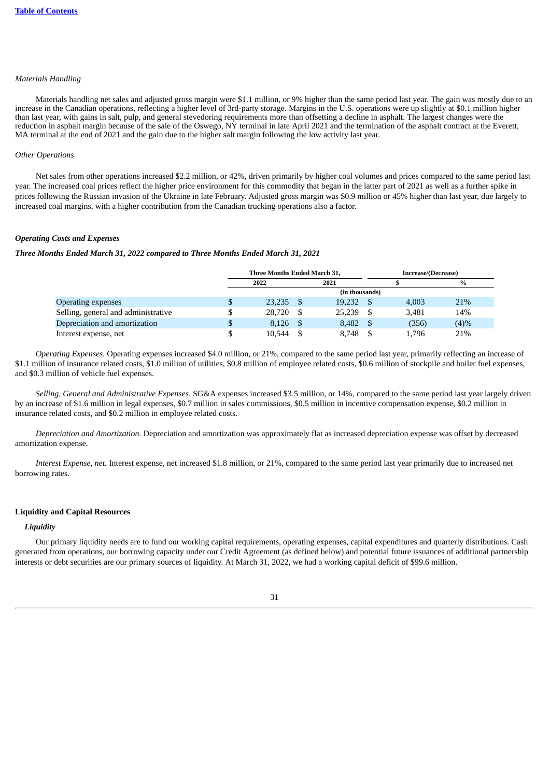### *Materials Handling*

Materials handling net sales and adjusted gross margin were \$1.1 million, or 9% higher than the same period last year. The gain was mostly due to an increase in the Canadian operations, reflecting a higher level of 3rd-party storage. Margins in the U.S. operations were up slightly at \$0.1 million higher than last year, with gains in salt, pulp, and general stevedoring requirements more than offsetting a decline in asphalt. The largest changes were the reduction in asphalt margin because of the sale of the Oswego, NY terminal in late April 2021 and the termination of the asphalt contract at the Everett, MA terminal at the end of 2021 and the gain due to the higher salt margin following the low activity last year.

### *Other Operations*

Net sales from other operations increased \$2.2 million, or 42%, driven primarily by higher coal volumes and prices compared to the same period last year. The increased coal prices reflect the higher price environment for this commodity that began in the latter part of 2021 as well as a further spike in prices following the Russian invasion of the Ukraine in late February. Adjusted gross margin was \$0.9 million or 45% higher than last year, due largely to increased coal margins, with a higher contribution from the Canadian trucking operations also a factor.

### *Operating Costs and Expenses*

#### *Three Months Ended March 31, 2022 compared to Three Months Ended March 31, 2021*

|                                     | Three Months Ended March 31, |          |        |      | Increase/(Decrease) |               |  |
|-------------------------------------|------------------------------|----------|--------|------|---------------------|---------------|--|
|                                     | 2022                         |          | 2021   |      |                     | $\frac{0}{0}$ |  |
|                                     | (in thousands)               |          |        |      |                     |               |  |
| <b>Operating expenses</b>           | 23.235                       | <b>S</b> | 19,232 |      | 4.003               | 21%           |  |
| Selling, general and administrative | 28,720                       | - \$     | 25.239 | - \$ | 3,481               | 14%           |  |
| Depreciation and amortization       | 8.126                        |          | 8.482  |      | (356)               | (4)%          |  |
| Interest expense, net               | 10.544                       |          | 8.748  |      | 1.796               | 21%           |  |

*Operating Expenses*. Operating expenses increased \$4.0 million, or 21%, compared to the same period last year, primarily reflecting an increase of \$1.1 million of insurance related costs, \$1.0 million of utilities, \$0.8 million of employee related costs, \$0.6 million of stockpile and boiler fuel expenses, and \$0.3 million of vehicle fuel expenses.

*Selling, General and Administrative Expenses*. SG&A expenses increased \$3.5 million, or 14%, compared to the same period last year largely driven by an increase of \$1.6 million in legal expenses, \$0.7 million in sales commissions, \$0.5 million in incentive compensation expense, \$0.2 million in insurance related costs, and \$0.2 million in employee related costs.

*Depreciation and Amortization.* Depreciation and amortization was approximately flat as increased depreciation expense was offset by decreased amortization expense.

*Interest Expense, net.* Interest expense, net increased \$1.8 million, or 21%, compared to the same period last year primarily due to increased net borrowing rates.

### **Liquidity and Capital Resources**

#### *Liquidity*

Our primary liquidity needs are to fund our working capital requirements, operating expenses, capital expenditures and quarterly distributions. Cash generated from operations, our borrowing capacity under our Credit Agreement (as defined below) and potential future issuances of additional partnership interests or debt securities are our primary sources of liquidity. At March 31, 2022, we had a working capital deficit of \$99.6 million.

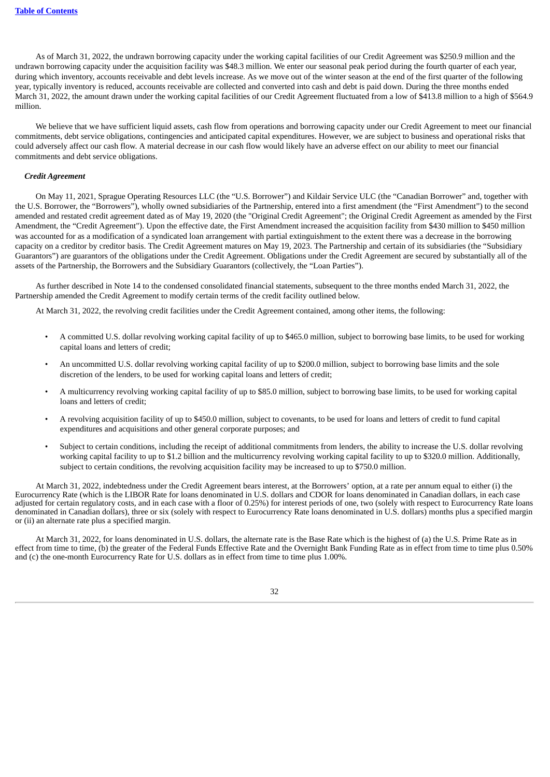As of March 31, 2022, the undrawn borrowing capacity under the working capital facilities of our Credit Agreement was \$250.9 million and the undrawn borrowing capacity under the acquisition facility was \$48.3 million. We enter our seasonal peak period during the fourth quarter of each year, during which inventory, accounts receivable and debt levels increase. As we move out of the winter season at the end of the first quarter of the following year, typically inventory is reduced, accounts receivable are collected and converted into cash and debt is paid down. During the three months ended March 31, 2022, the amount drawn under the working capital facilities of our Credit Agreement fluctuated from a low of \$413.8 million to a high of \$564.9 million.

We believe that we have sufficient liquid assets, cash flow from operations and borrowing capacity under our Credit Agreement to meet our financial commitments, debt service obligations, contingencies and anticipated capital expenditures. However, we are subject to business and operational risks that could adversely affect our cash flow. A material decrease in our cash flow would likely have an adverse effect on our ability to meet our financial commitments and debt service obligations.

### *Credit Agreement*

On May 11, 2021, Sprague Operating Resources LLC (the "U.S. Borrower") and Kildair Service ULC (the "Canadian Borrower" and, together with the U.S. Borrower, the "Borrowers"), wholly owned subsidiaries of the Partnership, entered into a first amendment (the "First Amendment") to the second amended and restated credit agreement dated as of May 19, 2020 (the "Original Credit Agreement"; the Original Credit Agreement as amended by the First Amendment, the "Credit Agreement"). Upon the effective date, the First Amendment increased the acquisition facility from \$430 million to \$450 million was accounted for as a modification of a syndicated loan arrangement with partial extinguishment to the extent there was a decrease in the borrowing capacity on a creditor by creditor basis. The Credit Agreement matures on May 19, 2023. The Partnership and certain of its subsidiaries (the "Subsidiary Guarantors") are guarantors of the obligations under the Credit Agreement. Obligations under the Credit Agreement are secured by substantially all of the assets of the Partnership, the Borrowers and the Subsidiary Guarantors (collectively, the "Loan Parties").

As further described in Note 14 to the condensed consolidated financial statements, subsequent to the three months ended March 31, 2022, the Partnership amended the Credit Agreement to modify certain terms of the credit facility outlined below.

At March 31, 2022, the revolving credit facilities under the Credit Agreement contained, among other items, the following:

- A committed U.S. dollar revolving working capital facility of up to \$465.0 million, subject to borrowing base limits, to be used for working capital loans and letters of credit;
- An uncommitted U.S. dollar revolving working capital facility of up to \$200.0 million, subject to borrowing base limits and the sole discretion of the lenders, to be used for working capital loans and letters of credit;
- A multicurrency revolving working capital facility of up to \$85.0 million, subject to borrowing base limits, to be used for working capital loans and letters of credit;
- A revolving acquisition facility of up to \$450.0 million, subject to covenants, to be used for loans and letters of credit to fund capital expenditures and acquisitions and other general corporate purposes; and
- Subject to certain conditions, including the receipt of additional commitments from lenders, the ability to increase the U.S. dollar revolving working capital facility to up to \$1.2 billion and the multicurrency revolving working capital facility to up to \$320.0 million. Additionally, subject to certain conditions, the revolving acquisition facility may be increased to up to \$750.0 million.

At March 31, 2022, indebtedness under the Credit Agreement bears interest, at the Borrowers' option, at a rate per annum equal to either (i) the Eurocurrency Rate (which is the LIBOR Rate for loans denominated in U.S. dollars and CDOR for loans denominated in Canadian dollars, in each case adjusted for certain regulatory costs, and in each case with a floor of 0.25%) for interest periods of one, two (solely with respect to Eurocurrency Rate loans denominated in Canadian dollars), three or six (solely with respect to Eurocurrency Rate loans denominated in U.S. dollars) months plus a specified margin or (ii) an alternate rate plus a specified margin.

At March 31, 2022, for loans denominated in U.S. dollars, the alternate rate is the Base Rate which is the highest of (a) the U.S. Prime Rate as in effect from time to time, (b) the greater of the Federal Funds Effective Rate and the Overnight Bank Funding Rate as in effect from time to time plus 0.50% and (c) the one-month Eurocurrency Rate for U.S. dollars as in effect from time to time plus 1.00%.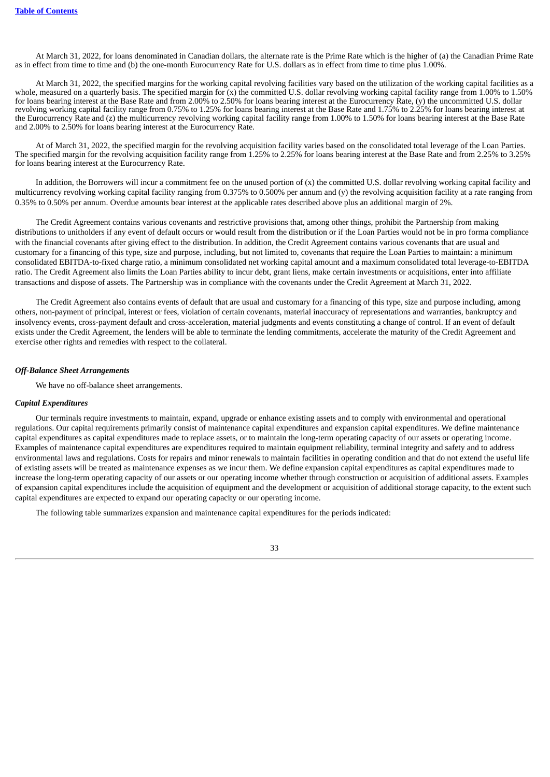At March 31, 2022, for loans denominated in Canadian dollars, the alternate rate is the Prime Rate which is the higher of (a) the Canadian Prime Rate as in effect from time to time and (b) the one-month Eurocurrency Rate for U.S. dollars as in effect from time to time plus 1.00%.

At March 31, 2022, the specified margins for the working capital revolving facilities vary based on the utilization of the working capital facilities as a whole, measured on a quarterly basis. The specified margin for (x) the committed U.S. dollar revolving working capital facility range from 1.00% to 1.50% for loans bearing interest at the Base Rate and from 2.00% to 2.50% for loans bearing interest at the Eurocurrency Rate, (y) the uncommitted U.S. dollar revolving working capital facility range from 0.75% to 1.25% for loans bearing interest at the Base Rate and 1.75% to 2.25% for loans bearing interest at the Eurocurrency Rate and (z) the multicurrency revolving working capital facility range from 1.00% to 1.50% for loans bearing interest at the Base Rate and 2.00% to 2.50% for loans bearing interest at the Eurocurrency Rate.

At of March 31, 2022, the specified margin for the revolving acquisition facility varies based on the consolidated total leverage of the Loan Parties. The specified margin for the revolving acquisition facility range from 1.25% to 2.25% for loans bearing interest at the Base Rate and from 2.25% to 3.25% for loans bearing interest at the Eurocurrency Rate.

In addition, the Borrowers will incur a commitment fee on the unused portion of (x) the committed U.S. dollar revolving working capital facility and multicurrency revolving working capital facility ranging from 0.375% to 0.500% per annum and (y) the revolving acquisition facility at a rate ranging from 0.35% to 0.50% per annum. Overdue amounts bear interest at the applicable rates described above plus an additional margin of 2%.

The Credit Agreement contains various covenants and restrictive provisions that, among other things, prohibit the Partnership from making distributions to unitholders if any event of default occurs or would result from the distribution or if the Loan Parties would not be in pro forma compliance with the financial covenants after giving effect to the distribution. In addition, the Credit Agreement contains various covenants that are usual and customary for a financing of this type, size and purpose, including, but not limited to, covenants that require the Loan Parties to maintain: a minimum consolidated EBITDA-to-fixed charge ratio, a minimum consolidated net working capital amount and a maximum consolidated total leverage-to-EBITDA ratio. The Credit Agreement also limits the Loan Parties ability to incur debt, grant liens, make certain investments or acquisitions, enter into affiliate transactions and dispose of assets. The Partnership was in compliance with the covenants under the Credit Agreement at March 31, 2022.

The Credit Agreement also contains events of default that are usual and customary for a financing of this type, size and purpose including, among others, non-payment of principal, interest or fees, violation of certain covenants, material inaccuracy of representations and warranties, bankruptcy and insolvency events, cross-payment default and cross-acceleration, material judgments and events constituting a change of control. If an event of default exists under the Credit Agreement, the lenders will be able to terminate the lending commitments, accelerate the maturity of the Credit Agreement and exercise other rights and remedies with respect to the collateral.

### *Off-Balance Sheet Arrangements*

We have no off-balance sheet arrangements.

#### *Capital Expenditures*

Our terminals require investments to maintain, expand, upgrade or enhance existing assets and to comply with environmental and operational regulations. Our capital requirements primarily consist of maintenance capital expenditures and expansion capital expenditures. We define maintenance capital expenditures as capital expenditures made to replace assets, or to maintain the long-term operating capacity of our assets or operating income. Examples of maintenance capital expenditures are expenditures required to maintain equipment reliability, terminal integrity and safety and to address environmental laws and regulations. Costs for repairs and minor renewals to maintain facilities in operating condition and that do not extend the useful life of existing assets will be treated as maintenance expenses as we incur them. We define expansion capital expenditures as capital expenditures made to increase the long-term operating capacity of our assets or our operating income whether through construction or acquisition of additional assets. Examples of expansion capital expenditures include the acquisition of equipment and the development or acquisition of additional storage capacity, to the extent such capital expenditures are expected to expand our operating capacity or our operating income.

The following table summarizes expansion and maintenance capital expenditures for the periods indicated: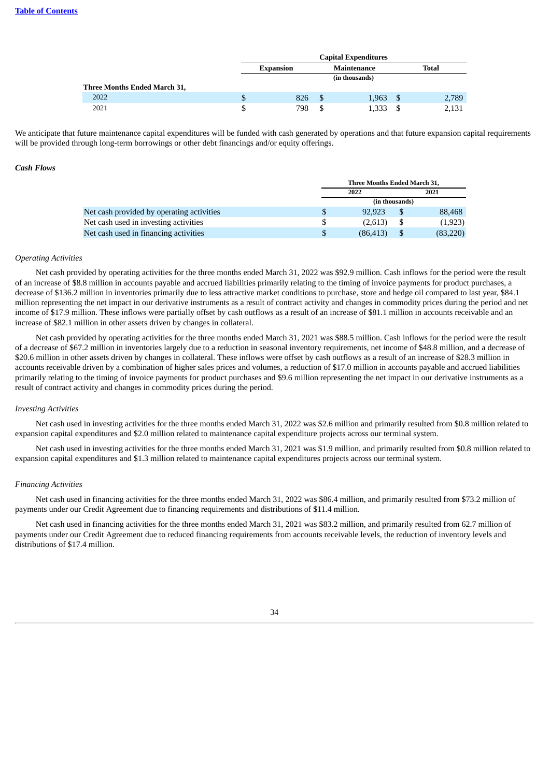|                              | <b>Capital Expenditures</b> |               |                |   |              |  |  |
|------------------------------|-----------------------------|---------------|----------------|---|--------------|--|--|
|                              | <b>Expansion</b>            |               | Maintenance    |   | <b>Total</b> |  |  |
|                              |                             |               | (in thousands) |   |              |  |  |
| Three Months Ended March 31, |                             |               |                |   |              |  |  |
| 2022                         | 826                         | <sup>\$</sup> | 1,963          | S | 2,789        |  |  |
| 2021                         | 798                         | \$            | 1,333          |   | 2,131        |  |  |

We anticipate that future maintenance capital expenditures will be funded with cash generated by operations and that future expansion capital requirements will be provided through long-term borrowings or other debt financings and/or equity offerings.

### *Cash Flows*

|                                           | Three Months Ended March 31, |                |           |  |  |
|-------------------------------------------|------------------------------|----------------|-----------|--|--|
|                                           | 2022<br>2021                 |                |           |  |  |
|                                           |                              | (in thousands) |           |  |  |
| Net cash provided by operating activities | 92.923                       |                | 88,468    |  |  |
| Net cash used in investing activities     | (2,613)                      |                | (1,923)   |  |  |
| Net cash used in financing activities     | (86, 413)                    |                | (83, 220) |  |  |

#### *Operating Activities*

Net cash provided by operating activities for the three months ended March 31, 2022 was \$92.9 million. Cash inflows for the period were the result of an increase of \$8.8 million in accounts payable and accrued liabilities primarily relating to the timing of invoice payments for product purchases, a decrease of \$136.2 million in inventories primarily due to less attractive market conditions to purchase, store and hedge oil compared to last year, \$84.1 million representing the net impact in our derivative instruments as a result of contract activity and changes in commodity prices during the period and net income of \$17.9 million. These inflows were partially offset by cash outflows as a result of an increase of \$81.1 million in accounts receivable and an increase of \$82.1 million in other assets driven by changes in collateral.

Net cash provided by operating activities for the three months ended March 31, 2021 was \$88.5 million. Cash inflows for the period were the result of a decrease of \$67.2 million in inventories largely due to a reduction in seasonal inventory requirements, net income of \$48.8 million, and a decrease of \$20.6 million in other assets driven by changes in collateral. These inflows were offset by cash outflows as a result of an increase of \$28.3 million in accounts receivable driven by a combination of higher sales prices and volumes, a reduction of \$17.0 million in accounts payable and accrued liabilities primarily relating to the timing of invoice payments for product purchases and \$9.6 million representing the net impact in our derivative instruments as a result of contract activity and changes in commodity prices during the period.

#### *Investing Activities*

Net cash used in investing activities for the three months ended March 31, 2022 was \$2.6 million and primarily resulted from \$0.8 million related to expansion capital expenditures and \$2.0 million related to maintenance capital expenditure projects across our terminal system.

Net cash used in investing activities for the three months ended March 31, 2021 was \$1.9 million, and primarily resulted from \$0.8 million related to expansion capital expenditures and \$1.3 million related to maintenance capital expenditures projects across our terminal system.

#### *Financing Activities*

Net cash used in financing activities for the three months ended March 31, 2022 was \$86.4 million, and primarily resulted from \$73.2 million of payments under our Credit Agreement due to financing requirements and distributions of \$11.4 million.

Net cash used in financing activities for the three months ended March 31, 2021 was \$83.2 million, and primarily resulted from 62.7 million of payments under our Credit Agreement due to reduced financing requirements from accounts receivable levels, the reduction of inventory levels and distributions of \$17.4 million.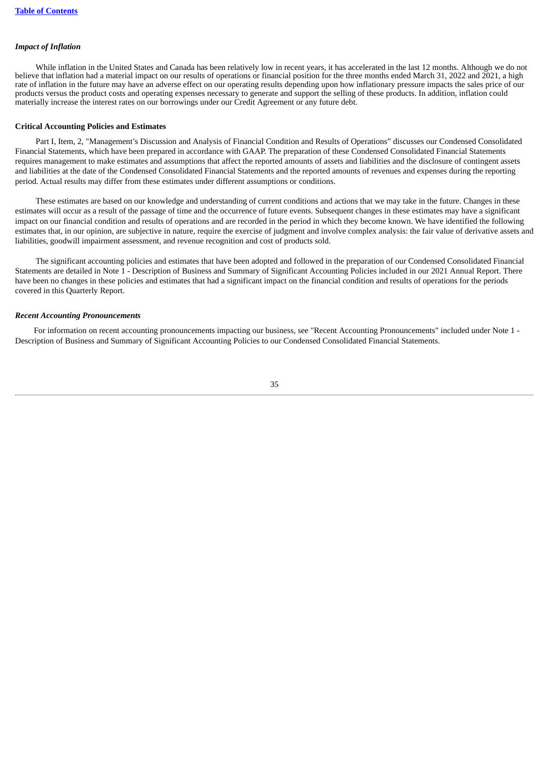### *Impact of Inflation*

While inflation in the United States and Canada has been relatively low in recent years, it has accelerated in the last 12 months. Although we do not believe that inflation had a material impact on our results of operations or financial position for the three months ended March 31, 2022 and 2021, a high rate of inflation in the future may have an adverse effect on our operating results depending upon how inflationary pressure impacts the sales price of our products versus the product costs and operating expenses necessary to generate and support the selling of these products. In addition, inflation could materially increase the interest rates on our borrowings under our Credit Agreement or any future debt.

### **Critical Accounting Policies and Estimates**

Part I, Item, 2, "Management's Discussion and Analysis of Financial Condition and Results of Operations" discusses our Condensed Consolidated Financial Statements, which have been prepared in accordance with GAAP. The preparation of these Condensed Consolidated Financial Statements requires management to make estimates and assumptions that affect the reported amounts of assets and liabilities and the disclosure of contingent assets and liabilities at the date of the Condensed Consolidated Financial Statements and the reported amounts of revenues and expenses during the reporting period. Actual results may differ from these estimates under different assumptions or conditions.

These estimates are based on our knowledge and understanding of current conditions and actions that we may take in the future. Changes in these estimates will occur as a result of the passage of time and the occurrence of future events. Subsequent changes in these estimates may have a significant impact on our financial condition and results of operations and are recorded in the period in which they become known. We have identified the following estimates that, in our opinion, are subjective in nature, require the exercise of judgment and involve complex analysis: the fair value of derivative assets and liabilities, goodwill impairment assessment, and revenue recognition and cost of products sold.

The significant accounting policies and estimates that have been adopted and followed in the preparation of our Condensed Consolidated Financial Statements are detailed in Note 1 - Description of Business and Summary of Significant Accounting Policies included in our 2021 Annual Report. There have been no changes in these policies and estimates that had a significant impact on the financial condition and results of operations for the periods covered in this Quarterly Report.

#### *Recent Accounting Pronouncements*

<span id="page-36-0"></span>For information on recent accounting pronouncements impacting our business, see "Recent Accounting Pronouncements" included under Note 1 - Description of Business and Summary of Significant Accounting Policies to our Condensed Consolidated Financial Statements.

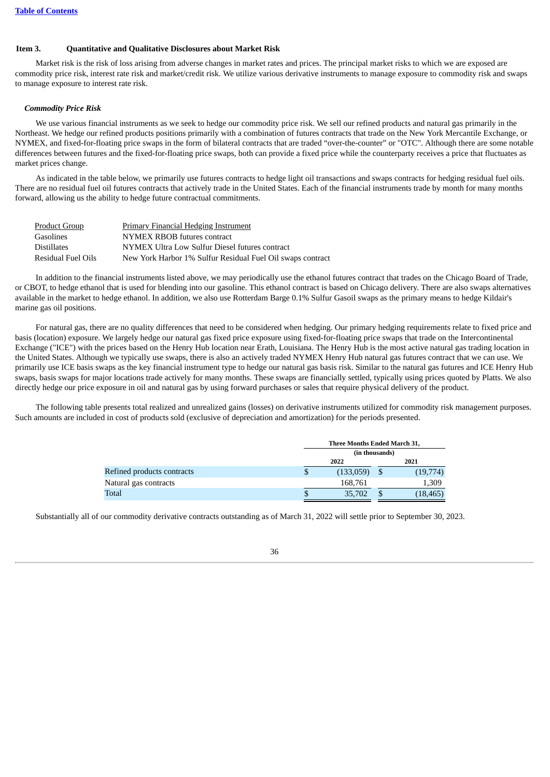#### **Item 3. Quantitative and Qualitative Disclosures about Market Risk**

Market risk is the risk of loss arising from adverse changes in market rates and prices. The principal market risks to which we are exposed are commodity price risk, interest rate risk and market/credit risk. We utilize various derivative instruments to manage exposure to commodity risk and swaps to manage exposure to interest rate risk.

### *Commodity Price Risk*

We use various financial instruments as we seek to hedge our commodity price risk. We sell our refined products and natural gas primarily in the Northeast. We hedge our refined products positions primarily with a combination of futures contracts that trade on the New York Mercantile Exchange, or NYMEX, and fixed-for-floating price swaps in the form of bilateral contracts that are traded "over-the-counter" or "OTC". Although there are some notable differences between futures and the fixed-for-floating price swaps, both can provide a fixed price while the counterparty receives a price that fluctuates as market prices change.

As indicated in the table below, we primarily use futures contracts to hedge light oil transactions and swaps contracts for hedging residual fuel oils. There are no residual fuel oil futures contracts that actively trade in the United States. Each of the financial instruments trade by month for many months forward, allowing us the ability to hedge future contractual commitments.

| <b>Product Group</b> | <b>Primary Financial Hedging Instrument</b>                |
|----------------------|------------------------------------------------------------|
| Gasolines            | NYMEX RBOB futures contract                                |
| <b>Distillates</b>   | NYMEX Ultra Low Sulfur Diesel futures contract             |
| Residual Fuel Oils   | New York Harbor 1% Sulfur Residual Fuel Oil swaps contract |

In addition to the financial instruments listed above, we may periodically use the ethanol futures contract that trades on the Chicago Board of Trade, or CBOT, to hedge ethanol that is used for blending into our gasoline. This ethanol contract is based on Chicago delivery. There are also swaps alternatives available in the market to hedge ethanol. In addition, we also use Rotterdam Barge 0.1% Sulfur Gasoil swaps as the primary means to hedge Kildair's marine gas oil positions.

For natural gas, there are no quality differences that need to be considered when hedging. Our primary hedging requirements relate to fixed price and basis (location) exposure. We largely hedge our natural gas fixed price exposure using fixed-for-floating price swaps that trade on the Intercontinental Exchange ("ICE") with the prices based on the Henry Hub location near Erath, Louisiana. The Henry Hub is the most active natural gas trading location in the United States. Although we typically use swaps, there is also an actively traded NYMEX Henry Hub natural gas futures contract that we can use. We primarily use ICE basis swaps as the key financial instrument type to hedge our natural gas basis risk. Similar to the natural gas futures and ICE Henry Hub swaps, basis swaps for major locations trade actively for many months. These swaps are financially settled, typically using prices quoted by Platts. We also directly hedge our price exposure in oil and natural gas by using forward purchases or sales that require physical delivery of the product.

The following table presents total realized and unrealized gains (losses) on derivative instruments utilized for commodity risk management purposes. Such amounts are included in cost of products sold (exclusive of depreciation and amortization) for the periods presented.

|                            | Three Months Ended March 31, |           |  |           |  |
|----------------------------|------------------------------|-----------|--|-----------|--|
|                            | (in thousands)               |           |  |           |  |
|                            | 2022                         |           |  | 2021      |  |
| Refined products contracts |                              | (133,059) |  | (19,774)  |  |
| Natural gas contracts      |                              | 168,761   |  | 1,309     |  |
| Total                      |                              | 35,702    |  | (18, 465) |  |

Substantially all of our commodity derivative contracts outstanding as of March 31, 2022 will settle prior to September 30, 2023.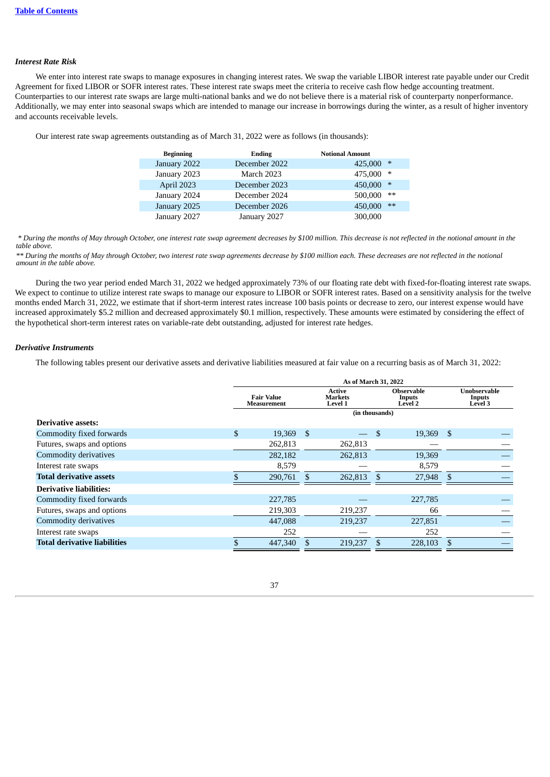#### *Interest Rate Risk*

We enter into interest rate swaps to manage exposures in changing interest rates. We swap the variable LIBOR interest rate payable under our Credit Agreement for fixed LIBOR or SOFR interest rates. These interest rate swaps meet the criteria to receive cash flow hedge accounting treatment. Counterparties to our interest rate swaps are large multi-national banks and we do not believe there is a material risk of counterparty nonperformance. Additionally, we may enter into seasonal swaps which are intended to manage our increase in borrowings during the winter, as a result of higher inventory and accounts receivable levels.

Our interest rate swap agreements outstanding as of March 31, 2022 were as follows (in thousands):

| <b>Beginning</b> | <b>Ending</b> | <b>Notional Amount</b> |
|------------------|---------------|------------------------|
| January 2022     | December 2022 | ∗<br>425,000           |
| January 2023     | March 2023    | 475,000<br>∗           |
| April 2023       | December 2023 | 450,000<br>$\ast$      |
| January 2024     | December 2024 | 500,000<br>$**$        |
| January 2025     | December 2026 | 450,000<br>$**$        |
| January 2027     | January 2027  | 300,000                |

 *\* During the months of May through October, one interest rate swap agreement decreases by \$100 million. This decrease is not reflected in the notional amount in the table above.*

*\*\* During the months of May through October, two interest rate swap agreements decrease by \$100 million each. These decreases are not reflected in the notional amount in the table above.*

During the two year period ended March 31, 2022 we hedged approximately 73% of our floating rate debt with fixed-for-floating interest rate swaps. We expect to continue to utilize interest rate swaps to manage our exposure to LIBOR or SOFR interest rates. Based on a sensitivity analysis for the twelve months ended March 31, 2022, we estimate that if short-term interest rates increase 100 basis points or decrease to zero, our interest expense would have increased approximately \$5.2 million and decreased approximately \$0.1 million, respectively. These amounts were estimated by considering the effect of the hypothetical short-term interest rates on variable-rate debt outstanding, adjusted for interest rate hedges.

### *Derivative Instruments*

The following tables present our derivative assets and derivative liabilities measured at fair value on a recurring basis as of March 31, 2022:

| As of March 31, 2022 |                                  |  |                                            |               |                                        |                |                                          |
|----------------------|----------------------------------|--|--------------------------------------------|---------------|----------------------------------------|----------------|------------------------------------------|
|                      | <b>Fair Value</b><br>Measurement |  | Active<br><b>Markets</b><br><b>Level 1</b> |               | <b>Observable</b><br>Inputs<br>Level 2 |                | Unobservable<br>Inputs<br><b>Level 3</b> |
|                      |                                  |  |                                            |               |                                        |                |                                          |
|                      |                                  |  |                                            |               |                                        |                |                                          |
| \$                   | 19,369                           |  |                                            | - \$          |                                        |                |                                          |
|                      | 262,813                          |  | 262,813                                    |               |                                        |                |                                          |
|                      | 282,182                          |  | 262,813                                    |               | 19,369                                 |                |                                          |
|                      | 8,579                            |  |                                            |               | 8,579                                  |                |                                          |
|                      | 290,761                          |  | 262,813                                    | $\mathcal{S}$ | 27,948                                 | -S             |                                          |
|                      |                                  |  |                                            |               |                                        |                |                                          |
|                      | 227,785                          |  |                                            |               | 227,785                                |                |                                          |
|                      | 219,303                          |  | 219,237                                    |               | 66                                     |                |                                          |
|                      | 447,088                          |  | 219,237                                    |               | 227,851                                |                |                                          |
|                      | 252                              |  |                                            |               | 252                                    |                |                                          |
|                      | 447,340                          |  | 219,237                                    |               | 228,103                                |                |                                          |
|                      |                                  |  | - \$                                       |               |                                        | (in thousands) | 19,369 \$                                |

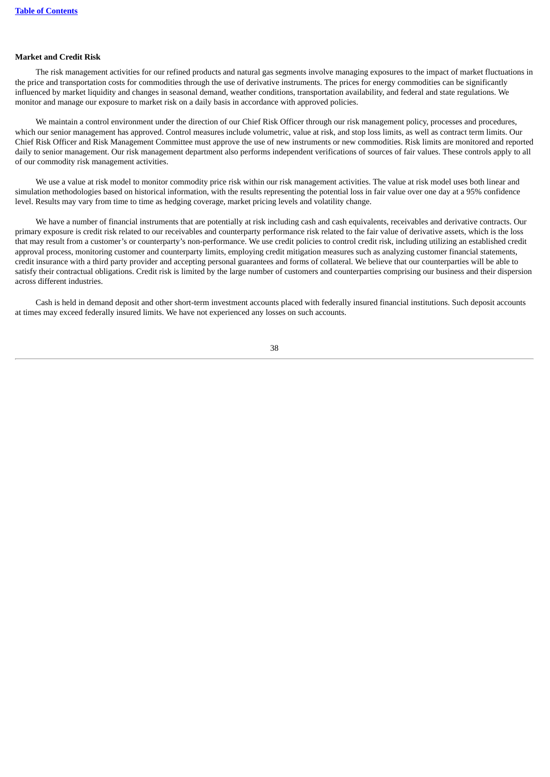### **Market and Credit Risk**

The risk management activities for our refined products and natural gas segments involve managing exposures to the impact of market fluctuations in the price and transportation costs for commodities through the use of derivative instruments. The prices for energy commodities can be significantly influenced by market liquidity and changes in seasonal demand, weather conditions, transportation availability, and federal and state regulations. We monitor and manage our exposure to market risk on a daily basis in accordance with approved policies.

We maintain a control environment under the direction of our Chief Risk Officer through our risk management policy, processes and procedures, which our senior management has approved. Control measures include volumetric, value at risk, and stop loss limits, as well as contract term limits. Our Chief Risk Officer and Risk Management Committee must approve the use of new instruments or new commodities. Risk limits are monitored and reported daily to senior management. Our risk management department also performs independent verifications of sources of fair values. These controls apply to all of our commodity risk management activities.

We use a value at risk model to monitor commodity price risk within our risk management activities. The value at risk model uses both linear and simulation methodologies based on historical information, with the results representing the potential loss in fair value over one day at a 95% confidence level. Results may vary from time to time as hedging coverage, market pricing levels and volatility change.

We have a number of financial instruments that are potentially at risk including cash and cash equivalents, receivables and derivative contracts. Our primary exposure is credit risk related to our receivables and counterparty performance risk related to the fair value of derivative assets, which is the loss that may result from a customer's or counterparty's non-performance. We use credit policies to control credit risk, including utilizing an established credit approval process, monitoring customer and counterparty limits, employing credit mitigation measures such as analyzing customer financial statements, credit insurance with a third party provider and accepting personal guarantees and forms of collateral. We believe that our counterparties will be able to satisfy their contractual obligations. Credit risk is limited by the large number of customers and counterparties comprising our business and their dispersion across different industries.

<span id="page-39-0"></span>Cash is held in demand deposit and other short-term investment accounts placed with federally insured financial institutions. Such deposit accounts at times may exceed federally insured limits. We have not experienced any losses on such accounts.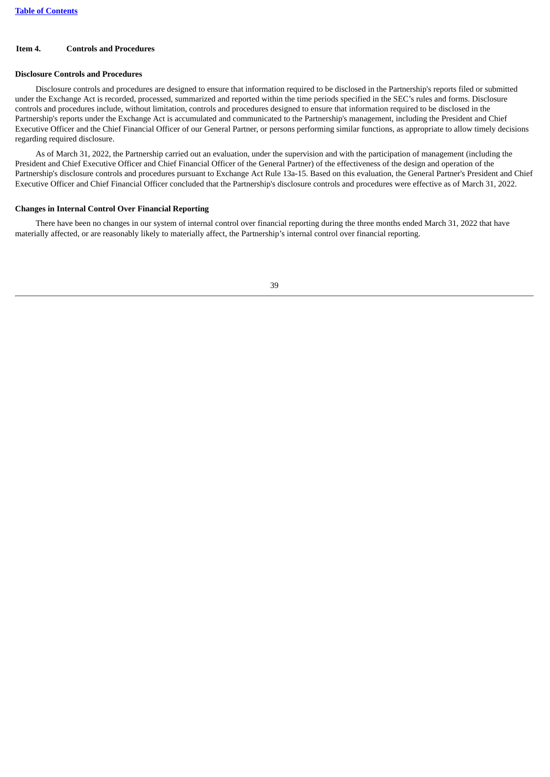### **Item 4. Controls and Procedures**

#### **Disclosure Controls and Procedures**

Disclosure controls and procedures are designed to ensure that information required to be disclosed in the Partnership's reports filed or submitted under the Exchange Act is recorded, processed, summarized and reported within the time periods specified in the SEC's rules and forms. Disclosure controls and procedures include, without limitation, controls and procedures designed to ensure that information required to be disclosed in the Partnership's reports under the Exchange Act is accumulated and communicated to the Partnership's management, including the President and Chief Executive Officer and the Chief Financial Officer of our General Partner, or persons performing similar functions, as appropriate to allow timely decisions regarding required disclosure.

As of March 31, 2022, the Partnership carried out an evaluation, under the supervision and with the participation of management (including the President and Chief Executive Officer and Chief Financial Officer of the General Partner) of the effectiveness of the design and operation of the Partnership's disclosure controls and procedures pursuant to Exchange Act Rule 13a-15. Based on this evaluation, the General Partner's President and Chief Executive Officer and Chief Financial Officer concluded that the Partnership's disclosure controls and procedures were effective as of March 31, 2022.

#### **Changes in Internal Control Over Financial Reporting**

<span id="page-40-0"></span>There have been no changes in our system of internal control over financial reporting during the three months ended March 31, 2022 that have materially affected, or are reasonably likely to materially affect, the Partnership's internal control over financial reporting.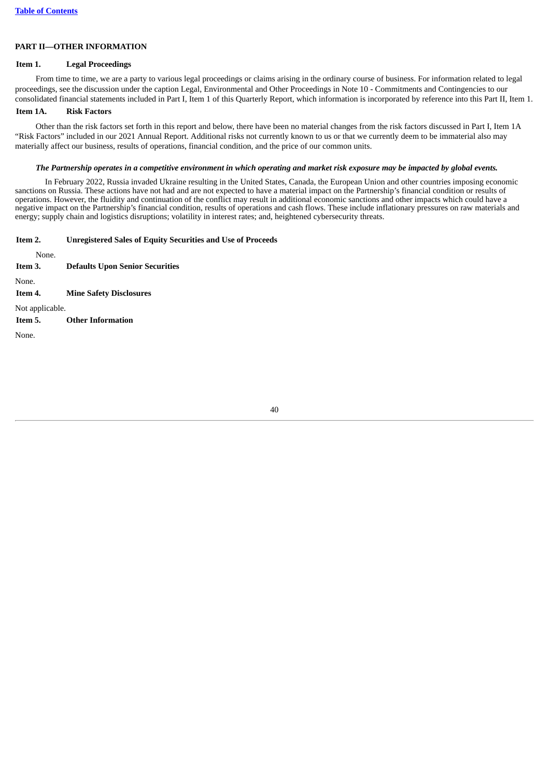### **PART II—OTHER INFORMATION**

### <span id="page-41-0"></span>**Item 1. Legal Proceedings**

From time to time, we are a party to various legal proceedings or claims arising in the ordinary course of business. For information related to legal proceedings, see the discussion under the caption Legal, Environmental and Other Proceedings in Note 10 - Commitments and Contingencies to our consolidated financial statements included in Part I, Item 1 of this Quarterly Report, which information is incorporated by reference into this Part II, Item 1.

### <span id="page-41-1"></span>**Item 1A. Risk Factors**

Other than the risk factors set forth in this report and below, there have been no material changes from the risk factors discussed in Part I, Item 1A "Risk Factors" included in our 2021 Annual Report. Additional risks not currently known to us or that we currently deem to be immaterial also may materially affect our business, results of operations, financial condition, and the price of our common units.

#### The Partnership operates in a competitive environment in which operating and market risk exposure may be impacted by global events.

In February 2022, Russia invaded Ukraine resulting in the United States, Canada, the European Union and other countries imposing economic sanctions on Russia. These actions have not had and are not expected to have a material impact on the Partnership's financial condition or results of operations. However, the fluidity and continuation of the conflict may result in additional economic sanctions and other impacts which could have a negative impact on the Partnership's financial condition, results of operations and cash flows. These include inflationary pressures on raw materials and energy; supply chain and logistics disruptions; volatility in interest rates; and, heightened cybersecurity threats.

<span id="page-41-2"></span>

| Item 2. | <b>Unregistered Sales of Equity Securities and Use of Proceeds</b> |
|---------|--------------------------------------------------------------------|
|---------|--------------------------------------------------------------------|

<span id="page-41-6"></span><span id="page-41-5"></span><span id="page-41-4"></span><span id="page-41-3"></span>None. **Item 3. Defaults Upon Senior Securities** None. **Item 4. Mine Safety Disclosures** Not applicable. **Item 5. Other Information** None.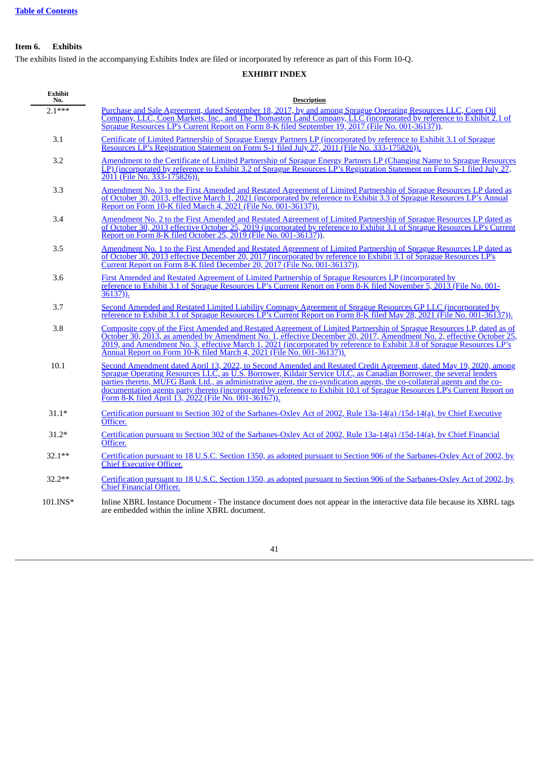# **Item 6. Exhibits**

The exhibits listed in the accompanying Exhibits Index are filed or incorporated by reference as part of this Form 10-Q.

# **EXHIBIT INDEX**

| <b>Exhibit</b><br>No. | <b>Description</b>                                                                                                                                                                                                                                                                                                                                                                                                                                                                                                                                       |
|-----------------------|----------------------------------------------------------------------------------------------------------------------------------------------------------------------------------------------------------------------------------------------------------------------------------------------------------------------------------------------------------------------------------------------------------------------------------------------------------------------------------------------------------------------------------------------------------|
| $2.1***$              | Purchase and Sale Agreement, dated September 18, 2017, by and among Sprague Operating Resources LLC, Coen Oil<br>Company, LLC, Coen Markets, Inc., and The Thomaston Land Company, LLC (incorporated by reference to Exhibit 2.1 of<br>Sprague Resources LP's Current Report on Form 8-K filed September 19, 2017 (File No. 001-36137)).                                                                                                                                                                                                                 |
| 3.1                   | Certificate of Limited Partnership of Sprague Energy Partners LP (incorporated by reference to Exhibit 3.1 of Sprague<br>Resources LP's Registration Statement on Form S-1 filed July 27, 2011 (File No. 333-175826)).                                                                                                                                                                                                                                                                                                                                   |
| 3.2                   | Amendment to the Certificate of Limited Partnership of Sprague Energy Partners LP (Changing Name to Sprague Resources<br>LP) (incorporated by reference to Exhibit 3.2 of Sprague Resources LP's Registration Statement on Form S-1 filed July 27,<br>2011 (File No. 333-175826)).                                                                                                                                                                                                                                                                       |
| 3.3                   | Amendment No. 3 to the First Amended and Restated Agreement of Limited Partnership of Sprague Resources LP dated as<br>of October 30, 2013, effective March 1, 2021 (incorporated by reference to Exhibit 3.3 of Sprague Resources LP's Annual<br>Report on Form 10-K filed March 4, 2021 (File No. 001-36137)).                                                                                                                                                                                                                                         |
| 3.4                   | Amendment No. 2 to the First Amended and Restated Agreement of Limited Partnership of Sprague Resources LP dated as<br>of October 30, 2013 effective October 25, 2019 (incorporated by reference to Exhibit 3.1 of Sprague Resources LP's Current<br>Report on Form 8-K filed October 25, 2019 (File No. 001-36137)).                                                                                                                                                                                                                                    |
| 3.5                   | Amendment No. 1 to the First Amended and Restated Agreement of Limited Partnership of Sprague Resources LP dated as<br>of October 30, 2013 effective December 20, 2017 (incorporated by reference to Exhibit 3.1 of Sprague Resources LP's<br>Current Report on Form 8-K filed December 20, 2017 (File No. 001-36137)).                                                                                                                                                                                                                                  |
| 3.6                   | First Amended and Restated Agreement of Limited Partnership of Sprague Resources LP (incorporated by<br>reference to Exhibit 3.1 of Sprague Resources LP's Current Report on Form 8-K filed November 5, 2013 (File No. 001-<br>$36137)$ ).                                                                                                                                                                                                                                                                                                               |
| 3.7                   | Second Amended and Restated Limited Liability Company Agreement of Sprague Resources GP LLC (incorporated by<br>reference to Exhibit 3.1 of Sprague Resources LP's Current Report on Form 8-K filed May 28, 2021 (File No. 001-36137)).                                                                                                                                                                                                                                                                                                                  |
| 3.8                   | Composite copy of the First Amended and Restated Agreement of Limited Partnership of Sprague Resources LP, dated as of<br>October 30, 2013, as amended by Amendment No. 1, effective December 20, 2017, Amendment No. 2, effective October 25,<br>2019, and Amendment No. 3, effective March 1, 2021 (incorporated by reference to Exhibit 3.8 of Sprague Resources LP's<br>Annual Report on Form 10-K filed March 4, 2021 (File No. 001-36137)).                                                                                                        |
| 10.1                  | Second Amendment dated April 13, 2022, to Second Amended and Restated Credit Agreement, dated May 19, 2020, among<br>Sprague Operating Resources LLC, as U.S. Borrower, Kildair Service ULC, as Canadian Borrower, the several lenders<br>parties thereto, MUFG Bank Ltd., as administrative agent, the co-syndication agents, the co-collateral agents and the co-<br>documentation agents party thereto (incorporated by reference to Exhibit 10.1 of Sprague Resources LP's Current Report on<br>Form 8-K filed April 13, 2022 (File No. 001-36167)). |
| $31.1*$               | Certification pursuant to Section 302 of the Sarbanes-Oxley Act of 2002, Rule 13a-14(a)/15d-14(a), by Chief Executive<br>Officer.                                                                                                                                                                                                                                                                                                                                                                                                                        |
| $31.2*$               | Certification pursuant to Section 302 of the Sarbanes-Oxley Act of 2002, Rule 13a-14(a)/15d-14(a), by Chief Financial<br>Officer.                                                                                                                                                                                                                                                                                                                                                                                                                        |
| $32.1**$              | Certification pursuant to 18 U.S.C. Section 1350, as adopted pursuant to Section 906 of the Sarbanes-Oxley Act of 2002, by<br><b>Chief Executive Officer.</b>                                                                                                                                                                                                                                                                                                                                                                                            |
| $32.2**$              | Certification pursuant to 18 U.S.C. Section 1350, as adopted pursuant to Section 906 of the Sarbanes-Oxley Act of 2002, by<br>Chief Financial Officer.                                                                                                                                                                                                                                                                                                                                                                                                   |
| 101.INS*              | Inline XBRL Instance Document - The instance document does not appear in the interactive data file because its XBRL tags<br>are embedded within the inline XBRL document.                                                                                                                                                                                                                                                                                                                                                                                |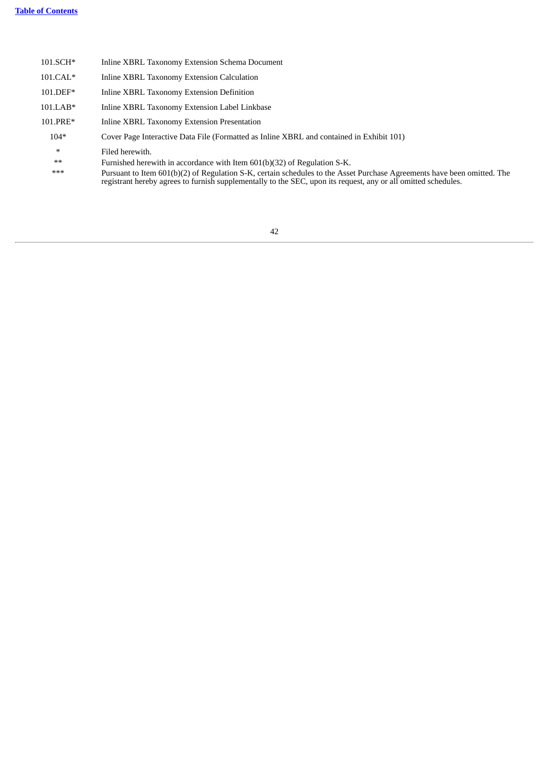<span id="page-43-0"></span>

| 101.SCH*   | Inline XBRL Taxonomy Extension Schema Document                                                                                                                                                                                            |
|------------|-------------------------------------------------------------------------------------------------------------------------------------------------------------------------------------------------------------------------------------------|
| $101.CAL*$ | Inline XBRL Taxonomy Extension Calculation                                                                                                                                                                                                |
| 101.DEF*   | Inline XBRL Taxonomy Extension Definition                                                                                                                                                                                                 |
| $101.LAB*$ | Inline XBRL Taxonomy Extension Label Linkbase                                                                                                                                                                                             |
| 101.PRE*   | Inline XBRL Taxonomy Extension Presentation                                                                                                                                                                                               |
| $104*$     | Cover Page Interactive Data File (Formatted as Inline XBRL and contained in Exhibit 101)                                                                                                                                                  |
| $\ast$     | Filed herewith.                                                                                                                                                                                                                           |
| $**$       | Furnished herewith in accordance with Item 601(b)(32) of Regulation S-K.                                                                                                                                                                  |
| ***        | Pursuant to Item 601(b)(2) of Regulation S-K, certain schedules to the Asset Purchase Agreements have been omitted. The<br>registrant hereby agrees to furnish supplementally to the SEC, upon its request, any or all omitted schedules. |
|            |                                                                                                                                                                                                                                           |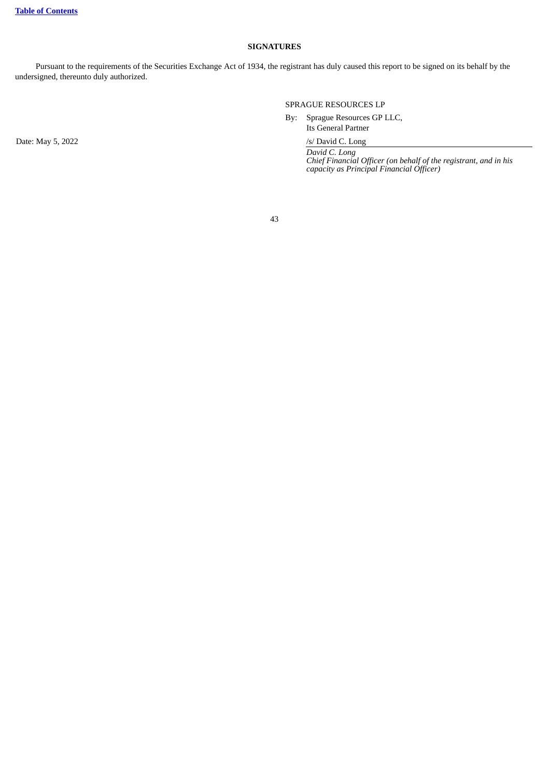### **SIGNATURES**

Pursuant to the requirements of the Securities Exchange Act of 1934, the registrant has duly caused this report to be signed on its behalf by the undersigned, thereunto duly authorized.

SPRAGUE RESOURCES LP

By: Sprague Resources GP LLC,

Its General Partner

*David C. Long Chief Financial Officer (on behalf of the registrant, and in his capacity as Principal Financial Officer)*

43

Date: May 5, 2022 /s/ David C. Long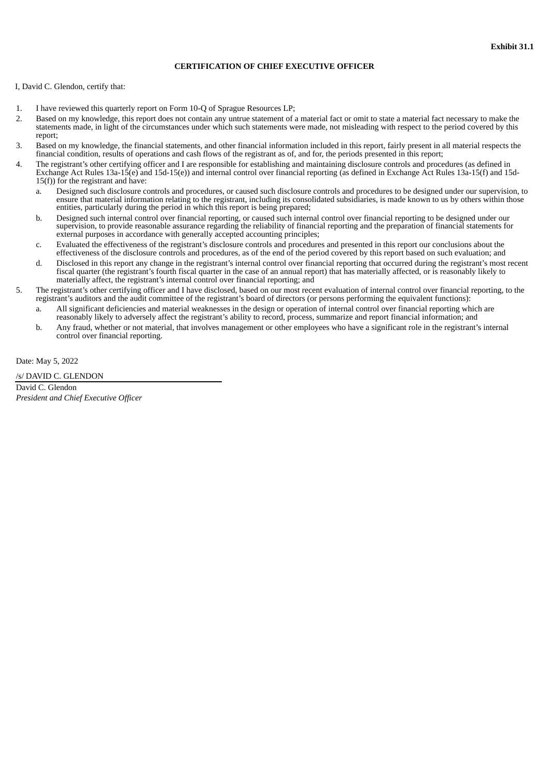### **CERTIFICATION OF CHIEF EXECUTIVE OFFICER**

<span id="page-45-0"></span>I, David C. Glendon, certify that:

- 1. I have reviewed this quarterly report on Form 10-Q of Sprague Resources LP;
- 2. Based on my knowledge, this report does not contain any untrue statement of a material fact or omit to state a material fact necessary to make the statements made, in light of the circumstances under which such statements were made, not misleading with respect to the period covered by this report;
- 3. Based on my knowledge, the financial statements, and other financial information included in this report, fairly present in all material respects the financial condition, results of operations and cash flows of the registrant as of, and for, the periods presented in this report;
- 4. The registrant's other certifying officer and I are responsible for establishing and maintaining disclosure controls and procedures (as defined in Exchange Act Rules 13a-15(e) and 15d-15(e)) and internal control over financial reporting (as defined in Exchange Act Rules 13a-15(f) and 15d- $15(f)$ ) for the registrant and have:
	- a. Designed such disclosure controls and procedures, or caused such disclosure controls and procedures to be designed under our supervision, to ensure that material information relating to the registrant, including its consolidated subsidiaries, is made known to us by others within those entities, particularly during the period in which this report is being prepared;
	- b. Designed such internal control over financial reporting, or caused such internal control over financial reporting to be designed under our supervision, to provide reasonable assurance regarding the reliability of financial reporting and the preparation of financial statements for external purposes in accordance with generally accepted accounting principles;
	- c. Evaluated the effectiveness of the registrant's disclosure controls and procedures and presented in this report our conclusions about the effectiveness of the disclosure controls and procedures, as of the end of the period covered by this report based on such evaluation; and
	- d. Disclosed in this report any change in the registrant's internal control over financial reporting that occurred during the registrant's most recent fiscal quarter (the registrant's fourth fiscal quarter in the case of an annual report) that has materially affected, or is reasonably likely to materially affect, the registrant's internal control over financial reporting; and
- 5. The registrant's other certifying officer and I have disclosed, based on our most recent evaluation of internal control over financial reporting, to the registrant's auditors and the audit committee of the registrant's board of directors (or persons performing the equivalent functions):
	- a. All significant deficiencies and material weaknesses in the design or operation of internal control over financial reporting which are reasonably likely to adversely affect the registrant's ability to record, process, summarize and report financial information; and
	- b. Any fraud, whether or not material, that involves management or other employees who have a significant role in the registrant's internal control over financial reporting.

Date: May 5, 2022

/s/ DAVID C. GLENDON

David C. Glendon *President and Chief Executive Officer*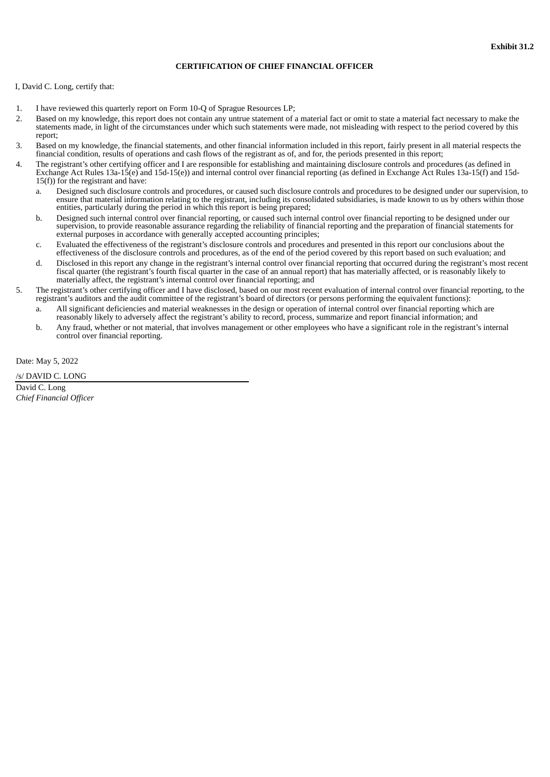### **CERTIFICATION OF CHIEF FINANCIAL OFFICER**

<span id="page-46-0"></span>I, David C. Long, certify that:

- 1. I have reviewed this quarterly report on Form 10-Q of Sprague Resources LP;
- 2. Based on my knowledge, this report does not contain any untrue statement of a material fact or omit to state a material fact necessary to make the statements made, in light of the circumstances under which such statements were made, not misleading with respect to the period covered by this report;
- 3. Based on my knowledge, the financial statements, and other financial information included in this report, fairly present in all material respects the financial condition, results of operations and cash flows of the registrant as of, and for, the periods presented in this report;
- 4. The registrant's other certifying officer and I are responsible for establishing and maintaining disclosure controls and procedures (as defined in Exchange Act Rules 13a-15(e) and 15d-15(e)) and internal control over financial reporting (as defined in Exchange Act Rules 13a-15(f) and 15d- $15(f)$ ) for the registrant and have:
	- a. Designed such disclosure controls and procedures, or caused such disclosure controls and procedures to be designed under our supervision, to ensure that material information relating to the registrant, including its consolidated subsidiaries, is made known to us by others within those entities, particularly during the period in which this report is being prepared;
	- b. Designed such internal control over financial reporting, or caused such internal control over financial reporting to be designed under our supervision, to provide reasonable assurance regarding the reliability of financial reporting and the preparation of financial statements for external purposes in accordance with generally accepted accounting principles;
	- c. Evaluated the effectiveness of the registrant's disclosure controls and procedures and presented in this report our conclusions about the effectiveness of the disclosure controls and procedures, as of the end of the period covered by this report based on such evaluation; and
	- d. Disclosed in this report any change in the registrant's internal control over financial reporting that occurred during the registrant's most recent fiscal quarter (the registrant's fourth fiscal quarter in the case of an annual report) that has materially affected, or is reasonably likely to materially affect, the registrant's internal control over financial reporting; and
- 5. The registrant's other certifying officer and I have disclosed, based on our most recent evaluation of internal control over financial reporting, to the registrant's auditors and the audit committee of the registrant's board of directors (or persons performing the equivalent functions):
	- a. All significant deficiencies and material weaknesses in the design or operation of internal control over financial reporting which are reasonably likely to adversely affect the registrant's ability to record, process, summarize and report financial information; and
	- b. Any fraud, whether or not material, that involves management or other employees who have a significant role in the registrant's internal control over financial reporting.

Date: May 5, 2022

/s/ DAVID C. LONG

David C. Long *Chief Financial Officer*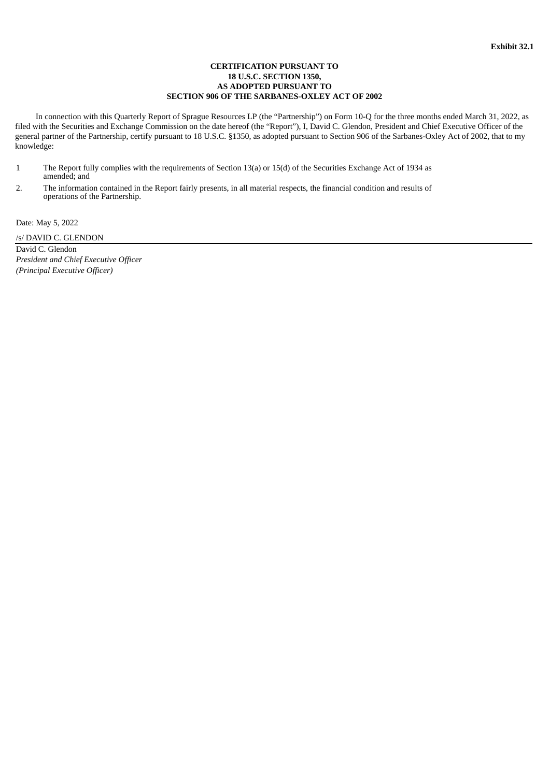### **CERTIFICATION PURSUANT TO 18 U.S.C. SECTION 1350, AS ADOPTED PURSUANT TO SECTION 906 OF THE SARBANES-OXLEY ACT OF 2002**

<span id="page-47-0"></span>In connection with this Quarterly Report of Sprague Resources LP (the "Partnership") on Form 10-Q for the three months ended March 31, 2022, as filed with the Securities and Exchange Commission on the date hereof (the "Report"), I, David C. Glendon, President and Chief Executive Officer of the general partner of the Partnership, certify pursuant to 18 U.S.C. §1350, as adopted pursuant to Section 906 of the Sarbanes-Oxley Act of 2002, that to my knowledge:

- 1 The Report fully complies with the requirements of Section 13(a) or 15(d) of the Securities Exchange Act of 1934 as amended; and
- 2. The information contained in the Report fairly presents, in all material respects, the financial condition and results of operations of the Partnership.

Date: May 5, 2022

/s/ DAVID C. GLENDON

David C. Glendon *President and Chief Executive Officer (Principal Executive Officer)*